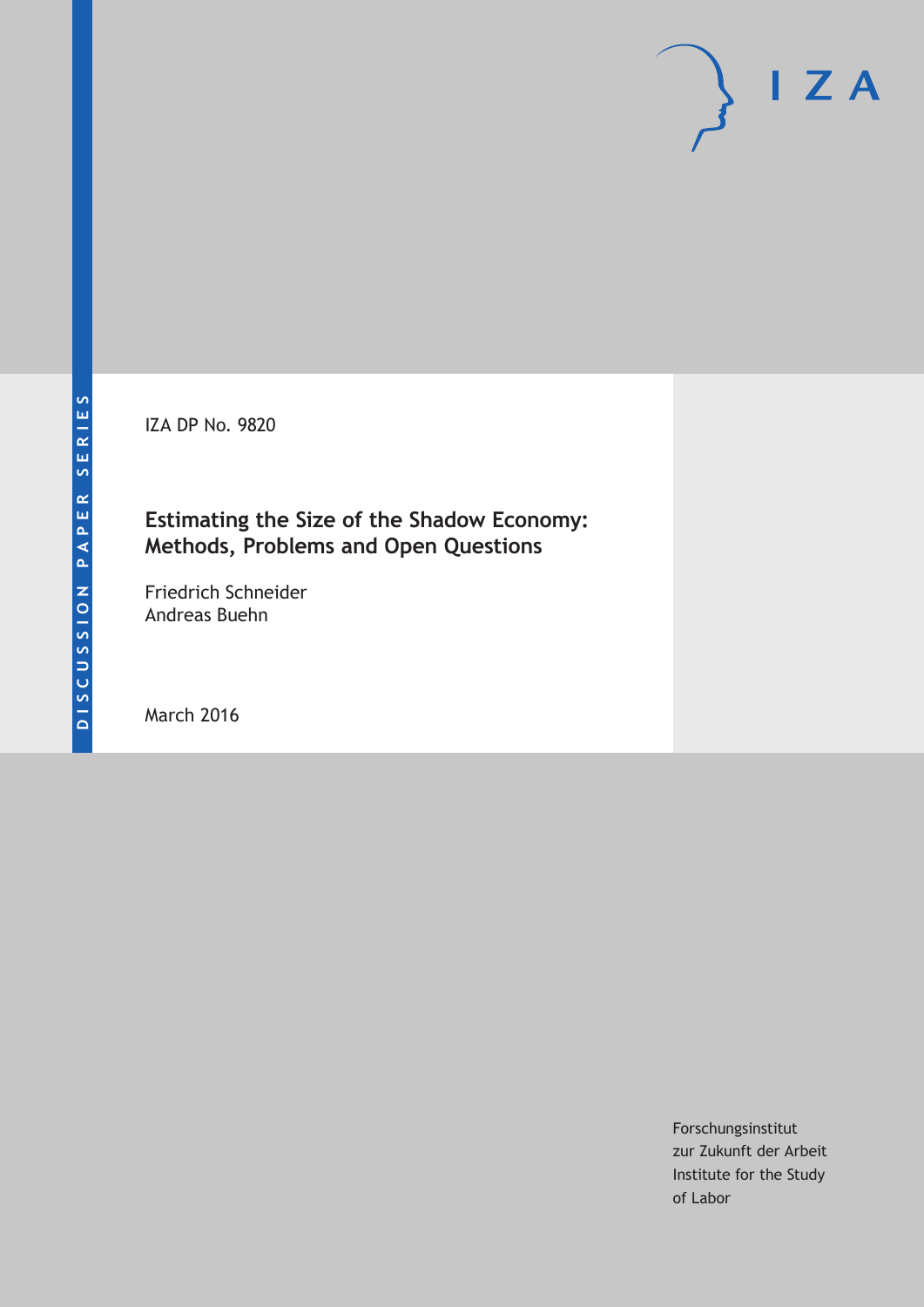IZA DP No. 9820

# **Estimating the Size of the Shadow Economy: Methods, Problems and Open Questions**

Friedrich Schneider Andreas Buehn

March 2016

Forschungsinstitut zur Zukunft der Arbeit Institute for the Study of Labor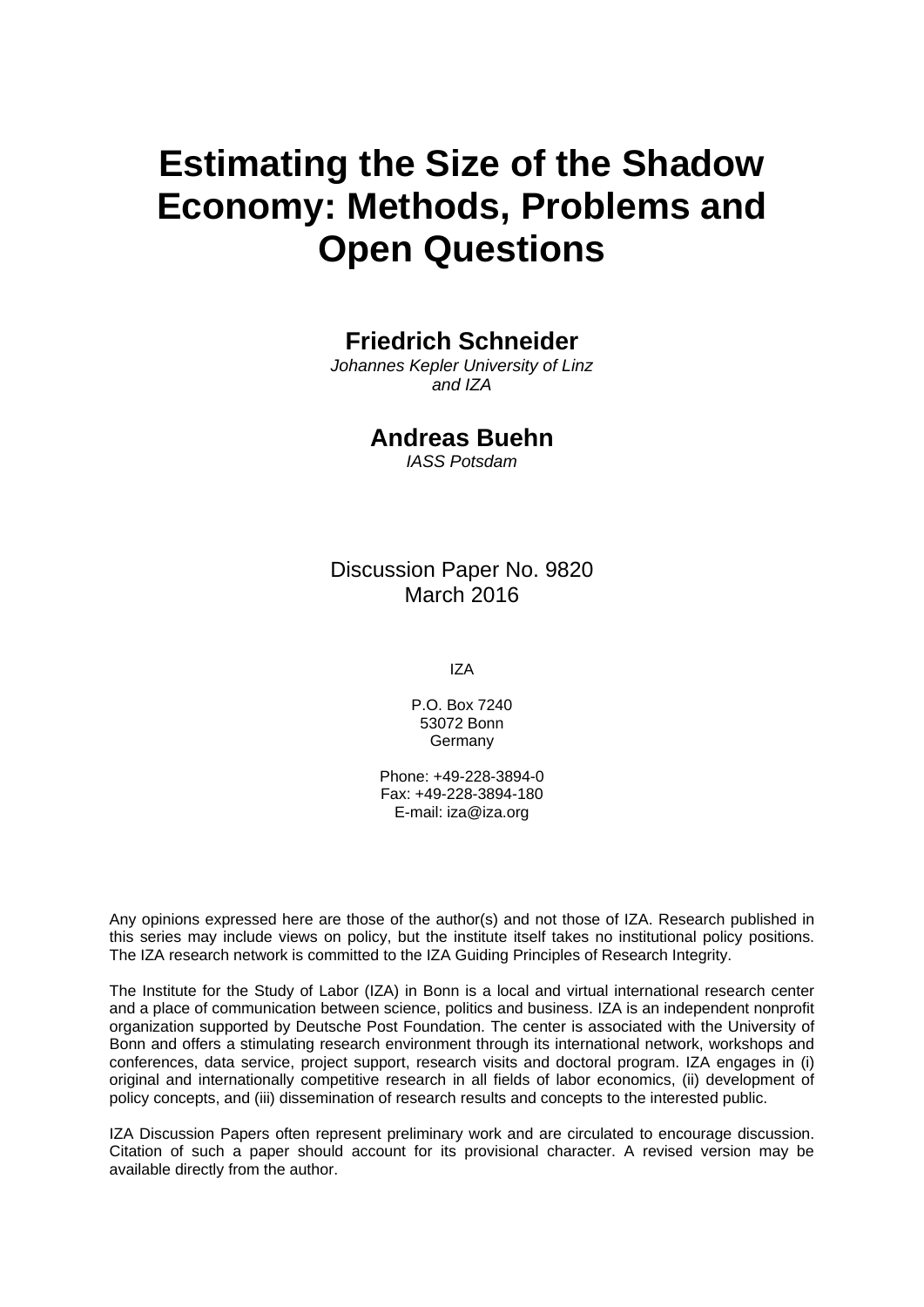# **Estimating the Size of the Shadow Economy: Methods, Problems and Open Questions**

# **Friedrich Schneider**

*Johannes Kepler University of Linz and IZA* 

## **Andreas Buehn**

*IASS Potsdam* 

Discussion Paper No. 9820 March 2016

IZA

P.O. Box 7240 53072 Bonn Germany

Phone: +49-228-3894-0 Fax: +49-228-3894-180 E-mail: iza@iza.org

Any opinions expressed here are those of the author(s) and not those of IZA. Research published in this series may include views on policy, but the institute itself takes no institutional policy positions. The IZA research network is committed to the IZA Guiding Principles of Research Integrity.

The Institute for the Study of Labor (IZA) in Bonn is a local and virtual international research center and a place of communication between science, politics and business. IZA is an independent nonprofit organization supported by Deutsche Post Foundation. The center is associated with the University of Bonn and offers a stimulating research environment through its international network, workshops and conferences, data service, project support, research visits and doctoral program. IZA engages in (i) original and internationally competitive research in all fields of labor economics, (ii) development of policy concepts, and (iii) dissemination of research results and concepts to the interested public.

IZA Discussion Papers often represent preliminary work and are circulated to encourage discussion. Citation of such a paper should account for its provisional character. A revised version may be available directly from the author.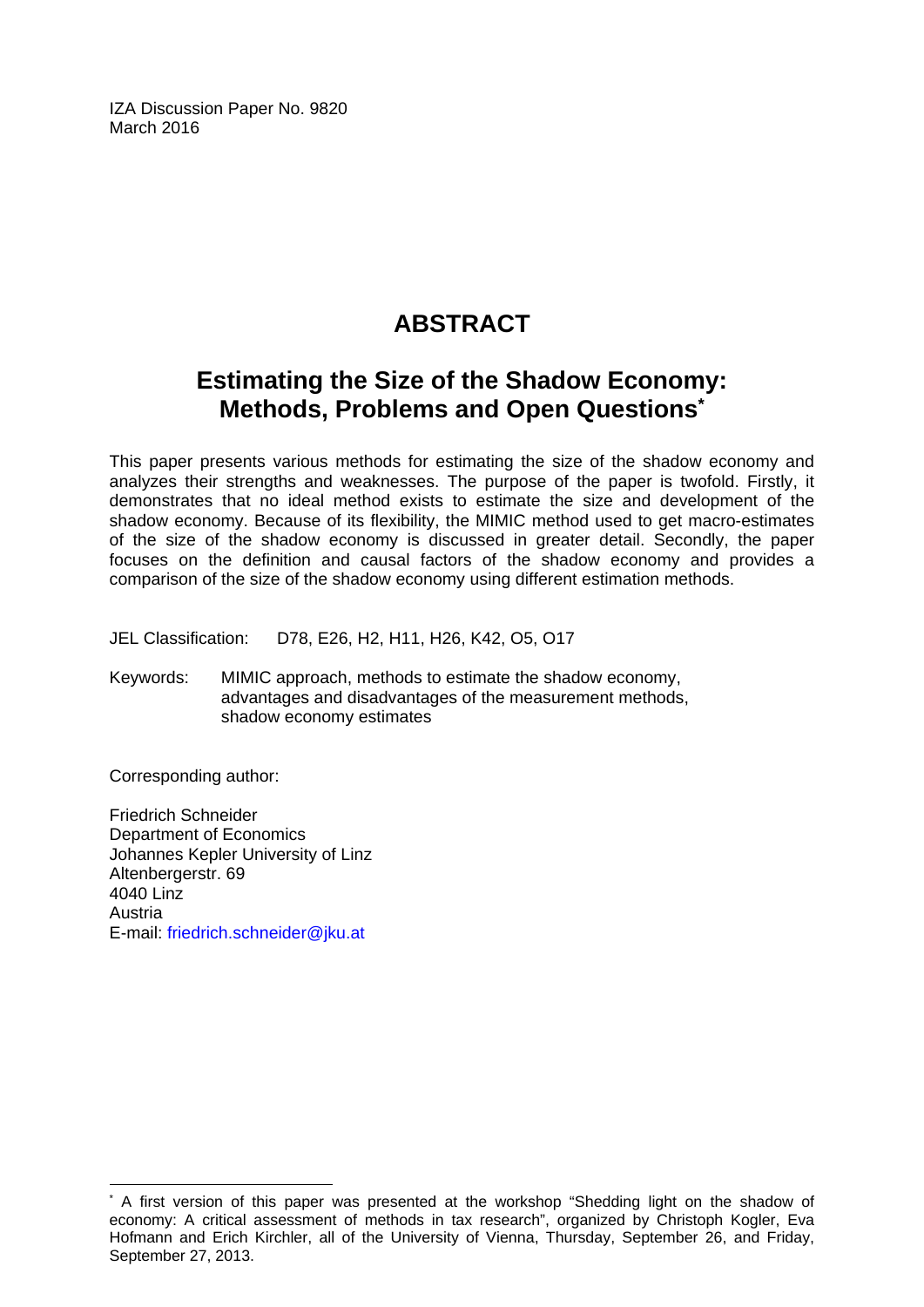IZA Discussion Paper No. 9820 March 2016

# **ABSTRACT**

# **Estimating the Size of the Shadow Economy: Methods, Problems and Open Questions\***

This paper presents various methods for estimating the size of the shadow economy and analyzes their strengths and weaknesses. The purpose of the paper is twofold. Firstly, it demonstrates that no ideal method exists to estimate the size and development of the shadow economy. Because of its flexibility, the MIMIC method used to get macro-estimates of the size of the shadow economy is discussed in greater detail. Secondly, the paper focuses on the definition and causal factors of the shadow economy and provides a comparison of the size of the shadow economy using different estimation methods.

JEL Classification: D78, E26, H2, H11, H26, K42, O5, O17

Keywords: MIMIC approach, methods to estimate the shadow economy, advantages and disadvantages of the measurement methods, shadow economy estimates

Corresponding author:

 $\overline{\phantom{a}}$ 

Friedrich Schneider Department of Economics Johannes Kepler University of Linz Altenbergerstr. 69 4040 Linz Austria E-mail: friedrich.schneider@jku.at

<sup>\*</sup> A first version of this paper was presented at the workshop "Shedding light on the shadow of economy: A critical assessment of methods in tax research", organized by Christoph Kogler, Eva Hofmann and Erich Kirchler, all of the University of Vienna, Thursday, September 26, and Friday, September 27, 2013.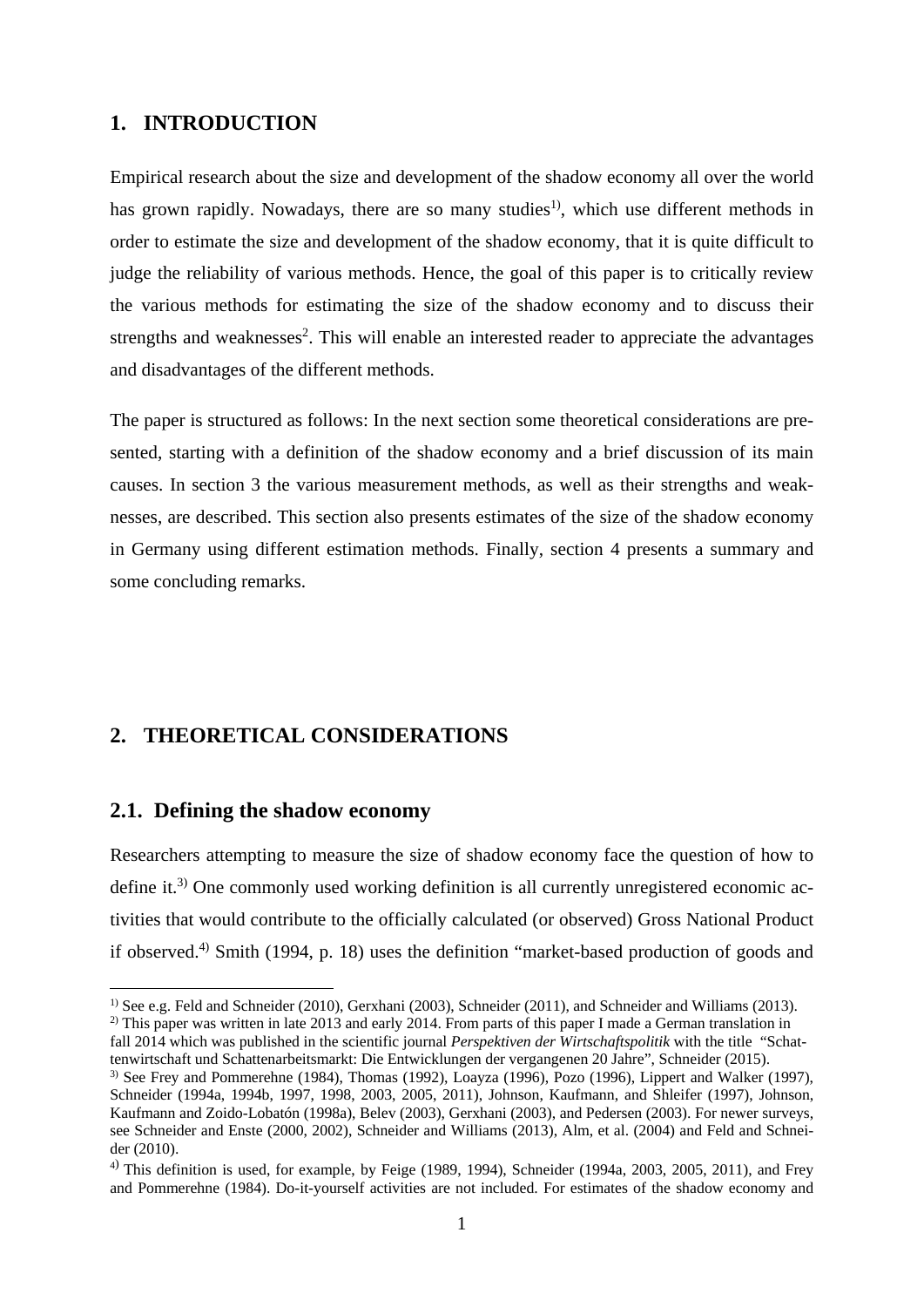### **1. INTRODUCTION**

Empirical research about the size and development of the shadow economy all over the world has grown rapidly. Nowadays, there are so many studies<sup>1)</sup>, which use different methods in order to estimate the size and development of the shadow economy, that it is quite difficult to judge the reliability of various methods. Hence, the goal of this paper is to critically review the various methods for estimating the size of the shadow economy and to discuss their strengths and weaknesses<sup>2</sup>. This will enable an interested reader to appreciate the advantages and disadvantages of the different methods.

The paper is structured as follows: In the next section some theoretical considerations are presented, starting with a definition of the shadow economy and a brief discussion of its main causes. In section 3 the various measurement methods, as well as their strengths and weaknesses, are described. This section also presents estimates of the size of the shadow economy in Germany using different estimation methods. Finally, section 4 presents a summary and some concluding remarks.

### **2. THEORETICAL CONSIDERATIONS**

#### **2.1. Defining the shadow economy**

<u>.</u>

Researchers attempting to measure the size of shadow economy face the question of how to define it.<sup>3)</sup> One commonly used working definition is all currently unregistered economic activities that would contribute to the officially calculated (or observed) Gross National Product if observed.4) Smith (1994, p. 18) uses the definition "market-based production of goods and

<sup>&</sup>lt;sup>1)</sup> See e.g. Feld and Schneider (2010), Gerxhani (2003), Schneider (2011), and Schneider and Williams (2013).

<sup>&</sup>lt;sup>2)</sup> This paper was written in late 2013 and early 2014. From parts of this paper I made a German translation in fall 2014 which was published in the scientific journal *Perspektiven der Wirtschaftspolitik* with the title "Schattenwirtschaft und Schattenarbeitsmarkt: Die Entwicklungen der vergangenen 20 Jahre", Schneider (2015).

<sup>3)</sup> See Frey and Pommerehne (1984), Thomas (1992), Loayza (1996), Pozo (1996), Lippert and Walker (1997), Schneider (1994a, 1994b, 1997, 1998, 2003, 2005, 2011), Johnson, Kaufmann, and Shleifer (1997), Johnson, Kaufmann and Zoido-Lobatón (1998a), Belev (2003), Gerxhani (2003), and Pedersen (2003). For newer surveys, see Schneider and Enste (2000, 2002), Schneider and Williams (2013), Alm, et al. (2004) and Feld and Schneider (2010).

 $^{4)}$  This definition is used, for example, by Feige (1989, 1994), Schneider (1994a, 2003, 2005, 2011), and Frey and Pommerehne (1984). Do-it-yourself activities are not included. For estimates of the shadow economy and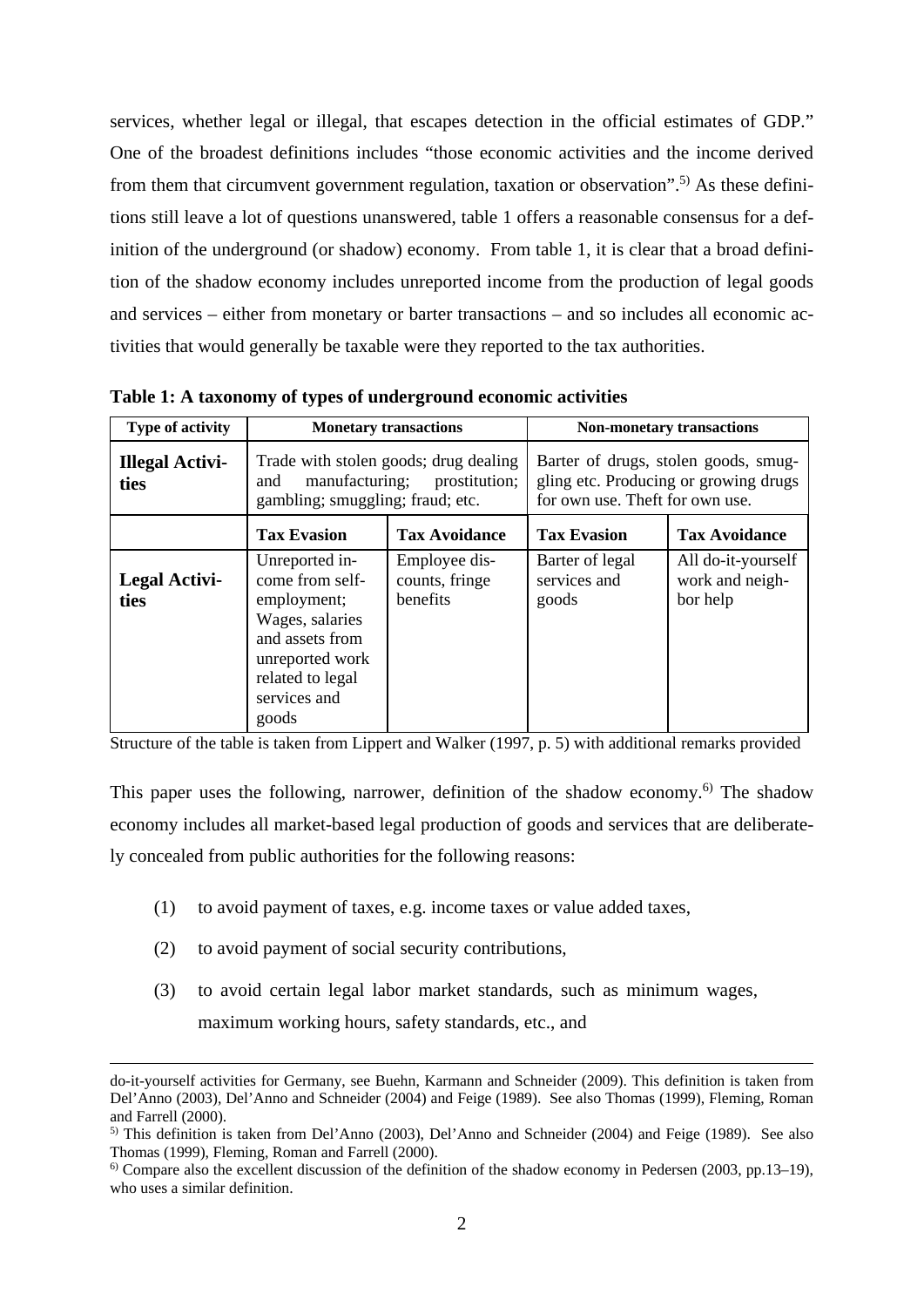services, whether legal or illegal, that escapes detection in the official estimates of GDP." One of the broadest definitions includes "those economic activities and the income derived from them that circumvent government regulation, taxation or observation".5) As these definitions still leave a lot of questions unanswered, table 1 offers a reasonable consensus for a definition of the underground (or shadow) economy. From table 1, it is clear that a broad definition of the shadow economy includes unreported income from the production of legal goods and services – either from monetary or barter transactions – and so includes all economic activities that would generally be taxable were they reported to the tax authorities.

| Type of activity               |                                                                                                                                                        | <b>Monetary transactions</b>                | <b>Non-monetary transactions</b>                                                                                 |                                                   |  |  |
|--------------------------------|--------------------------------------------------------------------------------------------------------------------------------------------------------|---------------------------------------------|------------------------------------------------------------------------------------------------------------------|---------------------------------------------------|--|--|
| <b>Illegal Activi-</b><br>ties | Trade with stolen goods; drug dealing<br>manufacturing;<br>prostitution;<br>and<br>gambling; smuggling; fraud; etc.                                    |                                             | Barter of drugs, stolen goods, smug-<br>gling etc. Producing or growing drugs<br>for own use. Theft for own use. |                                                   |  |  |
|                                | <b>Tax Evasion</b>                                                                                                                                     | <b>Tax Avoidance</b>                        | <b>Tax Evasion</b>                                                                                               | <b>Tax Avoidance</b>                              |  |  |
| <b>Legal Activi-</b><br>ties   | Unreported in-<br>come from self-<br>employment;<br>Wages, salaries<br>and assets from<br>unreported work<br>related to legal<br>services and<br>goods | Employee dis-<br>counts, fringe<br>benefits | Barter of legal<br>services and<br>goods                                                                         | All do-it-yourself<br>work and neigh-<br>bor help |  |  |

**Table 1: A taxonomy of types of underground economic activities** 

Structure of the table is taken from Lippert and Walker (1997, p. 5) with additional remarks provided

This paper uses the following, narrower, definition of the shadow economy.<sup>6)</sup> The shadow economy includes all market-based legal production of goods and services that are deliberately concealed from public authorities for the following reasons:

- (1) to avoid payment of taxes, e.g. income taxes or value added taxes,
- (2) to avoid payment of social security contributions,
- (3) to avoid certain legal labor market standards, such as minimum wages, maximum working hours, safety standards, etc., and

do-it-yourself activities for Germany, see Buehn, Karmann and Schneider (2009). This definition is taken from Del'Anno (2003), Del'Anno and Schneider (2004) and Feige (1989). See also Thomas (1999), Fleming, Roman and Farrell (2000).

<sup>5)</sup> This definition is taken from Del'Anno (2003), Del'Anno and Schneider (2004) and Feige (1989). See also Thomas (1999), Fleming, Roman and Farrell (2000).

 $6$  Compare also the excellent discussion of the definition of the shadow economy in Pedersen (2003, pp.13–19), who uses a similar definition.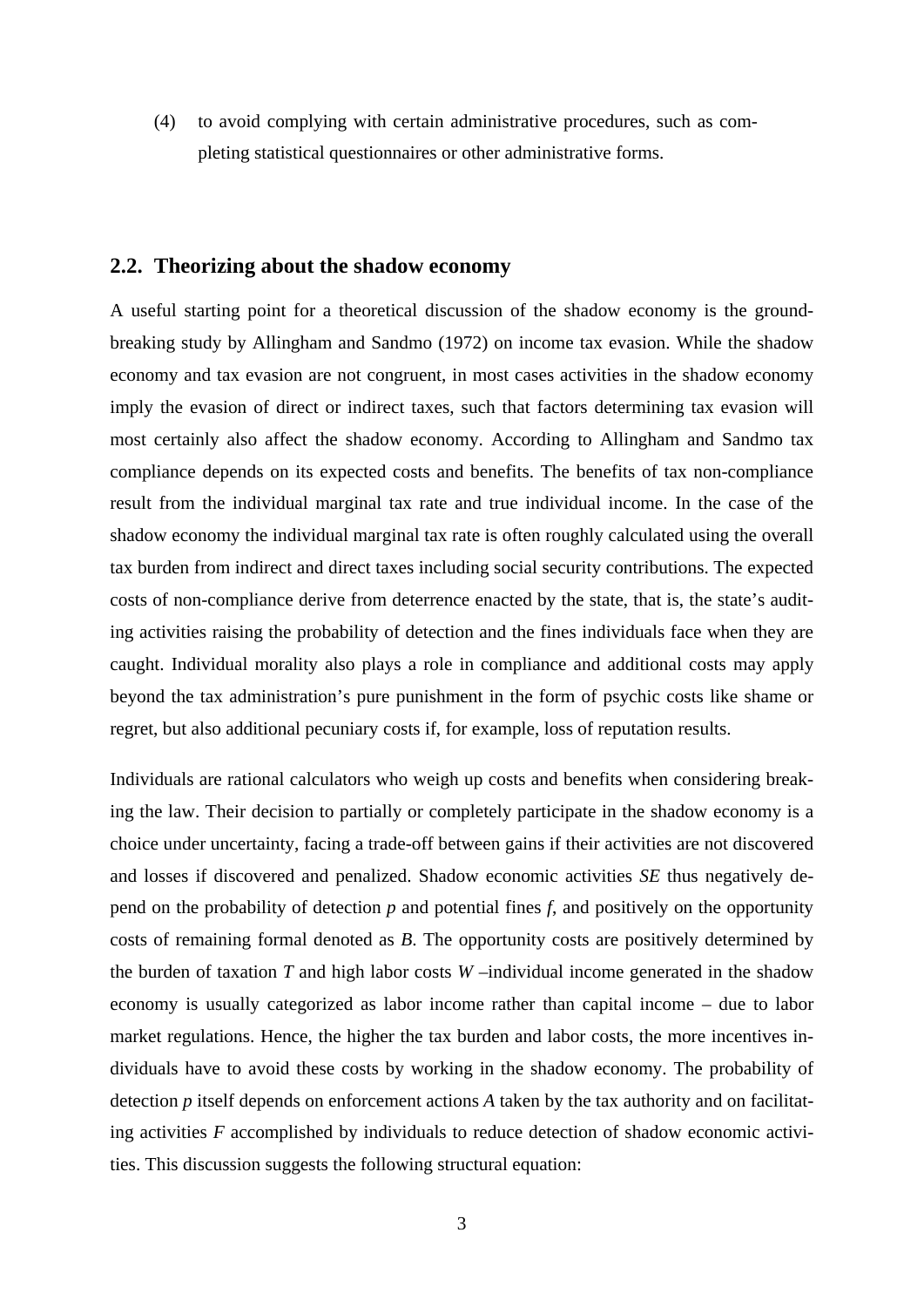(4) to avoid complying with certain administrative procedures, such as completing statistical questionnaires or other administrative forms.

### **2.2. Theorizing about the shadow economy**

A useful starting point for a theoretical discussion of the shadow economy is the groundbreaking study by Allingham and Sandmo (1972) on income tax evasion. While the shadow economy and tax evasion are not congruent, in most cases activities in the shadow economy imply the evasion of direct or indirect taxes, such that factors determining tax evasion will most certainly also affect the shadow economy. According to Allingham and Sandmo tax compliance depends on its expected costs and benefits. The benefits of tax non-compliance result from the individual marginal tax rate and true individual income. In the case of the shadow economy the individual marginal tax rate is often roughly calculated using the overall tax burden from indirect and direct taxes including social security contributions. The expected costs of non-compliance derive from deterrence enacted by the state, that is, the state's auditing activities raising the probability of detection and the fines individuals face when they are caught. Individual morality also plays a role in compliance and additional costs may apply beyond the tax administration's pure punishment in the form of psychic costs like shame or regret, but also additional pecuniary costs if, for example, loss of reputation results.

Individuals are rational calculators who weigh up costs and benefits when considering breaking the law. Their decision to partially or completely participate in the shadow economy is a choice under uncertainty, facing a trade-off between gains if their activities are not discovered and losses if discovered and penalized. Shadow economic activities *SE* thus negatively depend on the probability of detection *p* and potential fines *f*, and positively on the opportunity costs of remaining formal denoted as *B*. The opportunity costs are positively determined by the burden of taxation  $T$  and high labor costs  $W$  –individual income generated in the shadow economy is usually categorized as labor income rather than capital income – due to labor market regulations. Hence, the higher the tax burden and labor costs, the more incentives individuals have to avoid these costs by working in the shadow economy. The probability of detection *p* itself depends on enforcement actions *A* taken by the tax authority and on facilitating activities *F* accomplished by individuals to reduce detection of shadow economic activities. This discussion suggests the following structural equation: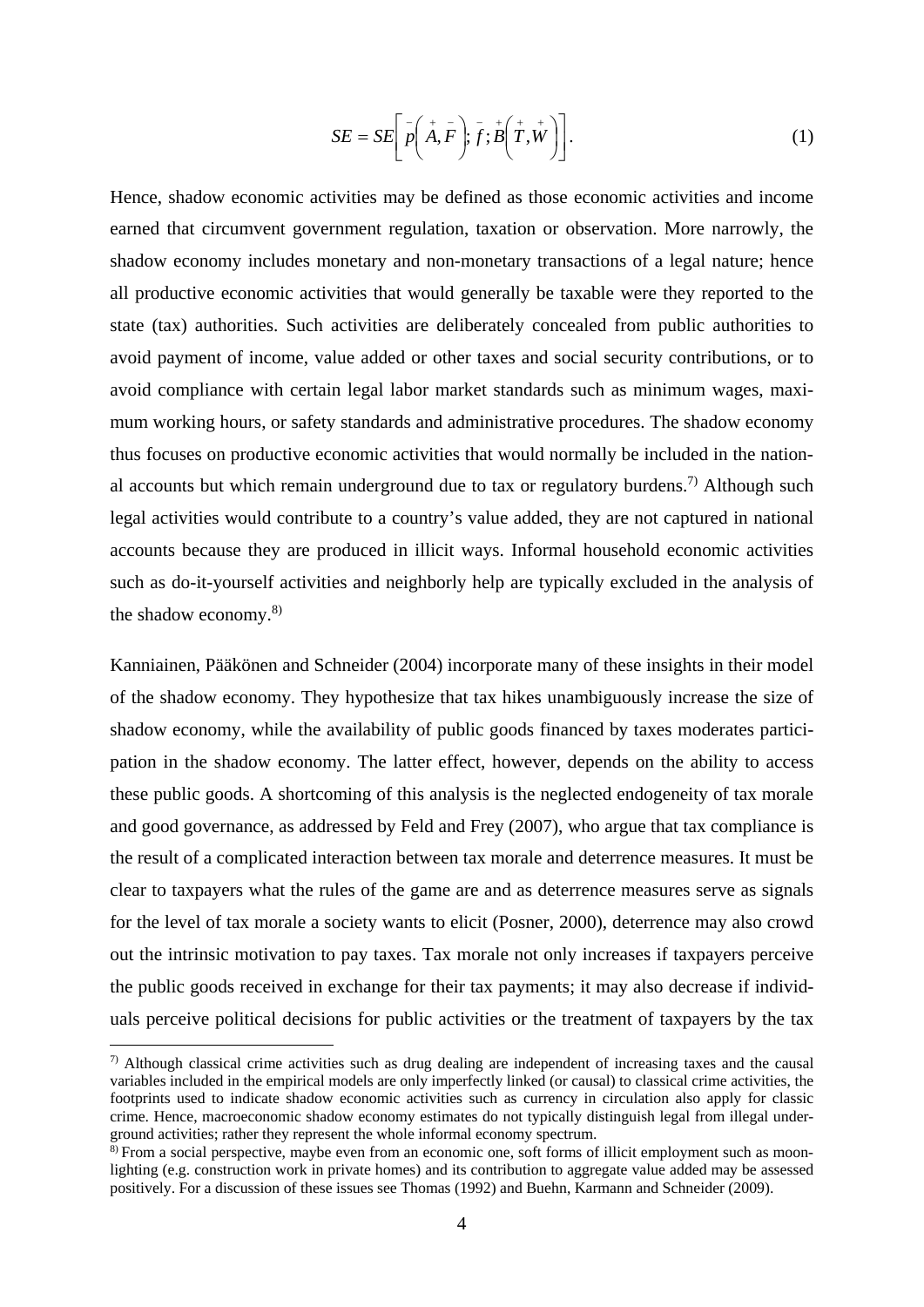$$
SE = SE\left[\left[\overline{p}\left(\overline{A},\overline{F}\right);\overline{f};\overline{B}\left(\overline{T},\overline{W}\right)\right].\right]
$$
 (1)

Hence, shadow economic activities may be defined as those economic activities and income earned that circumvent government regulation, taxation or observation. More narrowly, the shadow economy includes monetary and non-monetary transactions of a legal nature; hence all productive economic activities that would generally be taxable were they reported to the state (tax) authorities. Such activities are deliberately concealed from public authorities to avoid payment of income, value added or other taxes and social security contributions, or to avoid compliance with certain legal labor market standards such as minimum wages, maximum working hours, or safety standards and administrative procedures. The shadow economy thus focuses on productive economic activities that would normally be included in the national accounts but which remain underground due to tax or regulatory burdens.<sup>7)</sup> Although such legal activities would contribute to a country's value added, they are not captured in national accounts because they are produced in illicit ways. Informal household economic activities such as do-it-yourself activities and neighborly help are typically excluded in the analysis of the shadow economy.8)

Kanniainen, Pääkönen and Schneider (2004) incorporate many of these insights in their model of the shadow economy. They hypothesize that tax hikes unambiguously increase the size of shadow economy, while the availability of public goods financed by taxes moderates participation in the shadow economy. The latter effect, however, depends on the ability to access these public goods. A shortcoming of this analysis is the neglected endogeneity of tax morale and good governance, as addressed by Feld and Frey (2007), who argue that tax compliance is the result of a complicated interaction between tax morale and deterrence measures. It must be clear to taxpayers what the rules of the game are and as deterrence measures serve as signals for the level of tax morale a society wants to elicit (Posner, 2000), deterrence may also crowd out the intrinsic motivation to pay taxes. Tax morale not only increases if taxpayers perceive the public goods received in exchange for their tax payments; it may also decrease if individuals perceive political decisions for public activities or the treatment of taxpayers by the tax

<u>.</u>

 $\alpha$ ) Although classical crime activities such as drug dealing are independent of increasing taxes and the causal variables included in the empirical models are only imperfectly linked (or causal) to classical crime activities, the footprints used to indicate shadow economic activities such as currency in circulation also apply for classic crime. Hence, macroeconomic shadow economy estimates do not typically distinguish legal from illegal underground activities; rather they represent the whole informal economy spectrum.

 $8$ ) From a social perspective, maybe even from an economic one, soft forms of illicit employment such as moonlighting (e.g. construction work in private homes) and its contribution to aggregate value added may be assessed positively. For a discussion of these issues see Thomas (1992) and Buehn, Karmann and Schneider (2009).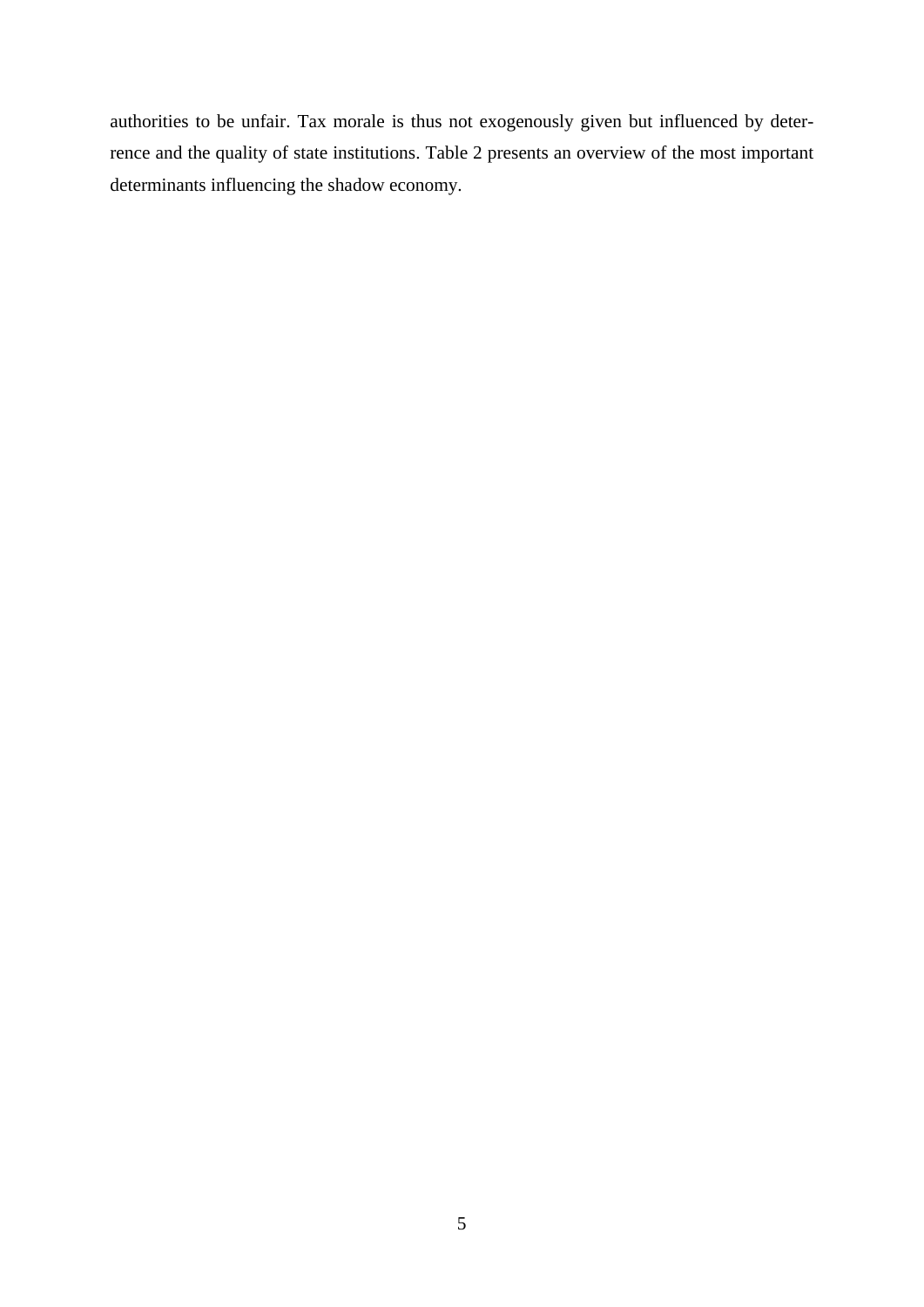authorities to be unfair. Tax morale is thus not exogenously given but influenced by deterrence and the quality of state institutions. Table 2 presents an overview of the most important determinants influencing the shadow economy.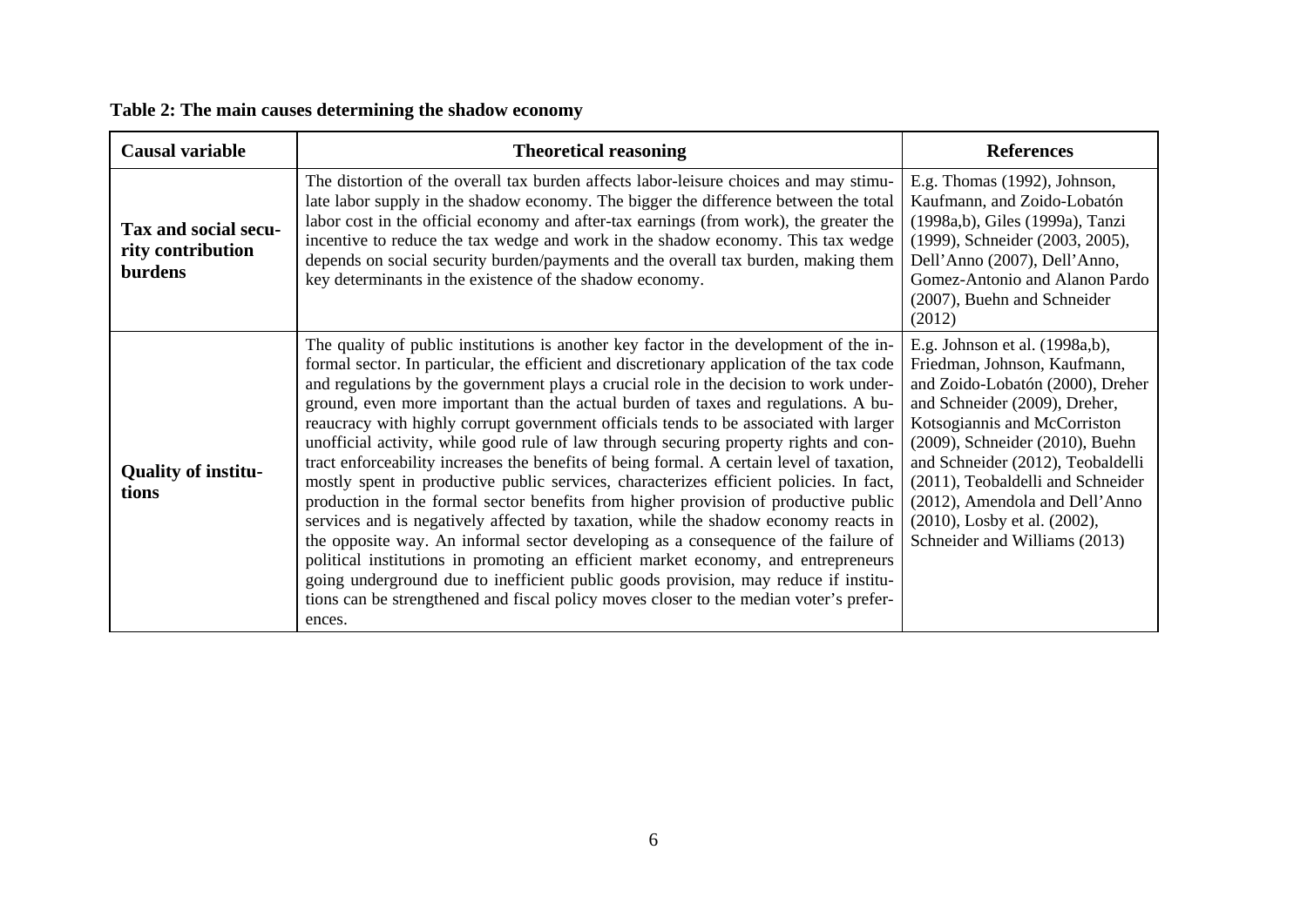# **Table 2: The main causes determining the shadow economy**

| <b>Causal variable</b>                                      | <b>Theoretical reasoning</b>                                                                                                                                                                                                                                                                                                                                                                                                                                                                                                                                                                                                                                                                                                                                                                                                                                                                                                                                                                                                                                                                                                                                                                                                                                                                     | <b>References</b>                                                                                                                                                                                                                                                                                                                                                                   |  |  |
|-------------------------------------------------------------|--------------------------------------------------------------------------------------------------------------------------------------------------------------------------------------------------------------------------------------------------------------------------------------------------------------------------------------------------------------------------------------------------------------------------------------------------------------------------------------------------------------------------------------------------------------------------------------------------------------------------------------------------------------------------------------------------------------------------------------------------------------------------------------------------------------------------------------------------------------------------------------------------------------------------------------------------------------------------------------------------------------------------------------------------------------------------------------------------------------------------------------------------------------------------------------------------------------------------------------------------------------------------------------------------|-------------------------------------------------------------------------------------------------------------------------------------------------------------------------------------------------------------------------------------------------------------------------------------------------------------------------------------------------------------------------------------|--|--|
| Tax and social secu-<br>rity contribution<br><b>burdens</b> | The distortion of the overall tax burden affects labor-leisure choices and may stimu-<br>late labor supply in the shadow economy. The bigger the difference between the total<br>labor cost in the official economy and after-tax earnings (from work), the greater the<br>incentive to reduce the tax wedge and work in the shadow economy. This tax wedge<br>depends on social security burden/payments and the overall tax burden, making them<br>key determinants in the existence of the shadow economy.                                                                                                                                                                                                                                                                                                                                                                                                                                                                                                                                                                                                                                                                                                                                                                                    | E.g. Thomas (1992), Johnson,<br>Kaufmann, and Zoido-Lobatón<br>(1998a,b), Giles (1999a), Tanzi<br>(1999), Schneider (2003, 2005),<br>Dell'Anno (2007), Dell'Anno,<br>Gomez-Antonio and Alanon Pardo<br>(2007), Buehn and Schneider<br>(2012)                                                                                                                                        |  |  |
| <b>Quality of institu-</b><br>tions                         | The quality of public institutions is another key factor in the development of the in-<br>formal sector. In particular, the efficient and discretionary application of the tax code<br>and regulations by the government plays a crucial role in the decision to work under-<br>ground, even more important than the actual burden of taxes and regulations. A bu-<br>reaucracy with highly corrupt government officials tends to be associated with larger<br>unofficial activity, while good rule of law through securing property rights and con-<br>tract enforceability increases the benefits of being formal. A certain level of taxation,<br>mostly spent in productive public services, characterizes efficient policies. In fact,<br>production in the formal sector benefits from higher provision of productive public<br>services and is negatively affected by taxation, while the shadow economy reacts in<br>the opposite way. An informal sector developing as a consequence of the failure of<br>political institutions in promoting an efficient market economy, and entrepreneurs<br>going underground due to inefficient public goods provision, may reduce if institu-<br>tions can be strengthened and fiscal policy moves closer to the median voter's prefer-<br>ences. | E.g. Johnson et al. (1998a,b),<br>Friedman, Johnson, Kaufmann,<br>and Zoido-Lobatón (2000), Dreher<br>and Schneider (2009), Dreher,<br>Kotsogiannis and McCorriston<br>(2009), Schneider (2010), Buehn<br>and Schneider (2012), Teobaldelli<br>(2011), Teobaldelli and Schneider<br>(2012), Amendola and Dell'Anno<br>(2010), Losby et al. (2002),<br>Schneider and Williams (2013) |  |  |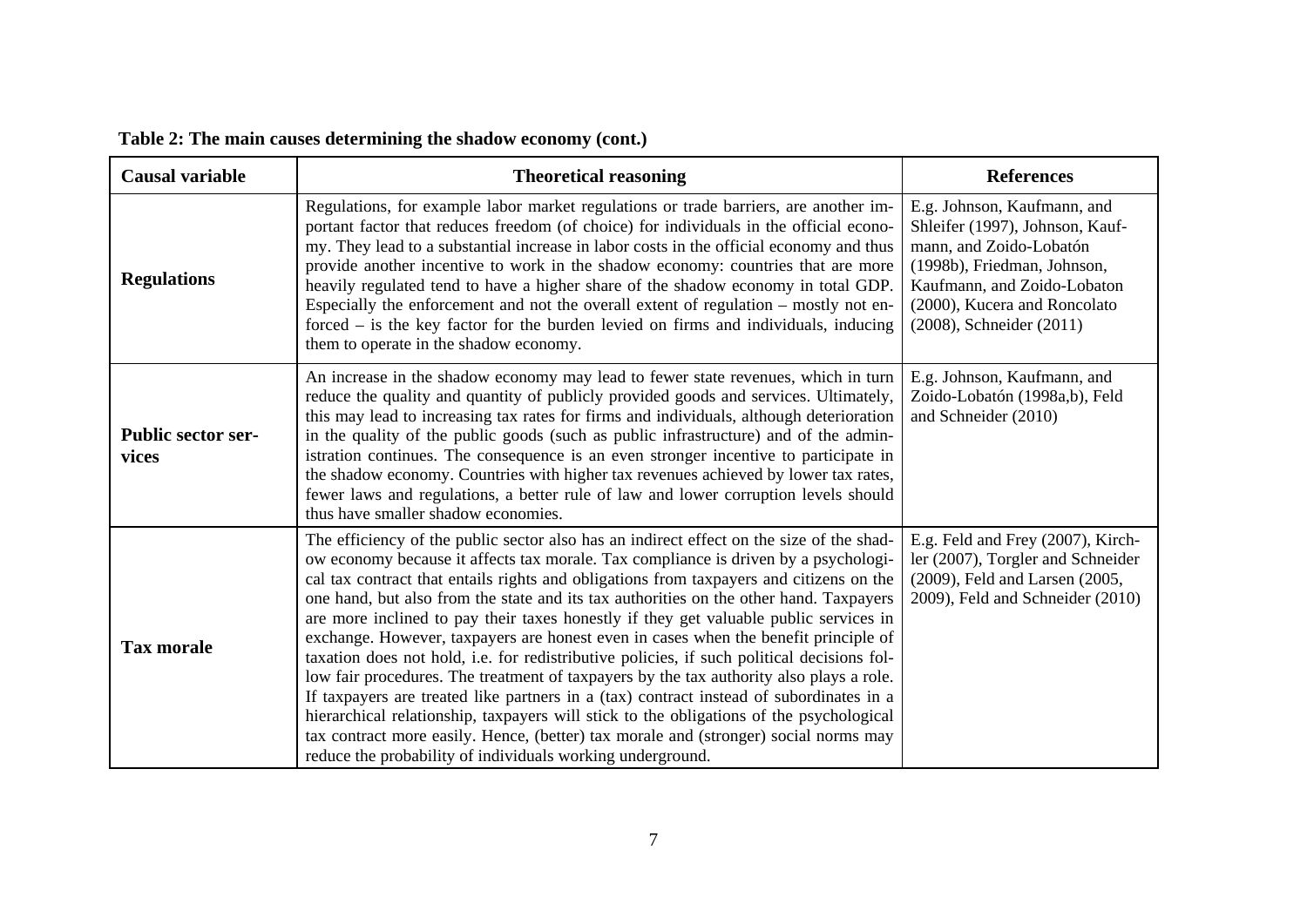| <b>Causal variable</b>             | <b>Theoretical reasoning</b>                                                                                                                                                                                                                                                                                                                                                                                                                                                                                                                                                                                                                                                                                                                                                                                                                                                                                                                                                                                                                                                              | <b>References</b>                                                                                                                                                                                                   |  |  |
|------------------------------------|-------------------------------------------------------------------------------------------------------------------------------------------------------------------------------------------------------------------------------------------------------------------------------------------------------------------------------------------------------------------------------------------------------------------------------------------------------------------------------------------------------------------------------------------------------------------------------------------------------------------------------------------------------------------------------------------------------------------------------------------------------------------------------------------------------------------------------------------------------------------------------------------------------------------------------------------------------------------------------------------------------------------------------------------------------------------------------------------|---------------------------------------------------------------------------------------------------------------------------------------------------------------------------------------------------------------------|--|--|
| <b>Regulations</b>                 | Regulations, for example labor market regulations or trade barriers, are another im-<br>portant factor that reduces freedom (of choice) for individuals in the official econo-<br>my. They lead to a substantial increase in labor costs in the official economy and thus<br>provide another incentive to work in the shadow economy: countries that are more<br>heavily regulated tend to have a higher share of the shadow economy in total GDP.<br>Especially the enforcement and not the overall extent of regulation – mostly not en-<br>forced – is the key factor for the burden levied on firms and individuals, inducing<br>them to operate in the shadow economy.                                                                                                                                                                                                                                                                                                                                                                                                               | E.g. Johnson, Kaufmann, and<br>Shleifer (1997), Johnson, Kauf-<br>mann, and Zoido-Lobatón<br>(1998b), Friedman, Johnson,<br>Kaufmann, and Zoido-Lobaton<br>(2000), Kucera and Roncolato<br>(2008), Schneider (2011) |  |  |
| <b>Public sector ser-</b><br>vices | An increase in the shadow economy may lead to fewer state revenues, which in turn<br>reduce the quality and quantity of publicly provided goods and services. Ultimately,<br>this may lead to increasing tax rates for firms and individuals, although deterioration<br>in the quality of the public goods (such as public infrastructure) and of the admin-<br>istration continues. The consequence is an even stronger incentive to participate in<br>the shadow economy. Countries with higher tax revenues achieved by lower tax rates,<br>fewer laws and regulations, a better rule of law and lower corruption levels should<br>thus have smaller shadow economies.                                                                                                                                                                                                                                                                                                                                                                                                                 | E.g. Johnson, Kaufmann, and<br>Zoido-Lobatón (1998a,b), Feld<br>and Schneider (2010)                                                                                                                                |  |  |
| <b>Tax morale</b>                  | The efficiency of the public sector also has an indirect effect on the size of the shad-<br>ow economy because it affects tax morale. Tax compliance is driven by a psychologi-<br>cal tax contract that entails rights and obligations from taxpayers and citizens on the<br>one hand, but also from the state and its tax authorities on the other hand. Taxpayers<br>are more inclined to pay their taxes honestly if they get valuable public services in<br>exchange. However, taxpayers are honest even in cases when the benefit principle of<br>taxation does not hold, i.e. for redistributive policies, if such political decisions fol-<br>low fair procedures. The treatment of taxpayers by the tax authority also plays a role.<br>If taxpayers are treated like partners in a (tax) contract instead of subordinates in a<br>hierarchical relationship, taxpayers will stick to the obligations of the psychological<br>tax contract more easily. Hence, (better) tax morale and (stronger) social norms may<br>reduce the probability of individuals working underground. | E.g. Feld and Frey (2007), Kirch-<br>ler (2007), Torgler and Schneider<br>(2009), Feld and Larsen (2005,<br>2009), Feld and Schneider (2010)                                                                        |  |  |

# **Table 2: The main causes determining the shadow economy (cont.)**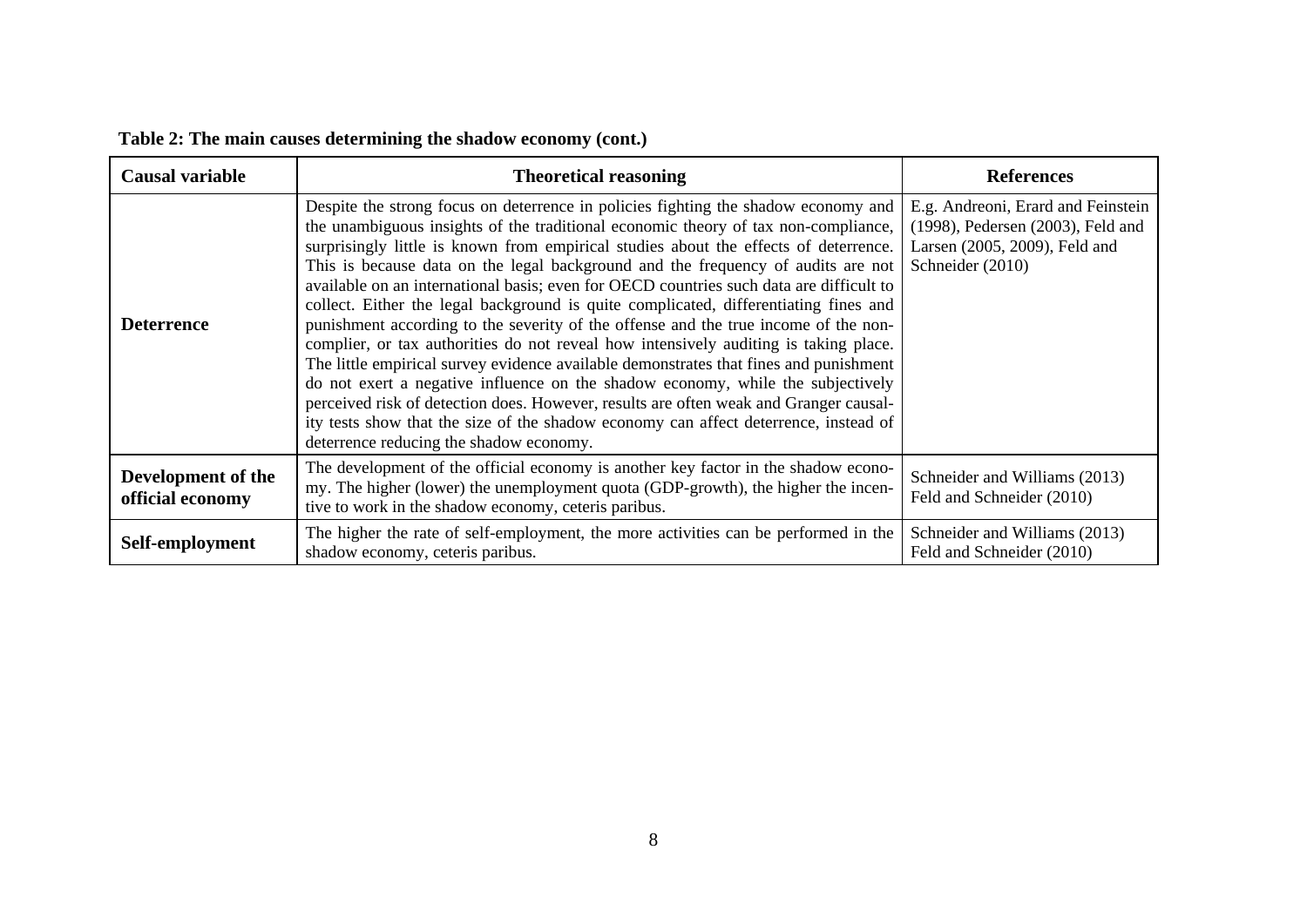| <b>Causal variable</b>                 | <b>Theoretical reasoning</b>                                                                                                                                                                                                                                                                                                                                                                                                                                                                                                                                                                                                                                                                                                                                                                                                                                                                                                                                                                                                                                                                                                   | <b>References</b>                                                                                                            |  |
|----------------------------------------|--------------------------------------------------------------------------------------------------------------------------------------------------------------------------------------------------------------------------------------------------------------------------------------------------------------------------------------------------------------------------------------------------------------------------------------------------------------------------------------------------------------------------------------------------------------------------------------------------------------------------------------------------------------------------------------------------------------------------------------------------------------------------------------------------------------------------------------------------------------------------------------------------------------------------------------------------------------------------------------------------------------------------------------------------------------------------------------------------------------------------------|------------------------------------------------------------------------------------------------------------------------------|--|
| <b>Deterrence</b>                      | Despite the strong focus on deterrence in policies fighting the shadow economy and<br>the unambiguous insights of the traditional economic theory of tax non-compliance,<br>surprisingly little is known from empirical studies about the effects of deterrence.<br>This is because data on the legal background and the frequency of audits are not<br>available on an international basis; even for OECD countries such data are difficult to<br>collect. Either the legal background is quite complicated, differentiating fines and<br>punishment according to the severity of the offense and the true income of the non-<br>complier, or tax authorities do not reveal how intensively auditing is taking place.<br>The little empirical survey evidence available demonstrates that fines and punishment<br>do not exert a negative influence on the shadow economy, while the subjectively<br>perceived risk of detection does. However, results are often weak and Granger causal-<br>ity tests show that the size of the shadow economy can affect deterrence, instead of<br>deterrence reducing the shadow economy. | E.g. Andreoni, Erard and Feinstein<br>(1998), Pedersen (2003), Feld and<br>Larsen (2005, 2009), Feld and<br>Schneider (2010) |  |
| Development of the<br>official economy | The development of the official economy is another key factor in the shadow econo-<br>my. The higher (lower) the unemployment quota (GDP-growth), the higher the incen-<br>tive to work in the shadow economy, ceteris paribus.                                                                                                                                                                                                                                                                                                                                                                                                                                                                                                                                                                                                                                                                                                                                                                                                                                                                                                | Schneider and Williams (2013)<br>Feld and Schneider (2010)                                                                   |  |
| Self-employment                        | The higher the rate of self-employment, the more activities can be performed in the<br>shadow economy, ceteris paribus.                                                                                                                                                                                                                                                                                                                                                                                                                                                                                                                                                                                                                                                                                                                                                                                                                                                                                                                                                                                                        |                                                                                                                              |  |

**Table 2: The main causes determining the shadow economy (cont.)**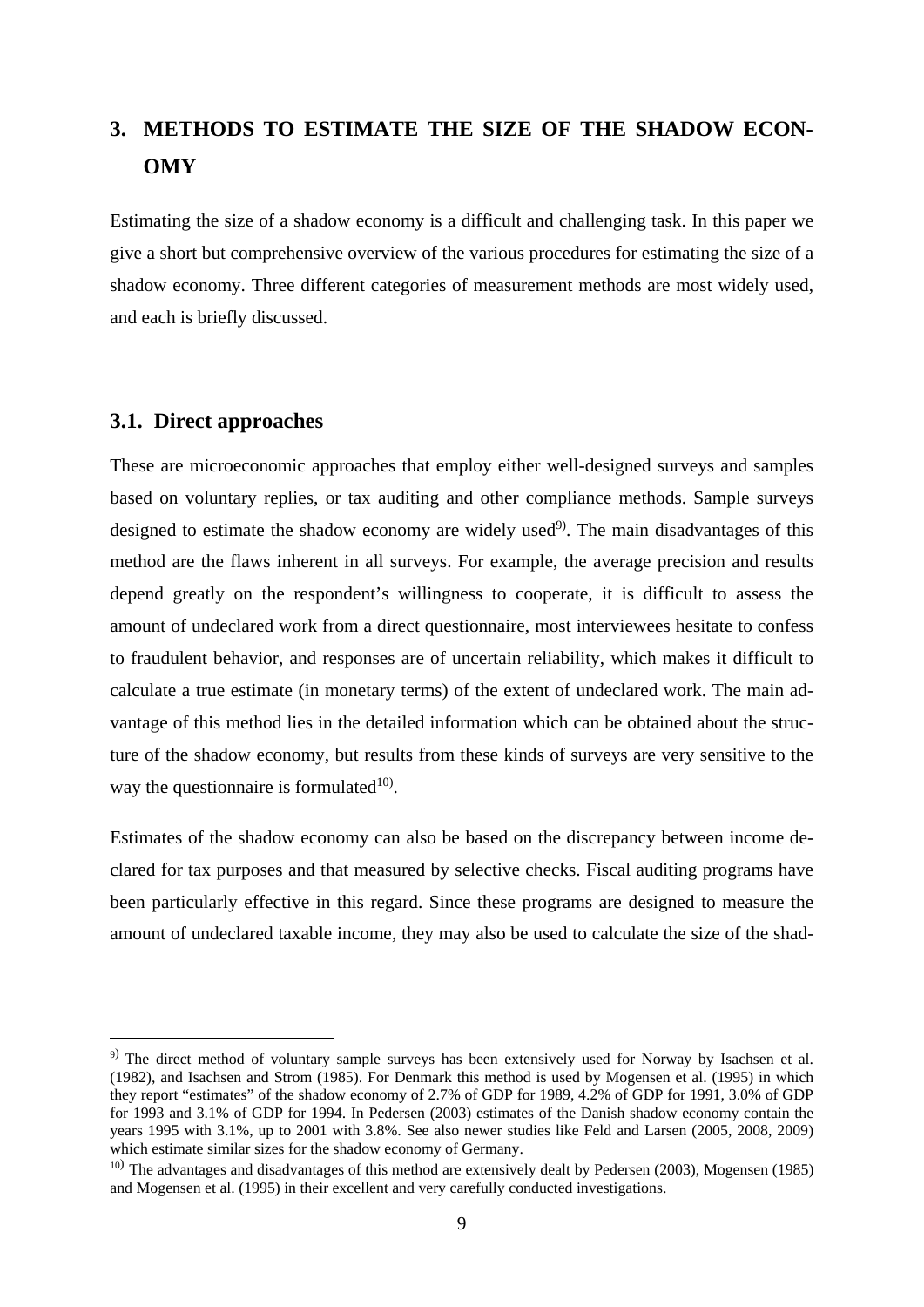# **3. METHODS TO ESTIMATE THE SIZE OF THE SHADOW ECON-OMY**

Estimating the size of a shadow economy is a difficult and challenging task. In this paper we give a short but comprehensive overview of the various procedures for estimating the size of a shadow economy. Three different categories of measurement methods are most widely used, and each is briefly discussed.

#### **3.1. Direct approaches**

1

These are microeconomic approaches that employ either well-designed surveys and samples based on voluntary replies, or tax auditing and other compliance methods. Sample surveys designed to estimate the shadow economy are widely used<sup>9)</sup>. The main disadvantages of this method are the flaws inherent in all surveys. For example, the average precision and results depend greatly on the respondent's willingness to cooperate, it is difficult to assess the amount of undeclared work from a direct questionnaire, most interviewees hesitate to confess to fraudulent behavior, and responses are of uncertain reliability, which makes it difficult to calculate a true estimate (in monetary terms) of the extent of undeclared work. The main advantage of this method lies in the detailed information which can be obtained about the structure of the shadow economy, but results from these kinds of surveys are very sensitive to the way the questionnaire is formulated<sup>10)</sup>.

Estimates of the shadow economy can also be based on the discrepancy between income declared for tax purposes and that measured by selective checks. Fiscal auditing programs have been particularly effective in this regard. Since these programs are designed to measure the amount of undeclared taxable income, they may also be used to calculate the size of the shad-

<sup>&</sup>lt;sup>9)</sup> The direct method of voluntary sample surveys has been extensively used for Norway by Isachsen et al. (1982), and Isachsen and Strom (1985). For Denmark this method is used by Mogensen et al. (1995) in which they report "estimates" of the shadow economy of 2.7% of GDP for 1989, 4.2% of GDP for 1991, 3.0% of GDP for 1993 and 3.1% of GDP for 1994. In Pedersen (2003) estimates of the Danish shadow economy contain the years 1995 with 3.1%, up to 2001 with 3.8%. See also newer studies like Feld and Larsen (2005, 2008, 2009)

 $10$ ) The advantages and disadvantages of this method are extensively dealt by Pedersen (2003), Mogensen (1985) and Mogensen et al. (1995) in their excellent and very carefully conducted investigations.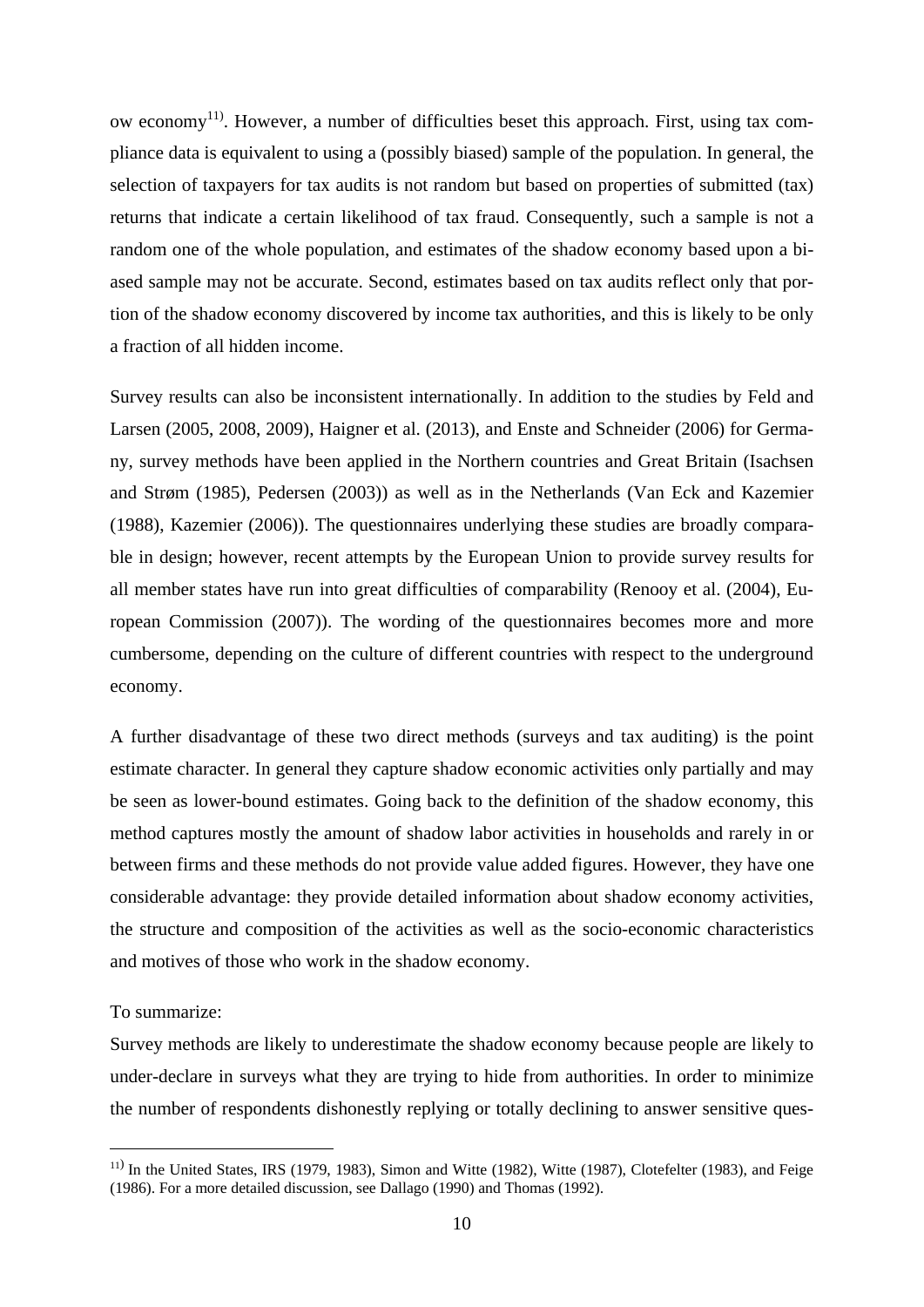ow economy<sup>11)</sup>. However, a number of difficulties beset this approach. First, using tax compliance data is equivalent to using a (possibly biased) sample of the population. In general, the selection of taxpayers for tax audits is not random but based on properties of submitted (tax) returns that indicate a certain likelihood of tax fraud. Consequently, such a sample is not a random one of the whole population, and estimates of the shadow economy based upon a biased sample may not be accurate. Second, estimates based on tax audits reflect only that portion of the shadow economy discovered by income tax authorities, and this is likely to be only a fraction of all hidden income.

Survey results can also be inconsistent internationally. In addition to the studies by Feld and Larsen (2005, 2008, 2009), Haigner et al. (2013), and Enste and Schneider (2006) for Germany, survey methods have been applied in the Northern countries and Great Britain (Isachsen and Strøm (1985), Pedersen (2003)) as well as in the Netherlands (Van Eck and Kazemier (1988), Kazemier (2006)). The questionnaires underlying these studies are broadly comparable in design; however, recent attempts by the European Union to provide survey results for all member states have run into great difficulties of comparability (Renooy et al. (2004), European Commission (2007)). The wording of the questionnaires becomes more and more cumbersome, depending on the culture of different countries with respect to the underground economy.

A further disadvantage of these two direct methods (surveys and tax auditing) is the point estimate character. In general they capture shadow economic activities only partially and may be seen as lower-bound estimates. Going back to the definition of the shadow economy, this method captures mostly the amount of shadow labor activities in households and rarely in or between firms and these methods do not provide value added figures. However, they have one considerable advantage: they provide detailed information about shadow economy activities, the structure and composition of the activities as well as the socio-economic characteristics and motives of those who work in the shadow economy.

#### To summarize:

1

Survey methods are likely to underestimate the shadow economy because people are likely to under-declare in surveys what they are trying to hide from authorities. In order to minimize the number of respondents dishonestly replying or totally declining to answer sensitive ques-

<sup>11)</sup> In the United States, IRS (1979, 1983), Simon and Witte (1982), Witte (1987), Clotefelter (1983), and Feige (1986). For a more detailed discussion, see Dallago (1990) and Thomas (1992).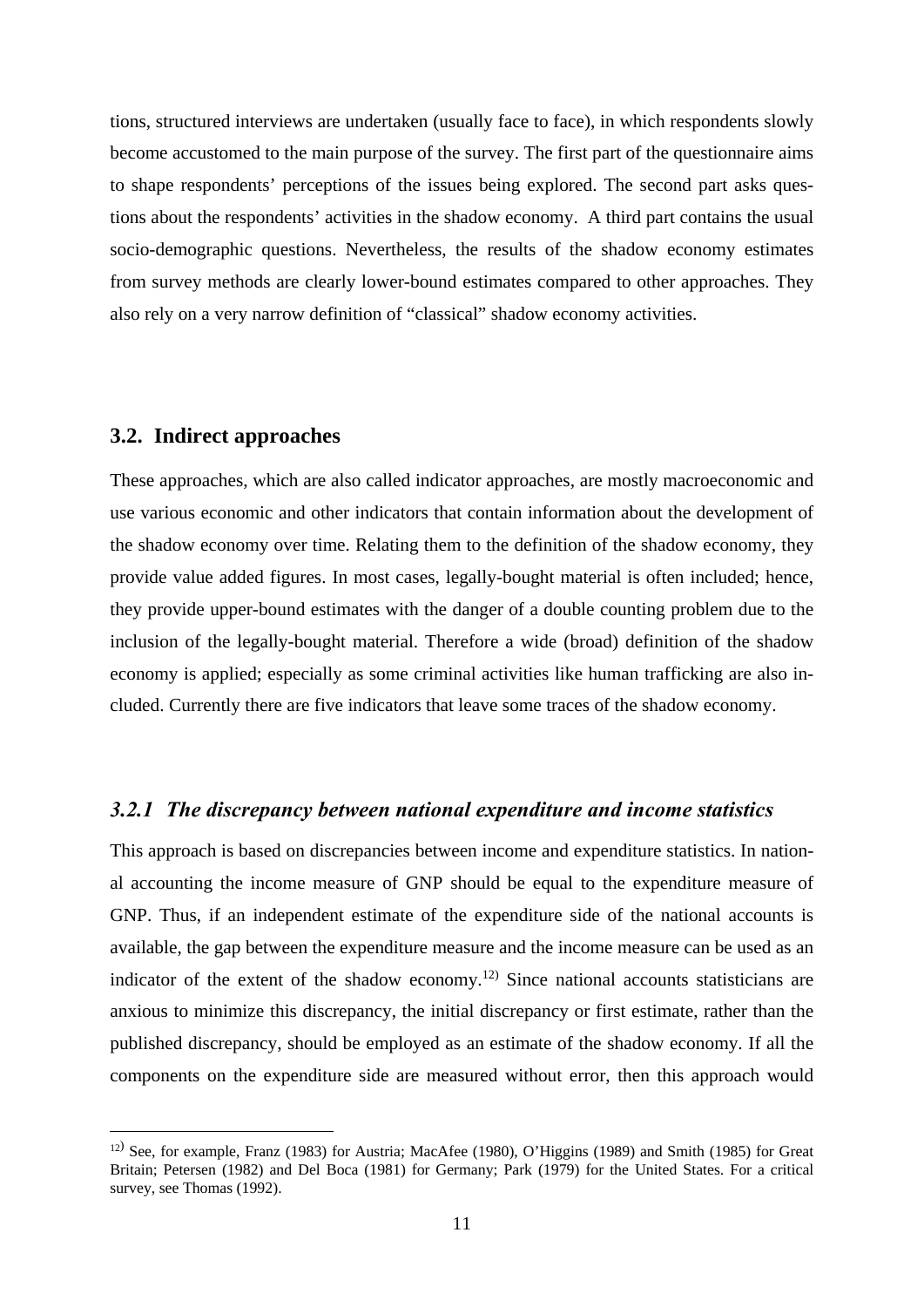tions, structured interviews are undertaken (usually face to face), in which respondents slowly become accustomed to the main purpose of the survey. The first part of the questionnaire aims to shape respondents' perceptions of the issues being explored. The second part asks questions about the respondents' activities in the shadow economy. A third part contains the usual socio-demographic questions. Nevertheless, the results of the shadow economy estimates from survey methods are clearly lower-bound estimates compared to other approaches. They also rely on a very narrow definition of "classical" shadow economy activities.

### **3.2. Indirect approaches**

1

These approaches, which are also called indicator approaches, are mostly macroeconomic and use various economic and other indicators that contain information about the development of the shadow economy over time. Relating them to the definition of the shadow economy, they provide value added figures. In most cases, legally-bought material is often included; hence, they provide upper-bound estimates with the danger of a double counting problem due to the inclusion of the legally-bought material. Therefore a wide (broad) definition of the shadow economy is applied; especially as some criminal activities like human trafficking are also included. Currently there are five indicators that leave some traces of the shadow economy.

### *3.2.1 The discrepancy between national expenditure and income statistics*

This approach is based on discrepancies between income and expenditure statistics. In national accounting the income measure of GNP should be equal to the expenditure measure of GNP. Thus, if an independent estimate of the expenditure side of the national accounts is available, the gap between the expenditure measure and the income measure can be used as an indicator of the extent of the shadow economy.<sup>12)</sup> Since national accounts statisticians are anxious to minimize this discrepancy, the initial discrepancy or first estimate, rather than the published discrepancy, should be employed as an estimate of the shadow economy. If all the components on the expenditure side are measured without error, then this approach would

<sup>&</sup>lt;sup>12)</sup> See, for example, Franz (1983) for Austria; MacAfee (1980), O'Higgins (1989) and Smith (1985) for Great Britain; Petersen (1982) and Del Boca (1981) for Germany; Park (1979) for the United States. For a critical survey, see Thomas (1992).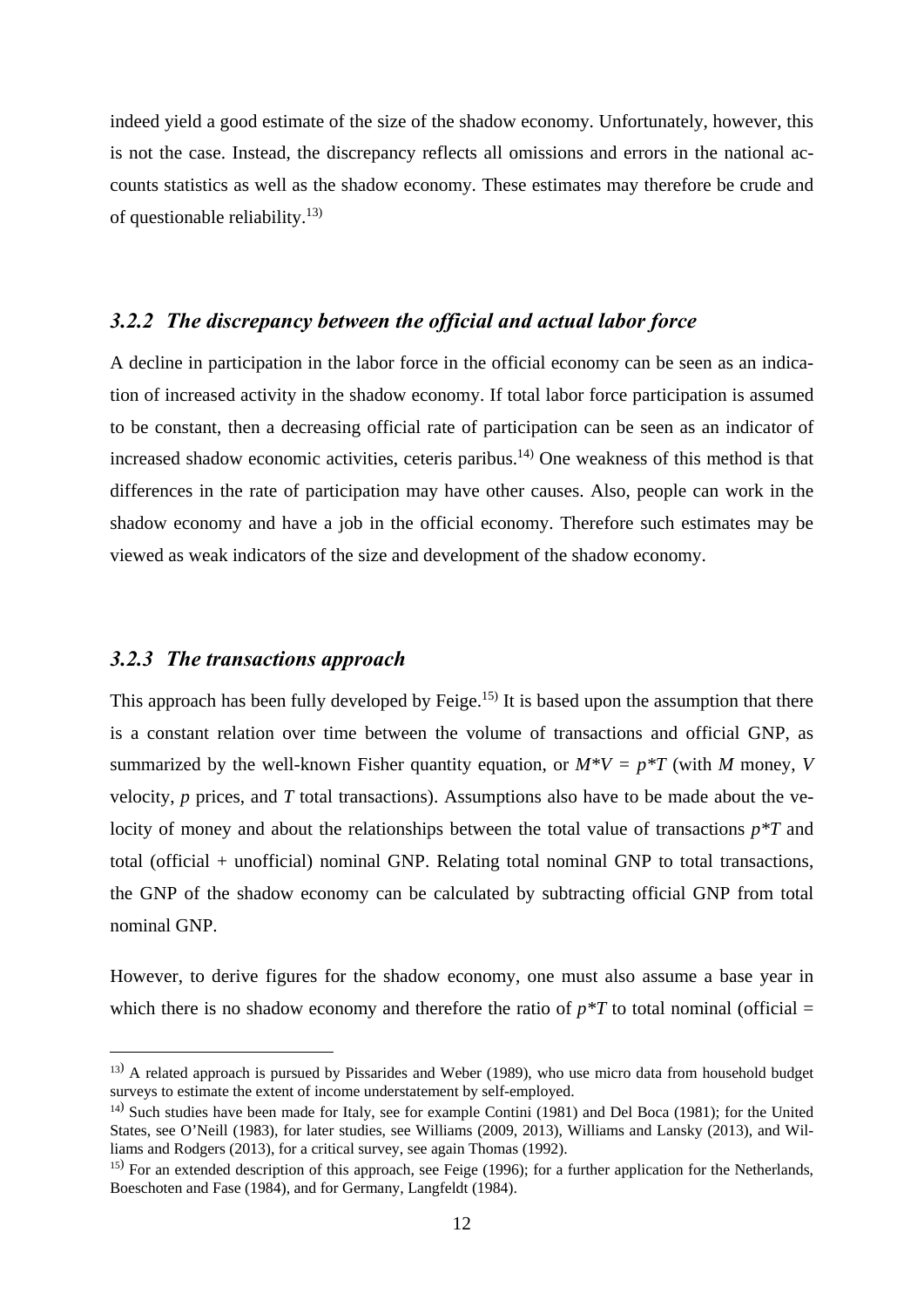indeed yield a good estimate of the size of the shadow economy. Unfortunately, however, this is not the case. Instead, the discrepancy reflects all omissions and errors in the national accounts statistics as well as the shadow economy. These estimates may therefore be crude and of questionable reliability.13)

### *3.2.2 The discrepancy between the official and actual labor force*

A decline in participation in the labor force in the official economy can be seen as an indication of increased activity in the shadow economy. If total labor force participation is assumed to be constant, then a decreasing official rate of participation can be seen as an indicator of increased shadow economic activities, ceteris paribus.<sup>14)</sup> One weakness of this method is that differences in the rate of participation may have other causes. Also, people can work in the shadow economy and have a job in the official economy. Therefore such estimates may be viewed as weak indicators of the size and development of the shadow economy.

#### *3.2.3 The transactions approach*

1

This approach has been fully developed by Feige.<sup>15)</sup> It is based upon the assumption that there is a constant relation over time between the volume of transactions and official GNP, as summarized by the well-known Fisher quantity equation, or  $M^*V = p^*T$  (with *M* money, *V* velocity, *p* prices, and *T* total transactions). Assumptions also have to be made about the velocity of money and about the relationships between the total value of transactions *p\*T* and total (official + unofficial) nominal GNP. Relating total nominal GNP to total transactions, the GNP of the shadow economy can be calculated by subtracting official GNP from total nominal GNP.

However, to derive figures for the shadow economy, one must also assume a base year in which there is no shadow economy and therefore the ratio of  $p^*T$  to total nominal (official =

<sup>&</sup>lt;sup>13)</sup> A related approach is pursued by Pissarides and Weber (1989), who use micro data from household budget surveys to estimate the extent of income understatement by self-employed.

<sup>&</sup>lt;sup>14)</sup> Such studies have been made for Italy, see for example Contini (1981) and Del Boca (1981); for the United States, see O'Neill (1983), for later studies, see Williams (2009, 2013), Williams and Lansky (2013), and Williams and Rodgers  $(2013)$ , for a critical survey, see again Thomas  $(1992)$ .

 $<sup>15)</sup>$  For an extended description of this approach, see Feige (1996); for a further application for the Netherlands,</sup> Boeschoten and Fase (1984), and for Germany, Langfeldt (1984).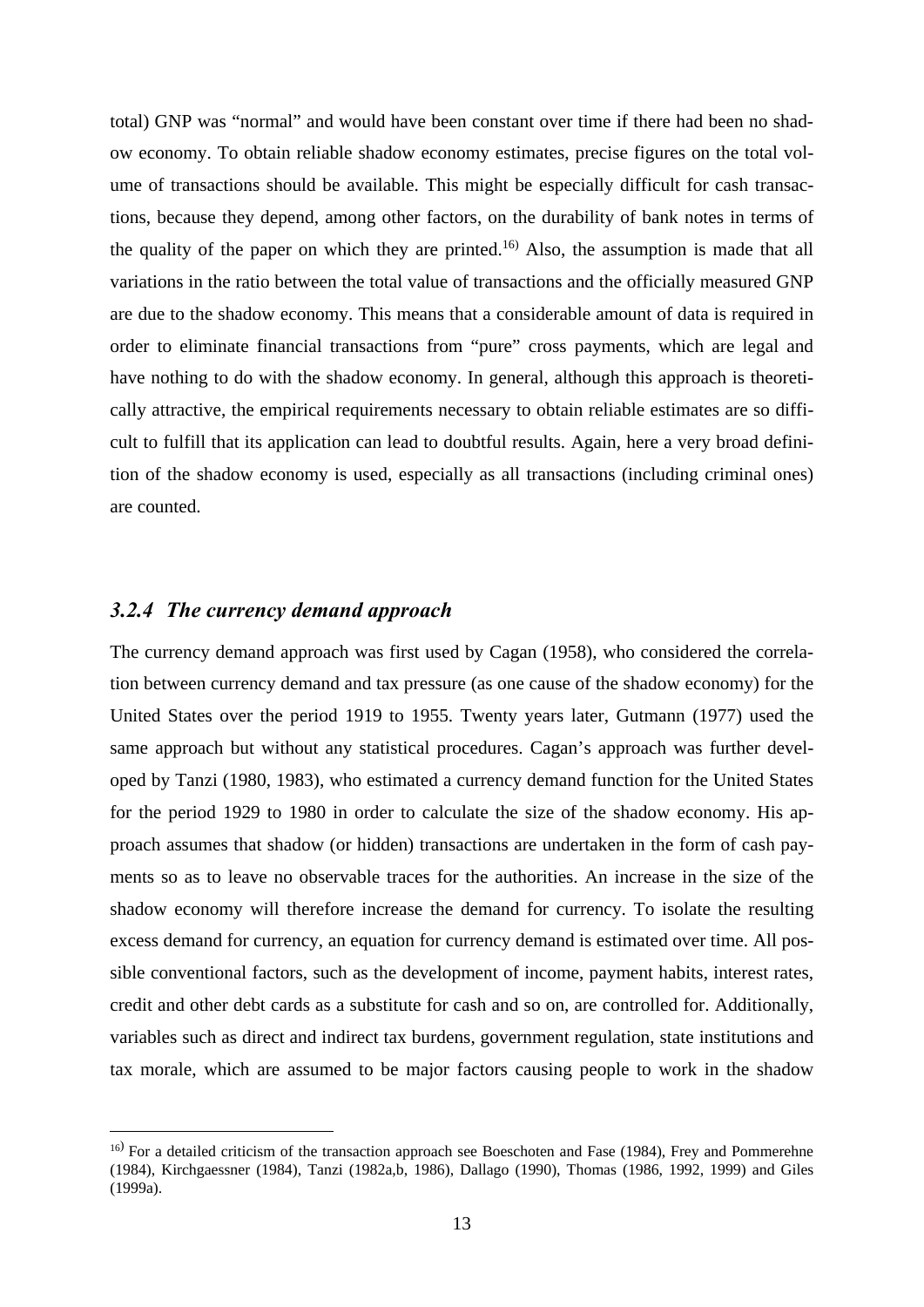total) GNP was "normal" and would have been constant over time if there had been no shadow economy. To obtain reliable shadow economy estimates, precise figures on the total volume of transactions should be available. This might be especially difficult for cash transactions, because they depend, among other factors, on the durability of bank notes in terms of the quality of the paper on which they are printed.<sup>16)</sup> Also, the assumption is made that all variations in the ratio between the total value of transactions and the officially measured GNP are due to the shadow economy. This means that a considerable amount of data is required in order to eliminate financial transactions from "pure" cross payments, which are legal and have nothing to do with the shadow economy. In general, although this approach is theoretically attractive, the empirical requirements necessary to obtain reliable estimates are so difficult to fulfill that its application can lead to doubtful results. Again, here a very broad definition of the shadow economy is used, especially as all transactions (including criminal ones) are counted.

### *3.2.4 The currency demand approach*

1

The currency demand approach was first used by Cagan (1958), who considered the correlation between currency demand and tax pressure (as one cause of the shadow economy) for the United States over the period 1919 to 1955. Twenty years later, Gutmann (1977) used the same approach but without any statistical procedures. Cagan's approach was further developed by Tanzi (1980, 1983), who estimated a currency demand function for the United States for the period 1929 to 1980 in order to calculate the size of the shadow economy. His approach assumes that shadow (or hidden) transactions are undertaken in the form of cash payments so as to leave no observable traces for the authorities. An increase in the size of the shadow economy will therefore increase the demand for currency. To isolate the resulting excess demand for currency, an equation for currency demand is estimated over time. All possible conventional factors, such as the development of income, payment habits, interest rates, credit and other debt cards as a substitute for cash and so on, are controlled for. Additionally, variables such as direct and indirect tax burdens, government regulation, state institutions and tax morale, which are assumed to be major factors causing people to work in the shadow

<sup>&</sup>lt;sup>16)</sup> For a detailed criticism of the transaction approach see Boeschoten and Fase (1984), Frey and Pommerehne (1984), Kirchgaessner (1984), Tanzi (1982a,b, 1986), Dallago (1990), Thomas (1986, 1992, 1999) and Giles (1999a).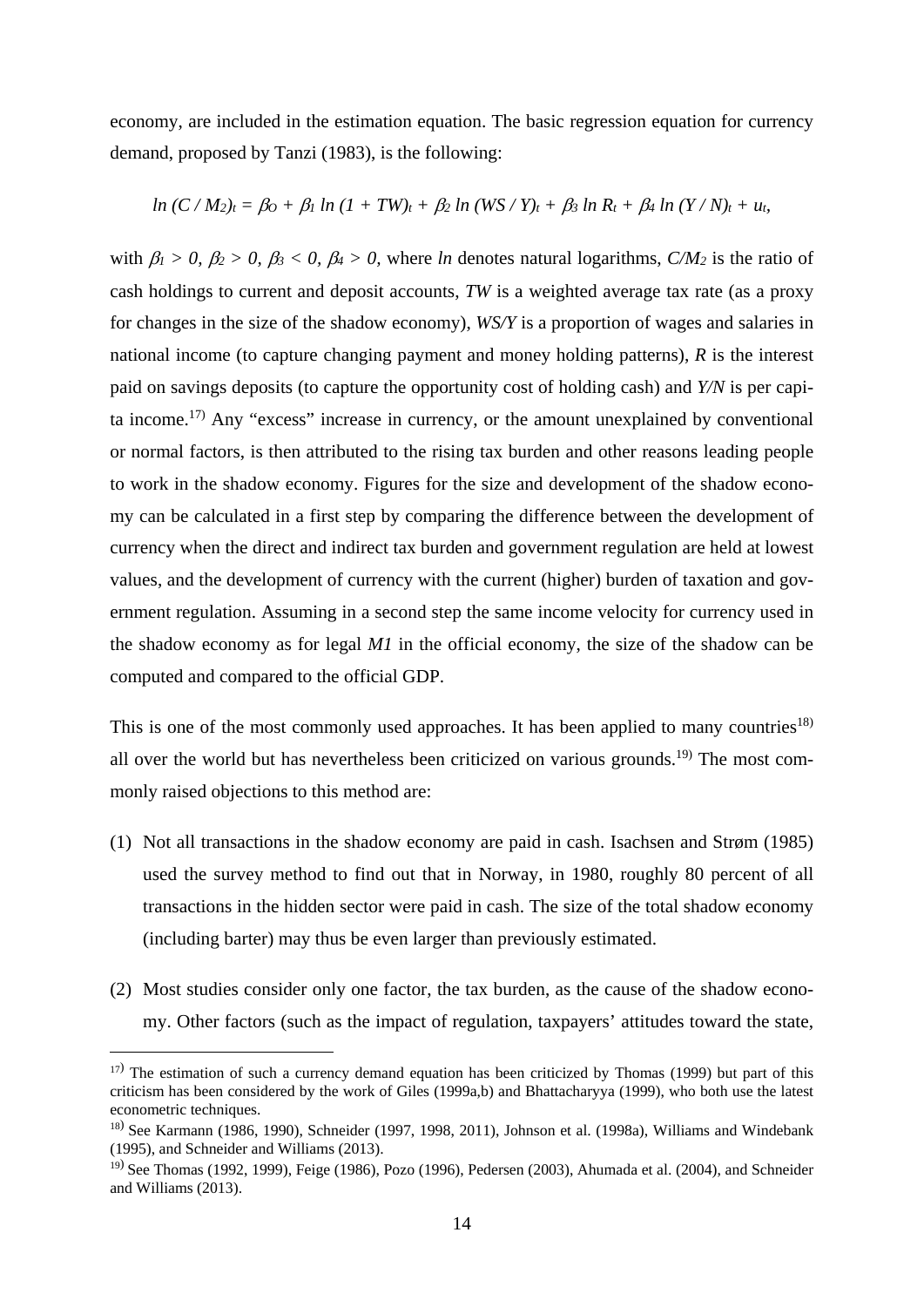economy, are included in the estimation equation. The basic regression equation for currency demand, proposed by Tanzi (1983), is the following:

$$
ln (C/M_2)_t = \beta_0 + \beta_1 ln (1 + TW)_t + \beta_2 ln (WS/Y)_t + \beta_3 ln R_t + \beta_4 ln (Y/N)_t + u_t,
$$

with  $\beta_1 > 0$ ,  $\beta_2 > 0$ ,  $\beta_3 < 0$ ,  $\beta_4 > 0$ , where *ln* denotes natural logarithms, *C/M<sub>2</sub>* is the ratio of cash holdings to current and deposit accounts, *TW* is a weighted average tax rate (as a proxy for changes in the size of the shadow economy), *WS/Y* is a proportion of wages and salaries in national income (to capture changing payment and money holding patterns), *R* is the interest paid on savings deposits (to capture the opportunity cost of holding cash) and *Y/N* is per capita income.<sup>17)</sup> Any "excess" increase in currency, or the amount unexplained by conventional or normal factors, is then attributed to the rising tax burden and other reasons leading people to work in the shadow economy. Figures for the size and development of the shadow economy can be calculated in a first step by comparing the difference between the development of currency when the direct and indirect tax burden and government regulation are held at lowest values, and the development of currency with the current (higher) burden of taxation and government regulation. Assuming in a second step the same income velocity for currency used in the shadow economy as for legal *M1* in the official economy, the size of the shadow can be computed and compared to the official GDP.

This is one of the most commonly used approaches. It has been applied to many countries<sup>18)</sup> all over the world but has nevertheless been criticized on various grounds.<sup>19)</sup> The most commonly raised objections to this method are:

- (1) Not all transactions in the shadow economy are paid in cash. Isachsen and Strøm (1985) used the survey method to find out that in Norway, in 1980, roughly 80 percent of all transactions in the hidden sector were paid in cash. The size of the total shadow economy (including barter) may thus be even larger than previously estimated.
- (2) Most studies consider only one factor, the tax burden, as the cause of the shadow economy. Other factors (such as the impact of regulation, taxpayers' attitudes toward the state,

1

<sup>&</sup>lt;sup>17)</sup> The estimation of such a currency demand equation has been criticized by Thomas (1999) but part of this criticism has been considered by the work of Giles (1999a,b) and Bhattacharyya (1999), who both use the latest econometric techniques.

<sup>18)</sup> See Karmann (1986, 1990), Schneider (1997, 1998, 2011), Johnson et al. (1998a), Williams and Windebank (1995), and Schneider and Williams (2013).

<sup>19)</sup> See Thomas (1992, 1999), Feige (1986), Pozo (1996), Pedersen (2003), Ahumada et al. (2004), and Schneider and Williams (2013).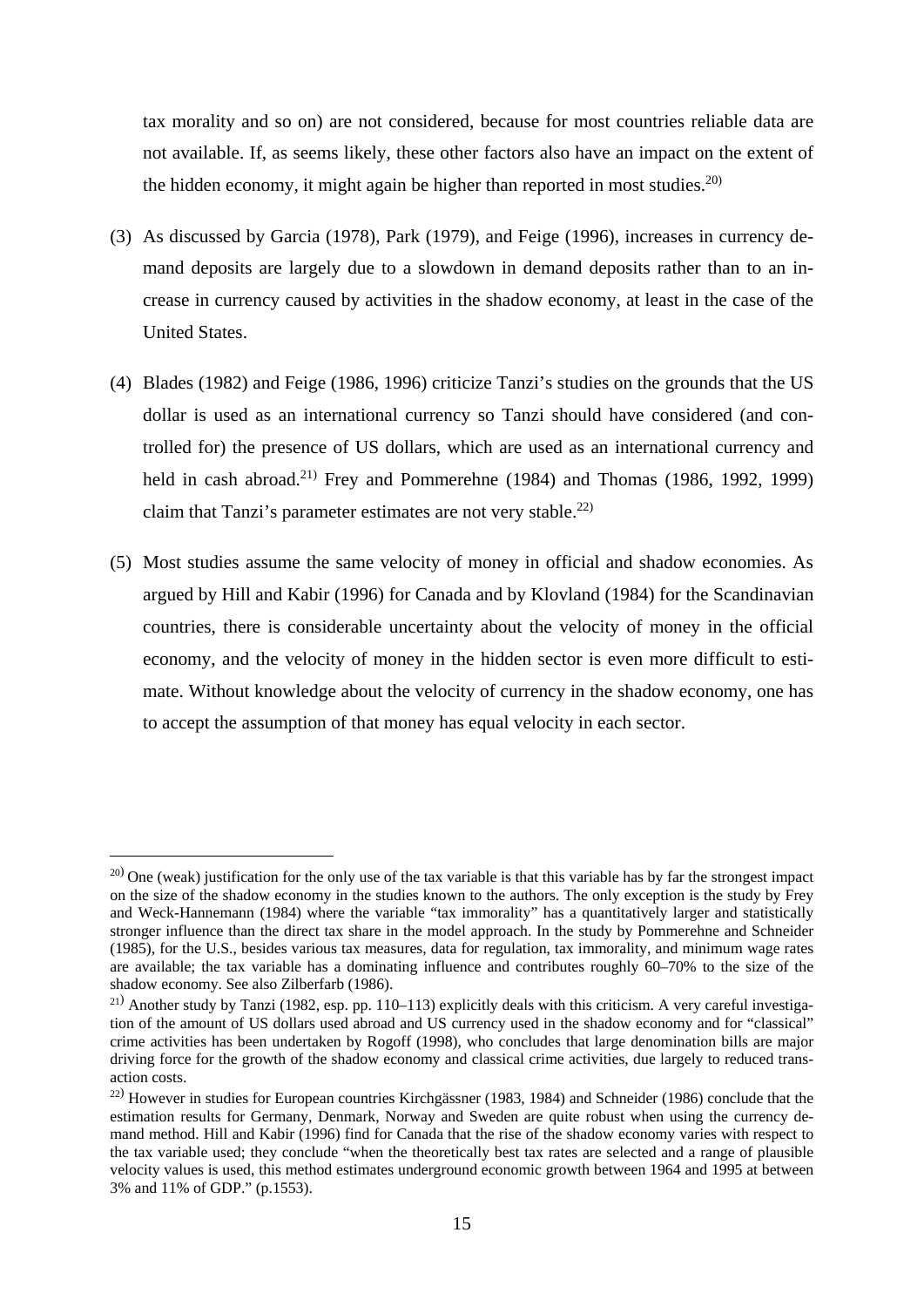tax morality and so on) are not considered, because for most countries reliable data are not available. If, as seems likely, these other factors also have an impact on the extent of the hidden economy, it might again be higher than reported in most studies.<sup>20)</sup>

- (3) As discussed by Garcia (1978), Park (1979), and Feige (1996), increases in currency demand deposits are largely due to a slowdown in demand deposits rather than to an increase in currency caused by activities in the shadow economy, at least in the case of the United States.
- (4) Blades (1982) and Feige (1986, 1996) criticize Tanzi's studies on the grounds that the US dollar is used as an international currency so Tanzi should have considered (and controlled for) the presence of US dollars, which are used as an international currency and held in cash abroad.<sup>21)</sup> Frey and Pommerehne (1984) and Thomas (1986, 1992, 1999) claim that Tanzi's parameter estimates are not very stable.<sup>22)</sup>
- (5) Most studies assume the same velocity of money in official and shadow economies. As argued by Hill and Kabir (1996) for Canada and by Klovland (1984) for the Scandinavian countries, there is considerable uncertainty about the velocity of money in the official economy, and the velocity of money in the hidden sector is even more difficult to estimate. Without knowledge about the velocity of currency in the shadow economy, one has to accept the assumption of that money has equal velocity in each sector.

1

 $^{20)}$  One (weak) justification for the only use of the tax variable is that this variable has by far the strongest impact on the size of the shadow economy in the studies known to the authors. The only exception is the study by Frey and Weck-Hannemann (1984) where the variable "tax immorality" has a quantitatively larger and statistically stronger influence than the direct tax share in the model approach. In the study by Pommerehne and Schneider (1985), for the U.S., besides various tax measures, data for regulation, tax immorality, and minimum wage rates are available; the tax variable has a dominating influence and contributes roughly 60–70% to the size of the shadow economy. See also Zilberfarb (1986).

 $^{21)}$  Another study by Tanzi (1982, esp. pp. 110–113) explicitly deals with this criticism. A very careful investigation of the amount of US dollars used abroad and US currency used in the shadow economy and for "classical" crime activities has been undertaken by Rogoff (1998), who concludes that large denomination bills are major driving force for the growth of the shadow economy and classical crime activities, due largely to reduced transaction costs.

<sup>&</sup>lt;sup>22)</sup> However in studies for European countries Kirchgässner (1983, 1984) and Schneider (1986) conclude that the estimation results for Germany, Denmark, Norway and Sweden are quite robust when using the currency demand method. Hill and Kabir (1996) find for Canada that the rise of the shadow economy varies with respect to the tax variable used; they conclude "when the theoretically best tax rates are selected and a range of plausible velocity values is used, this method estimates underground economic growth between 1964 and 1995 at between 3% and 11% of GDP." (p.1553).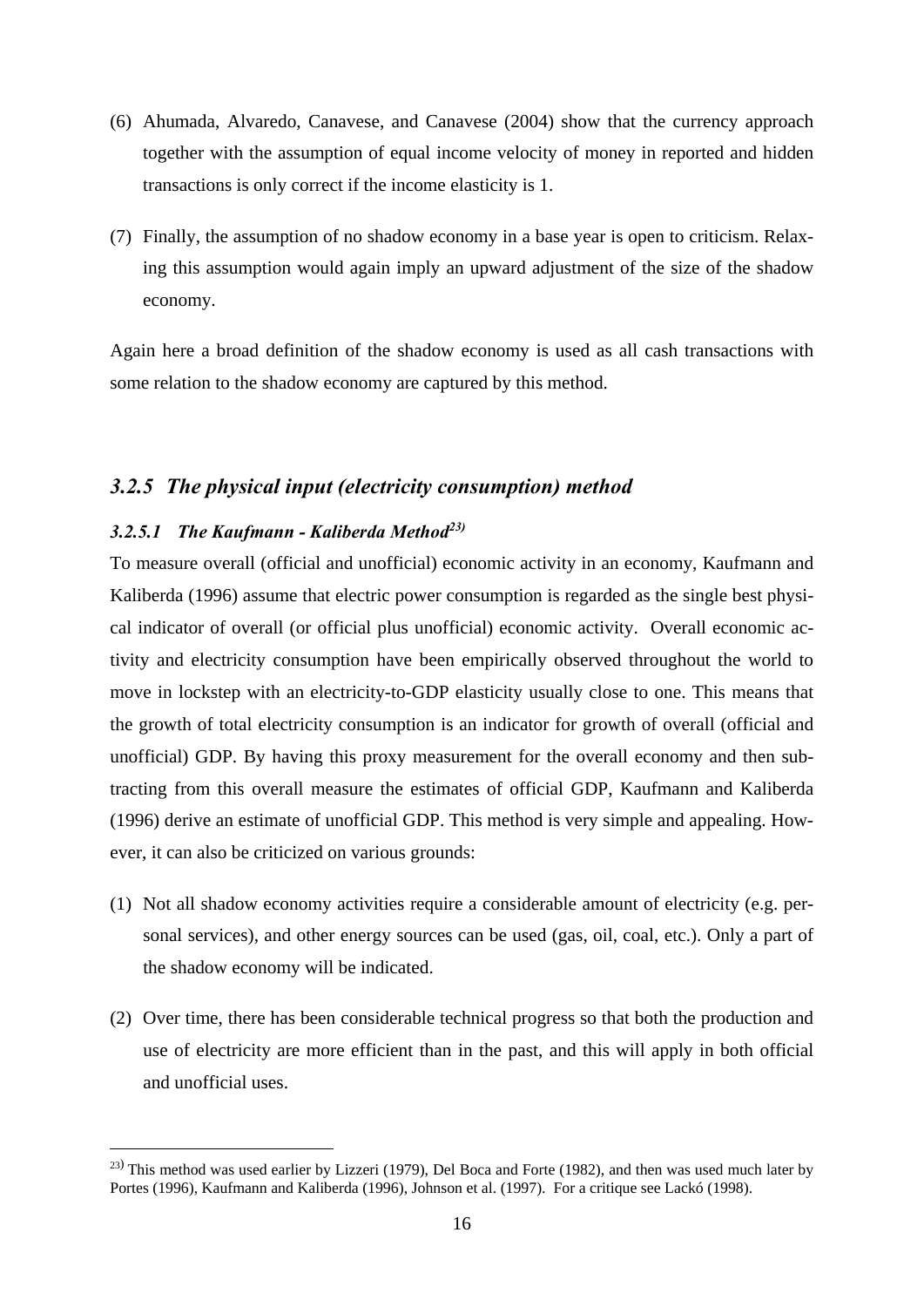- (6) Ahumada, Alvaredo, Canavese, and Canavese (2004) show that the currency approach together with the assumption of equal income velocity of money in reported and hidden transactions is only correct if the income elasticity is 1.
- (7) Finally, the assumption of no shadow economy in a base year is open to criticism. Relaxing this assumption would again imply an upward adjustment of the size of the shadow economy.

Again here a broad definition of the shadow economy is used as all cash transactions with some relation to the shadow economy are captured by this method.

### *3.2.5 The physical input (electricity consumption) method*

### *3.2.5.1 The Kaufmann - Kaliberda Method23)*

1

To measure overall (official and unofficial) economic activity in an economy, Kaufmann and Kaliberda (1996) assume that electric power consumption is regarded as the single best physical indicator of overall (or official plus unofficial) economic activity. Overall economic activity and electricity consumption have been empirically observed throughout the world to move in lockstep with an electricity-to-GDP elasticity usually close to one. This means that the growth of total electricity consumption is an indicator for growth of overall (official and unofficial) GDP. By having this proxy measurement for the overall economy and then subtracting from this overall measure the estimates of official GDP, Kaufmann and Kaliberda (1996) derive an estimate of unofficial GDP. This method is very simple and appealing. However, it can also be criticized on various grounds:

- (1) Not all shadow economy activities require a considerable amount of electricity (e.g. personal services), and other energy sources can be used (gas, oil, coal, etc.). Only a part of the shadow economy will be indicated.
- (2) Over time, there has been considerable technical progress so that both the production and use of electricity are more efficient than in the past, and this will apply in both official and unofficial uses.

<sup>&</sup>lt;sup>23)</sup> This method was used earlier by Lizzeri (1979), Del Boca and Forte (1982), and then was used much later by Portes (1996), Kaufmann and Kaliberda (1996), Johnson et al. (1997). For a critique see Lackó (1998).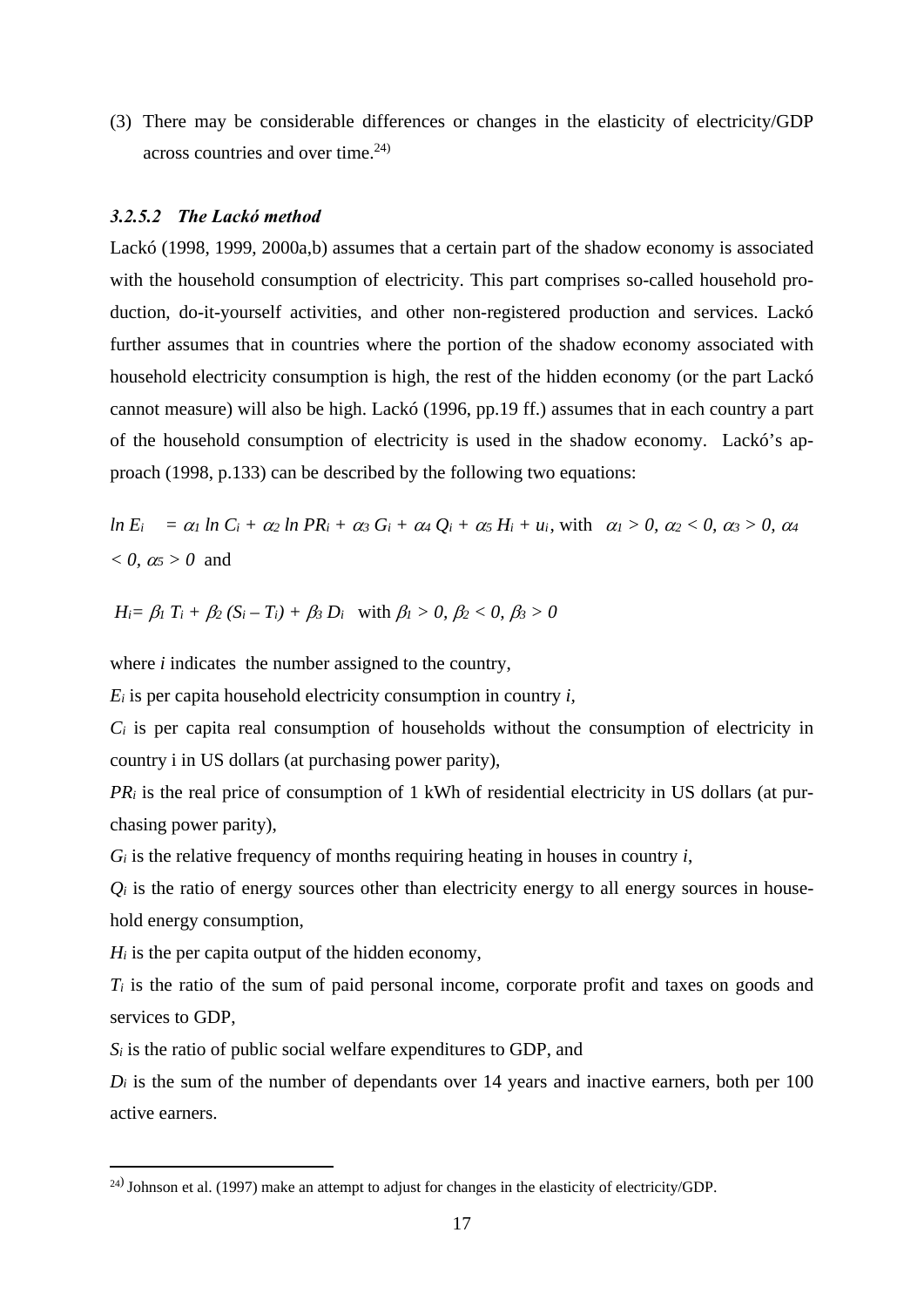(3) There may be considerable differences or changes in the elasticity of electricity/GDP across countries and over time. $24$ )

#### *3.2.5.2 The Lackó method*

Lackó (1998, 1999, 2000a,b) assumes that a certain part of the shadow economy is associated with the household consumption of electricity. This part comprises so-called household production, do-it-yourself activities, and other non-registered production and services. Lackó further assumes that in countries where the portion of the shadow economy associated with household electricity consumption is high, the rest of the hidden economy (or the part Lackó cannot measure) will also be high. Lackó (1996, pp.19 ff.) assumes that in each country a part of the household consumption of electricity is used in the shadow economy. Lackó's approach (1998, p.133) can be described by the following two equations:

*ln E<sub>i</sub>* =  $\alpha_1$  ln C<sub>i</sub> +  $\alpha_2$  ln PR<sub>i</sub> +  $\alpha_3$  G<sub>i</sub> +  $\alpha_4$  O<sub>i</sub> +  $\alpha_5$  H<sub>i</sub> +  $u_i$ , with  $\alpha_1 > 0$ ,  $\alpha_2 < 0$ ,  $\alpha_3 > 0$ ,  $\alpha_4$  $< 0$ ,  $\alpha_5 > 0$  and

$$
H_i = \beta_1 T_i + \beta_2 (S_i - T_i) + \beta_3 D_i \text{ with } \beta_1 > 0, \ \beta_2 < 0, \ \beta_3 > 0
$$

where *i* indicates the number assigned to the country,

 $E_i$  is per capita household electricity consumption in country  $i$ ,

 $C_i$  is per capita real consumption of households without the consumption of electricity in country i in US dollars (at purchasing power parity),

*PR<sub>i</sub>* is the real price of consumption of 1 kWh of residential electricity in US dollars (at purchasing power parity),

*Gi* is the relative frequency of months requiring heating in houses in country *i*,

 $Q_i$  is the ratio of energy sources other than electricity energy to all energy sources in household energy consumption,

 $H_i$  is the per capita output of the hidden economy,

1

*Ti* is the ratio of the sum of paid personal income, corporate profit and taxes on goods and services to GDP,

 $S_i$  is the ratio of public social welfare expenditures to GDP, and

 $D_i$  is the sum of the number of dependants over 14 years and inactive earners, both per 100 active earners.

<sup>&</sup>lt;sup>24)</sup> Johnson et al. (1997) make an attempt to adjust for changes in the elasticity of electricity/GDP.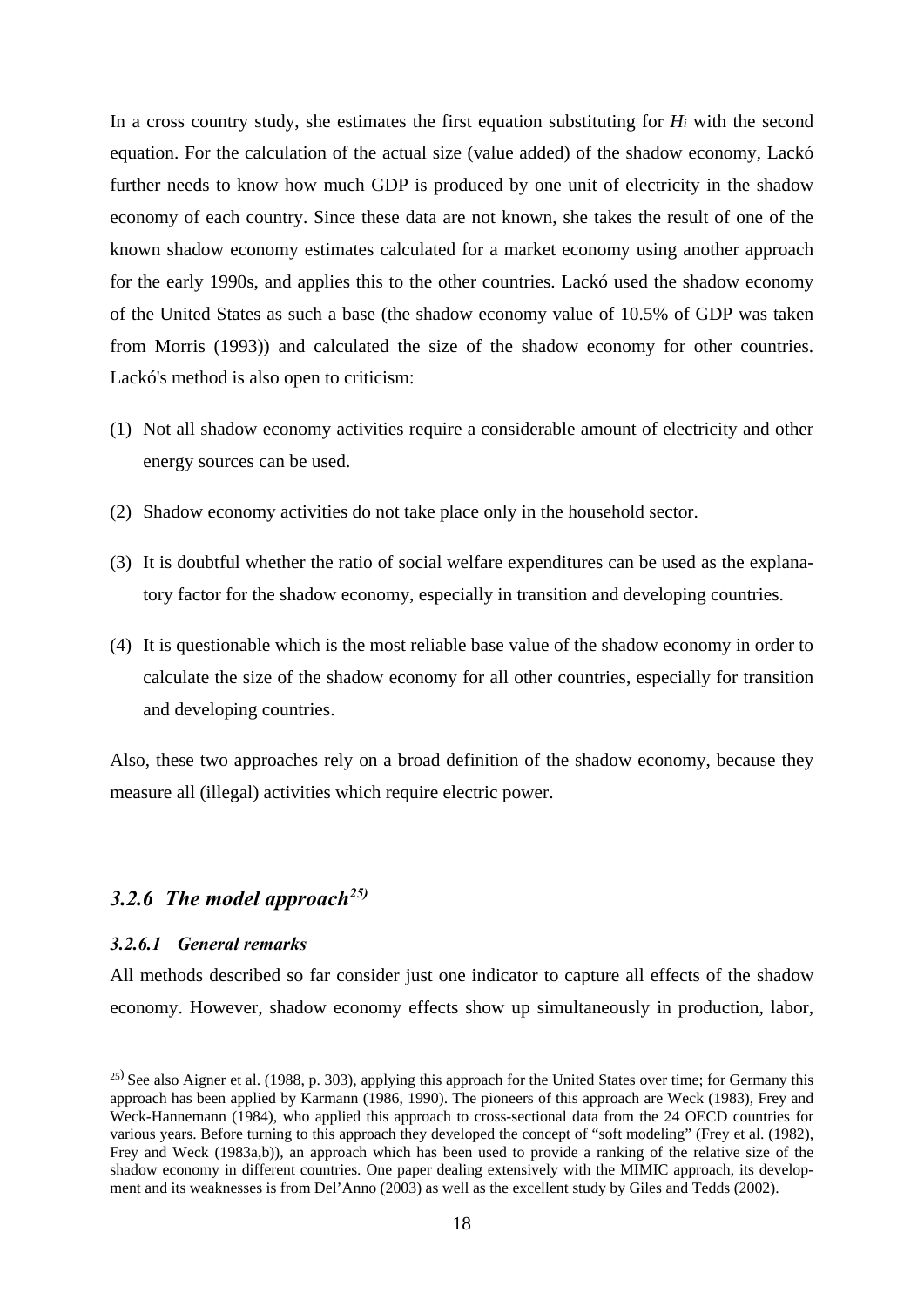In a cross country study, she estimates the first equation substituting for *Hi* with the second equation. For the calculation of the actual size (value added) of the shadow economy, Lackó further needs to know how much GDP is produced by one unit of electricity in the shadow economy of each country. Since these data are not known, she takes the result of one of the known shadow economy estimates calculated for a market economy using another approach for the early 1990s, and applies this to the other countries. Lackó used the shadow economy of the United States as such a base (the shadow economy value of 10.5% of GDP was taken from Morris (1993)) and calculated the size of the shadow economy for other countries. Lackó's method is also open to criticism:

- (1) Not all shadow economy activities require a considerable amount of electricity and other energy sources can be used.
- (2) Shadow economy activities do not take place only in the household sector.
- (3) It is doubtful whether the ratio of social welfare expenditures can be used as the explanatory factor for the shadow economy, especially in transition and developing countries.
- (4) It is questionable which is the most reliable base value of the shadow economy in order to calculate the size of the shadow economy for all other countries, especially for transition and developing countries.

Also, these two approaches rely on a broad definition of the shadow economy, because they measure all (illegal) activities which require electric power.

### *3.2.6 The model approach25)*

#### *3.2.6.1 General remarks*

1

All methods described so far consider just one indicator to capture all effects of the shadow economy. However, shadow economy effects show up simultaneously in production, labor,

<sup>&</sup>lt;sup>25)</sup> See also Aigner et al. (1988, p. 303), applying this approach for the United States over time; for Germany this approach has been applied by Karmann (1986, 1990). The pioneers of this approach are Weck (1983), Frey and Weck-Hannemann (1984), who applied this approach to cross-sectional data from the 24 OECD countries for various years. Before turning to this approach they developed the concept of "soft modeling" (Frey et al. (1982), Frey and Weck (1983a,b)), an approach which has been used to provide a ranking of the relative size of the shadow economy in different countries. One paper dealing extensively with the MIMIC approach, its development and its weaknesses is from Del'Anno (2003) as well as the excellent study by Giles and Tedds (2002).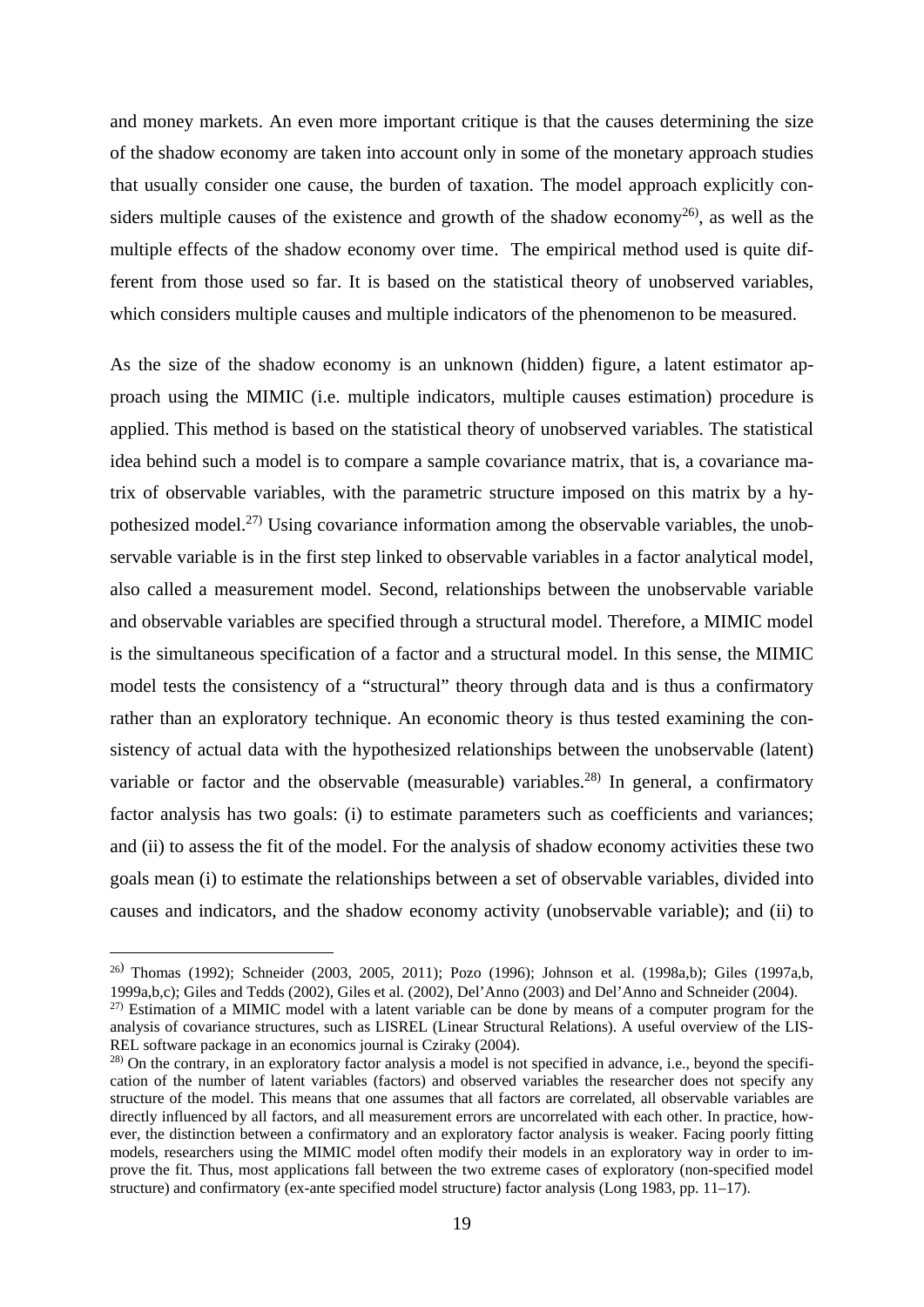and money markets. An even more important critique is that the causes determining the size of the shadow economy are taken into account only in some of the monetary approach studies that usually consider one cause, the burden of taxation. The model approach explicitly considers multiple causes of the existence and growth of the shadow economy<sup>26</sup>, as well as the multiple effects of the shadow economy over time. The empirical method used is quite different from those used so far. It is based on the statistical theory of unobserved variables, which considers multiple causes and multiple indicators of the phenomenon to be measured.

As the size of the shadow economy is an unknown (hidden) figure, a latent estimator approach using the MIMIC (i.e. multiple indicators, multiple causes estimation) procedure is applied. This method is based on the statistical theory of unobserved variables. The statistical idea behind such a model is to compare a sample covariance matrix, that is, a covariance matrix of observable variables, with the parametric structure imposed on this matrix by a hypothesized model.<sup>27)</sup> Using covariance information among the observable variables, the unobservable variable is in the first step linked to observable variables in a factor analytical model, also called a measurement model. Second, relationships between the unobservable variable and observable variables are specified through a structural model. Therefore, a MIMIC model is the simultaneous specification of a factor and a structural model. In this sense, the MIMIC model tests the consistency of a "structural" theory through data and is thus a confirmatory rather than an exploratory technique. An economic theory is thus tested examining the consistency of actual data with the hypothesized relationships between the unobservable (latent) variable or factor and the observable (measurable) variables.<sup>28)</sup> In general, a confirmatory factor analysis has two goals: (i) to estimate parameters such as coefficients and variances; and (ii) to assess the fit of the model. For the analysis of shadow economy activities these two goals mean (i) to estimate the relationships between a set of observable variables, divided into causes and indicators, and the shadow economy activity (unobservable variable); and (ii) to

1

<sup>26)</sup> Thomas (1992); Schneider (2003, 2005, 2011); Pozo (1996); Johnson et al. (1998a,b); Giles (1997a,b, 1999a,b,c); Giles and Tedds (2002), Giles et al. (2002), Del'Anno (2003) and Del'Anno and Schneider (2004).

 $27)$  Estimation of a MIMIC model with a latent variable can be done by means of a computer program for the analysis of covariance structures, such as LISREL (Linear Structural Relations). A useful overview of the LIS-REL software package in an economics journal is Cziraky (2004).

 $^{28}$ ) On the contrary, in an exploratory factor analysis a model is not specified in advance, i.e., beyond the specification of the number of latent variables (factors) and observed variables the researcher does not specify any structure of the model. This means that one assumes that all factors are correlated, all observable variables are directly influenced by all factors, and all measurement errors are uncorrelated with each other. In practice, however, the distinction between a confirmatory and an exploratory factor analysis is weaker. Facing poorly fitting models, researchers using the MIMIC model often modify their models in an exploratory way in order to improve the fit. Thus, most applications fall between the two extreme cases of exploratory (non-specified model structure) and confirmatory (ex-ante specified model structure) factor analysis (Long 1983, pp. 11–17).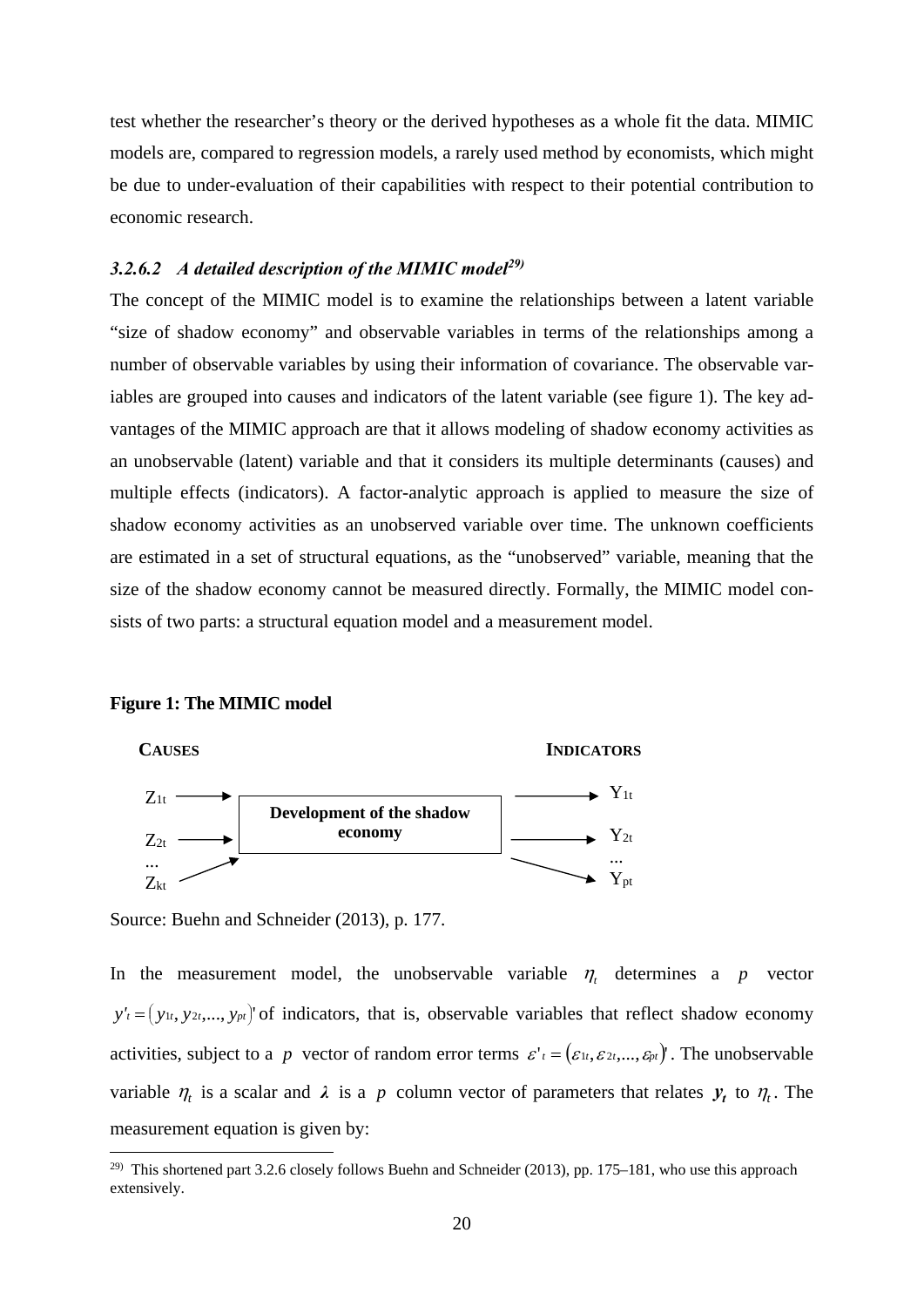test whether the researcher's theory or the derived hypotheses as a whole fit the data. MIMIC models are, compared to regression models, a rarely used method by economists, which might be due to under-evaluation of their capabilities with respect to their potential contribution to economic research.

### *3.2.6.2 A detailed description of the MIMIC model29)*

The concept of the MIMIC model is to examine the relationships between a latent variable "size of shadow economy" and observable variables in terms of the relationships among a number of observable variables by using their information of covariance. The observable variables are grouped into causes and indicators of the latent variable (see figure 1). The key advantages of the MIMIC approach are that it allows modeling of shadow economy activities as an unobservable (latent) variable and that it considers its multiple determinants (causes) and multiple effects (indicators). A factor-analytic approach is applied to measure the size of shadow economy activities as an unobserved variable over time. The unknown coefficients are estimated in a set of structural equations, as the "unobserved" variable, meaning that the size of the shadow economy cannot be measured directly. Formally, the MIMIC model consists of two parts: a structural equation model and a measurement model.

#### **Figure 1: The MIMIC model**

<u>.</u>



Source: Buehn and Schneider (2013), p. 177.

In the measurement model, the unobservable variable  $\eta_t$  determines a *p* vector  $y'_{t} = (y_{1t}, y_{2t},..., y_{pt})'$  of indicators, that is, observable variables that reflect shadow economy activities, subject to a *p* vector of random error terms  $\varepsilon'_{t} = (\varepsilon_{1t}, \varepsilon_{2t}, ..., \varepsilon_{pt})$ . The unobservable variable  $\eta_t$  is a scalar and  $\lambda$  is a *p* column vector of parameters that relates  $y_t$  to  $\eta_t$ . The measurement equation is given by:

<sup>&</sup>lt;sup>29)</sup> This shortened part 3.2.6 closely follows Buehn and Schneider (2013), pp. 175–181, who use this approach extensively.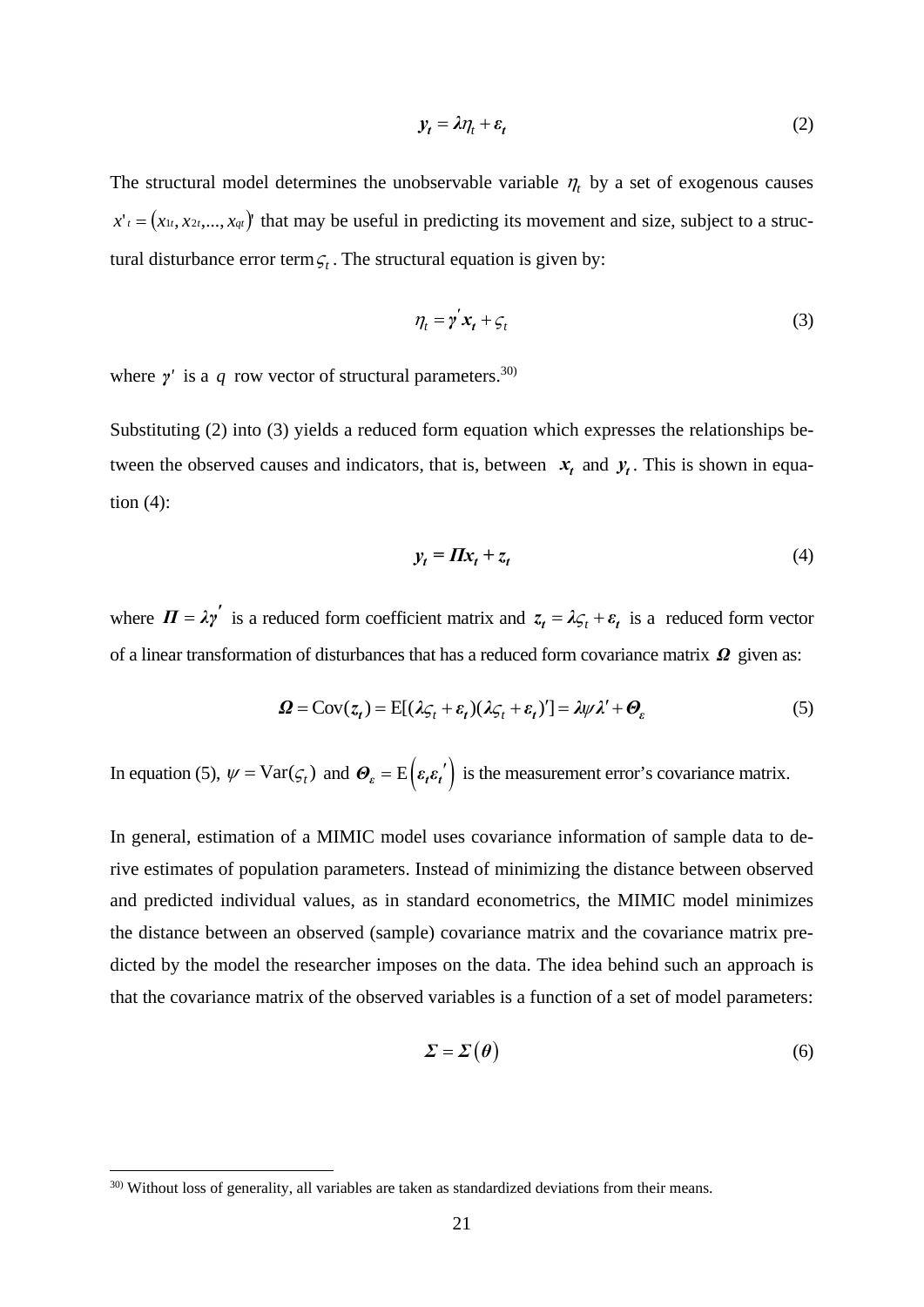$$
y_t = \lambda \eta_t + \varepsilon_t \tag{2}
$$

The structural model determines the unobservable variable  $\eta_t$  by a set of exogenous causes  $x'$ <sup>t</sup> =  $(x_1, x_2, ..., x_q)$  that may be useful in predicting its movement and size, subject to a structural disturbance error term  $\zeta_t$ . The structural equation is given by:

$$
\eta_t = \gamma' x_t + \varsigma_t \tag{3}
$$

where  $\gamma'$  is a *q* row vector of structural parameters.<sup>30)</sup>

Substituting (2) into (3) yields a reduced form equation which expresses the relationships between the observed causes and indicators, that is, between  $x_t$  and  $y_t$ . This is shown in equation  $(4)$ :

$$
y_t = \Pi x_t + z_t \tag{4}
$$

where  $I\mathbf{I} = \lambda \gamma'$  is a reduced form coefficient matrix and  $z_t = \lambda \varsigma_t + \varepsilon_t$  is a reduced form vector of a linear transformation of disturbances that has a reduced form covariance matrix *Ω* given as:

$$
\mathbf{\Omega} = \text{Cov}(\mathbf{z}_t) = \text{E}[(\lambda \mathbf{\zeta}_t + \mathbf{\varepsilon}_t)(\lambda \mathbf{\zeta}_t + \mathbf{\varepsilon}_t)'] = \lambda \psi \lambda' + \mathbf{\Theta}_{\varepsilon}
$$
(5)

In equation (5),  $\psi = \text{Var}(\zeta_t)$  and  $\boldsymbol{\Theta}_{\varepsilon} = E\left(\boldsymbol{\varepsilon}_t \boldsymbol{\varepsilon}_t'\right)$  is the measurement error's covariance matrix.

In general, estimation of a MIMIC model uses covariance information of sample data to derive estimates of population parameters. Instead of minimizing the distance between observed and predicted individual values, as in standard econometrics, the MIMIC model minimizes the distance between an observed (sample) covariance matrix and the covariance matrix predicted by the model the researcher imposes on the data. The idea behind such an approach is that the covariance matrix of the observed variables is a function of a set of model parameters:

$$
\Sigma = \Sigma(\theta) \tag{6}
$$

1

<sup>30)</sup> Without loss of generality, all variables are taken as standardized deviations from their means.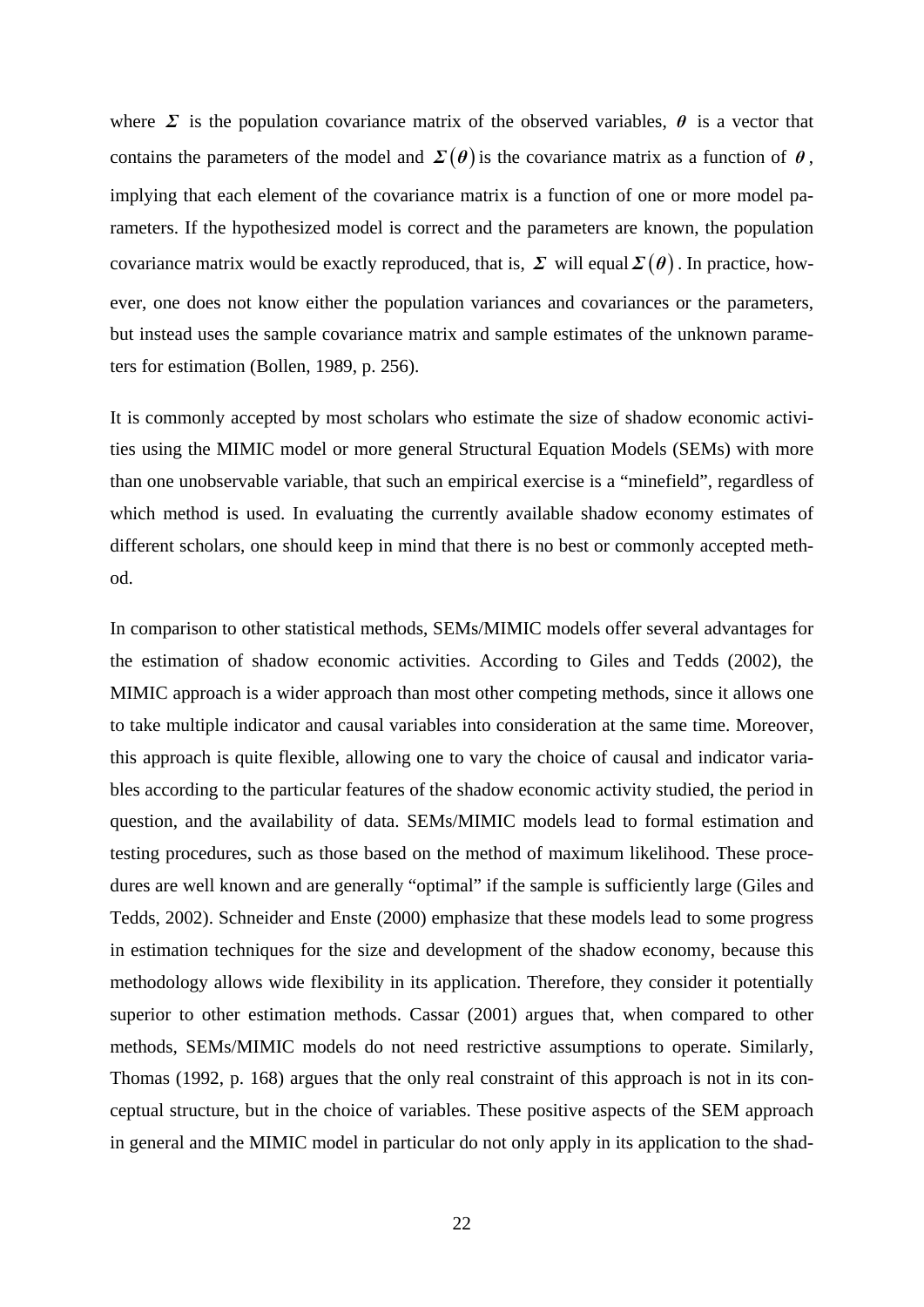where  $\Sigma$  is the population covariance matrix of the observed variables,  $\theta$  is a vector that contains the parameters of the model and  $\Sigma(\theta)$  is the covariance matrix as a function of  $\theta$ , implying that each element of the covariance matrix is a function of one or more model parameters. If the hypothesized model is correct and the parameters are known, the population covariance matrix would be exactly reproduced, that is,  $\Sigma$  will equal  $\Sigma(\theta)$ . In practice, however, one does not know either the population variances and covariances or the parameters, but instead uses the sample covariance matrix and sample estimates of the unknown parameters for estimation (Bollen, 1989, p. 256).

It is commonly accepted by most scholars who estimate the size of shadow economic activities using the MIMIC model or more general Structural Equation Models (SEMs) with more than one unobservable variable, that such an empirical exercise is a "minefield", regardless of which method is used. In evaluating the currently available shadow economy estimates of different scholars, one should keep in mind that there is no best or commonly accepted method.

In comparison to other statistical methods, SEMs/MIMIC models offer several advantages for the estimation of shadow economic activities. According to Giles and Tedds (2002), the MIMIC approach is a wider approach than most other competing methods, since it allows one to take multiple indicator and causal variables into consideration at the same time. Moreover, this approach is quite flexible, allowing one to vary the choice of causal and indicator variables according to the particular features of the shadow economic activity studied, the period in question, and the availability of data. SEMs/MIMIC models lead to formal estimation and testing procedures, such as those based on the method of maximum likelihood. These procedures are well known and are generally "optimal" if the sample is sufficiently large (Giles and Tedds, 2002). Schneider and Enste (2000) emphasize that these models lead to some progress in estimation techniques for the size and development of the shadow economy, because this methodology allows wide flexibility in its application. Therefore, they consider it potentially superior to other estimation methods. Cassar (2001) argues that, when compared to other methods, SEMs/MIMIC models do not need restrictive assumptions to operate. Similarly, Thomas (1992, p. 168) argues that the only real constraint of this approach is not in its conceptual structure, but in the choice of variables. These positive aspects of the SEM approach in general and the MIMIC model in particular do not only apply in its application to the shad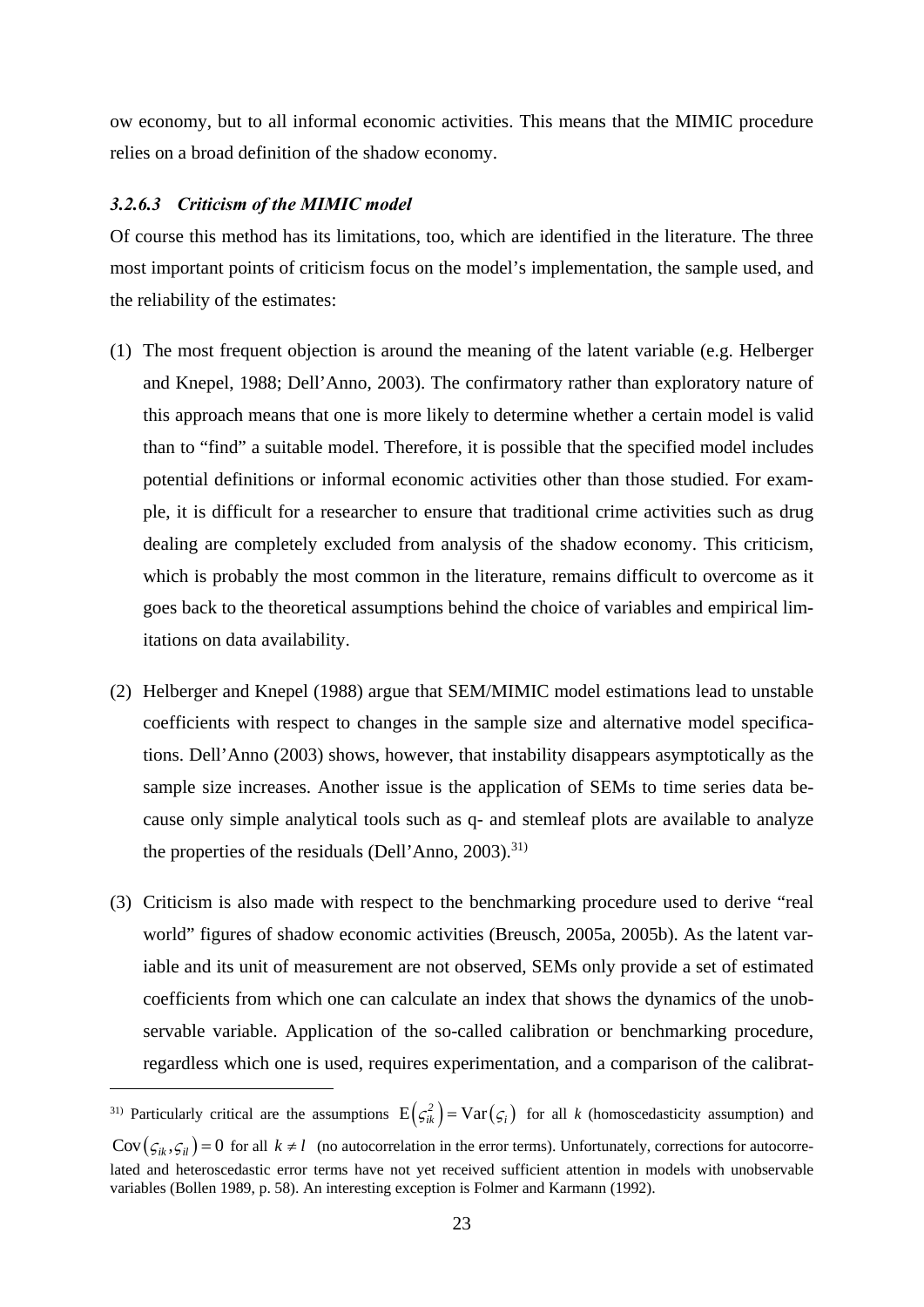ow economy, but to all informal economic activities. This means that the MIMIC procedure relies on a broad definition of the shadow economy.

#### *3.2.6.3 Criticism of the MIMIC model*

<u>.</u>

Of course this method has its limitations, too, which are identified in the literature. The three most important points of criticism focus on the model's implementation, the sample used, and the reliability of the estimates:

- (1) The most frequent objection is around the meaning of the latent variable (e.g. Helberger and Knepel, 1988; Dell'Anno, 2003). The confirmatory rather than exploratory nature of this approach means that one is more likely to determine whether a certain model is valid than to "find" a suitable model. Therefore, it is possible that the specified model includes potential definitions or informal economic activities other than those studied. For example, it is difficult for a researcher to ensure that traditional crime activities such as drug dealing are completely excluded from analysis of the shadow economy. This criticism, which is probably the most common in the literature, remains difficult to overcome as it goes back to the theoretical assumptions behind the choice of variables and empirical limitations on data availability.
- (2) Helberger and Knepel (1988) argue that SEM/MIMIC model estimations lead to unstable coefficients with respect to changes in the sample size and alternative model specifications. Dell'Anno (2003) shows, however, that instability disappears asymptotically as the sample size increases. Another issue is the application of SEMs to time series data because only simple analytical tools such as q- and stemleaf plots are available to analyze the properties of the residuals (Dell'Anno, 2003).<sup>31)</sup>
- (3) Criticism is also made with respect to the benchmarking procedure used to derive "real world" figures of shadow economic activities (Breusch, 2005a, 2005b). As the latent variable and its unit of measurement are not observed, SEMs only provide a set of estimated coefficients from which one can calculate an index that shows the dynamics of the unobservable variable. Application of the so-called calibration or benchmarking procedure, regardless which one is used, requires experimentation, and a comparison of the calibrat-

<sup>&</sup>lt;sup>31)</sup> Particularly critical are the assumptions  $E(c_i) = Var(c_i)$  for all *k* (homoscedasticity assumption) and  $Cov(\zeta_{ik}, \zeta_{il}) = 0$  for all  $k \neq l$  (no autocorrelation in the error terms). Unfortunately, corrections for autocorrelated and heteroscedastic error terms have not yet received sufficient attention in models with unobservable variables (Bollen 1989, p. 58). An interesting exception is Folmer and Karmann (1992).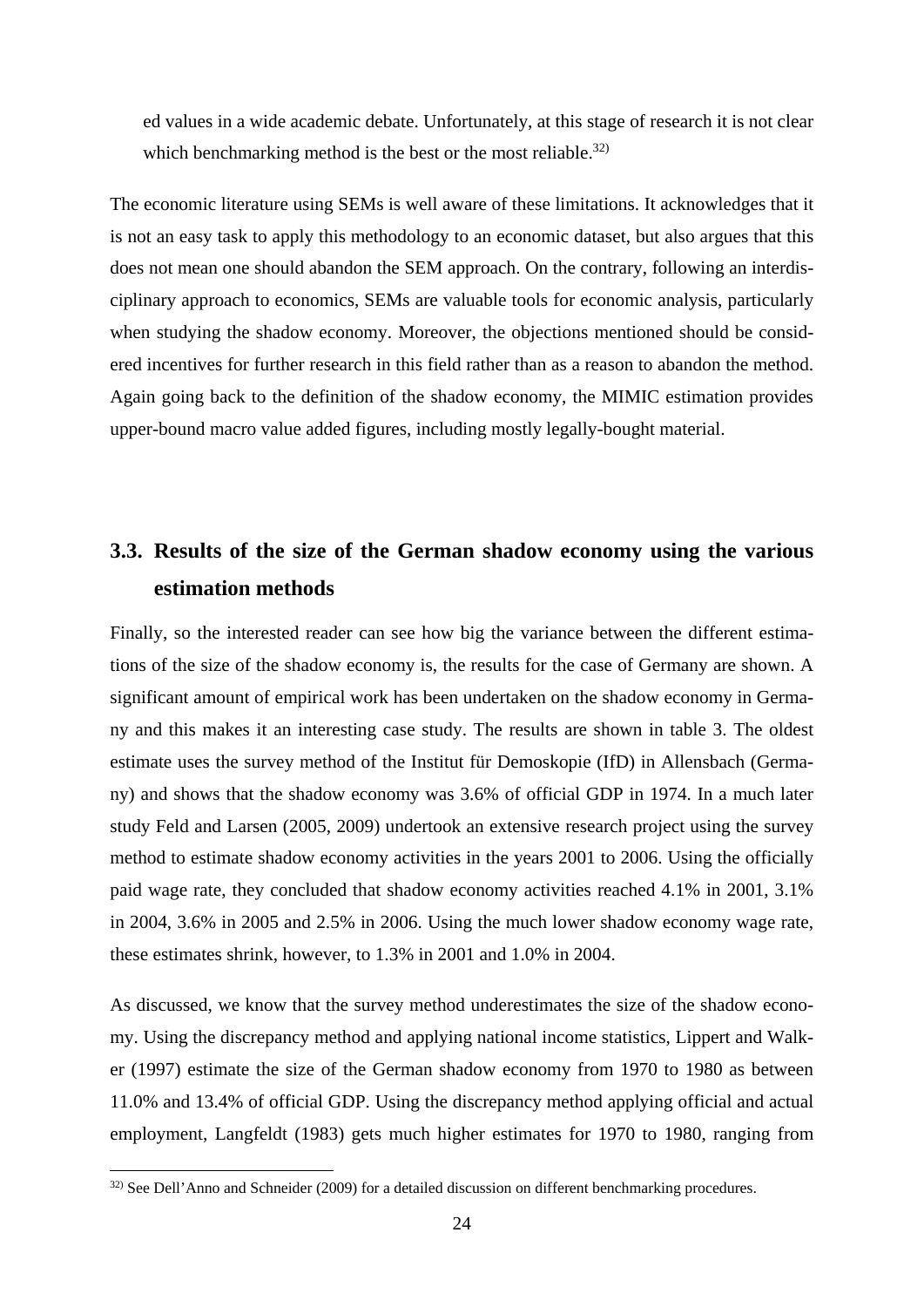ed values in a wide academic debate. Unfortunately, at this stage of research it is not clear which benchmarking method is the best or the most reliable.<sup>32)</sup>

The economic literature using SEMs is well aware of these limitations. It acknowledges that it is not an easy task to apply this methodology to an economic dataset, but also argues that this does not mean one should abandon the SEM approach. On the contrary, following an interdisciplinary approach to economics, SEMs are valuable tools for economic analysis, particularly when studying the shadow economy. Moreover, the objections mentioned should be considered incentives for further research in this field rather than as a reason to abandon the method. Again going back to the definition of the shadow economy, the MIMIC estimation provides upper-bound macro value added figures, including mostly legally-bought material.

# **3.3. Results of the size of the German shadow economy using the various estimation methods**

Finally, so the interested reader can see how big the variance between the different estimations of the size of the shadow economy is, the results for the case of Germany are shown. A significant amount of empirical work has been undertaken on the shadow economy in Germany and this makes it an interesting case study. The results are shown in table 3. The oldest estimate uses the survey method of the Institut für Demoskopie (IfD) in Allensbach (Germany) and shows that the shadow economy was 3.6% of official GDP in 1974. In a much later study Feld and Larsen (2005, 2009) undertook an extensive research project using the survey method to estimate shadow economy activities in the years 2001 to 2006. Using the officially paid wage rate, they concluded that shadow economy activities reached 4.1% in 2001, 3.1% in 2004, 3.6% in 2005 and 2.5% in 2006. Using the much lower shadow economy wage rate, these estimates shrink, however, to 1.3% in 2001 and 1.0% in 2004.

As discussed, we know that the survey method underestimates the size of the shadow economy. Using the discrepancy method and applying national income statistics, Lippert and Walker (1997) estimate the size of the German shadow economy from 1970 to 1980 as between 11.0% and 13.4% of official GDP. Using the discrepancy method applying official and actual employment, Langfeldt (1983) gets much higher estimates for 1970 to 1980, ranging from

1

<sup>32)</sup> See Dell'Anno and Schneider (2009) for a detailed discussion on different benchmarking procedures.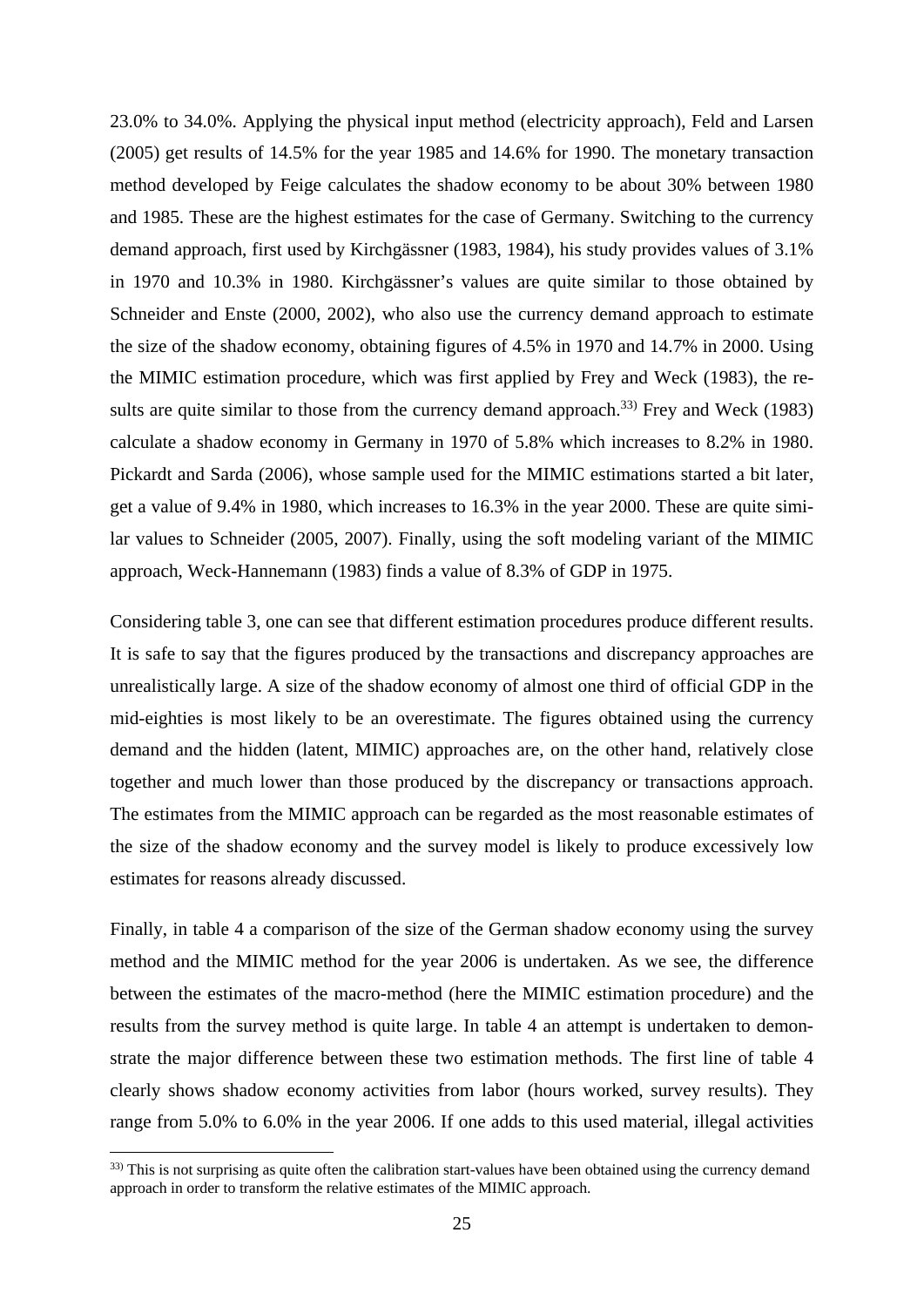23.0% to 34.0%. Applying the physical input method (electricity approach), Feld and Larsen (2005) get results of 14.5% for the year 1985 and 14.6% for 1990. The monetary transaction method developed by Feige calculates the shadow economy to be about 30% between 1980 and 1985. These are the highest estimates for the case of Germany. Switching to the currency demand approach, first used by Kirchgässner (1983, 1984), his study provides values of 3.1% in 1970 and 10.3% in 1980. Kirchgässner's values are quite similar to those obtained by Schneider and Enste (2000, 2002), who also use the currency demand approach to estimate the size of the shadow economy, obtaining figures of 4.5% in 1970 and 14.7% in 2000. Using the MIMIC estimation procedure, which was first applied by Frey and Weck (1983), the results are quite similar to those from the currency demand approach.<sup>33)</sup> Frey and Weck (1983) calculate a shadow economy in Germany in 1970 of 5.8% which increases to 8.2% in 1980. Pickardt and Sarda (2006), whose sample used for the MIMIC estimations started a bit later, get a value of 9.4% in 1980, which increases to 16.3% in the year 2000. These are quite similar values to Schneider (2005, 2007). Finally, using the soft modeling variant of the MIMIC approach, Weck-Hannemann (1983) finds a value of 8.3% of GDP in 1975.

Considering table 3, one can see that different estimation procedures produce different results. It is safe to say that the figures produced by the transactions and discrepancy approaches are unrealistically large. A size of the shadow economy of almost one third of official GDP in the mid-eighties is most likely to be an overestimate. The figures obtained using the currency demand and the hidden (latent, MIMIC) approaches are, on the other hand, relatively close together and much lower than those produced by the discrepancy or transactions approach. The estimates from the MIMIC approach can be regarded as the most reasonable estimates of the size of the shadow economy and the survey model is likely to produce excessively low estimates for reasons already discussed.

Finally, in table 4 a comparison of the size of the German shadow economy using the survey method and the MIMIC method for the year 2006 is undertaken. As we see, the difference between the estimates of the macro-method (here the MIMIC estimation procedure) and the results from the survey method is quite large. In table 4 an attempt is undertaken to demonstrate the major difference between these two estimation methods. The first line of table 4 clearly shows shadow economy activities from labor (hours worked, survey results). They range from 5.0% to 6.0% in the year 2006. If one adds to this used material, illegal activities

<u>.</u>

<sup>&</sup>lt;sup>33)</sup> This is not surprising as quite often the calibration start-values have been obtained using the currency demand approach in order to transform the relative estimates of the MIMIC approach.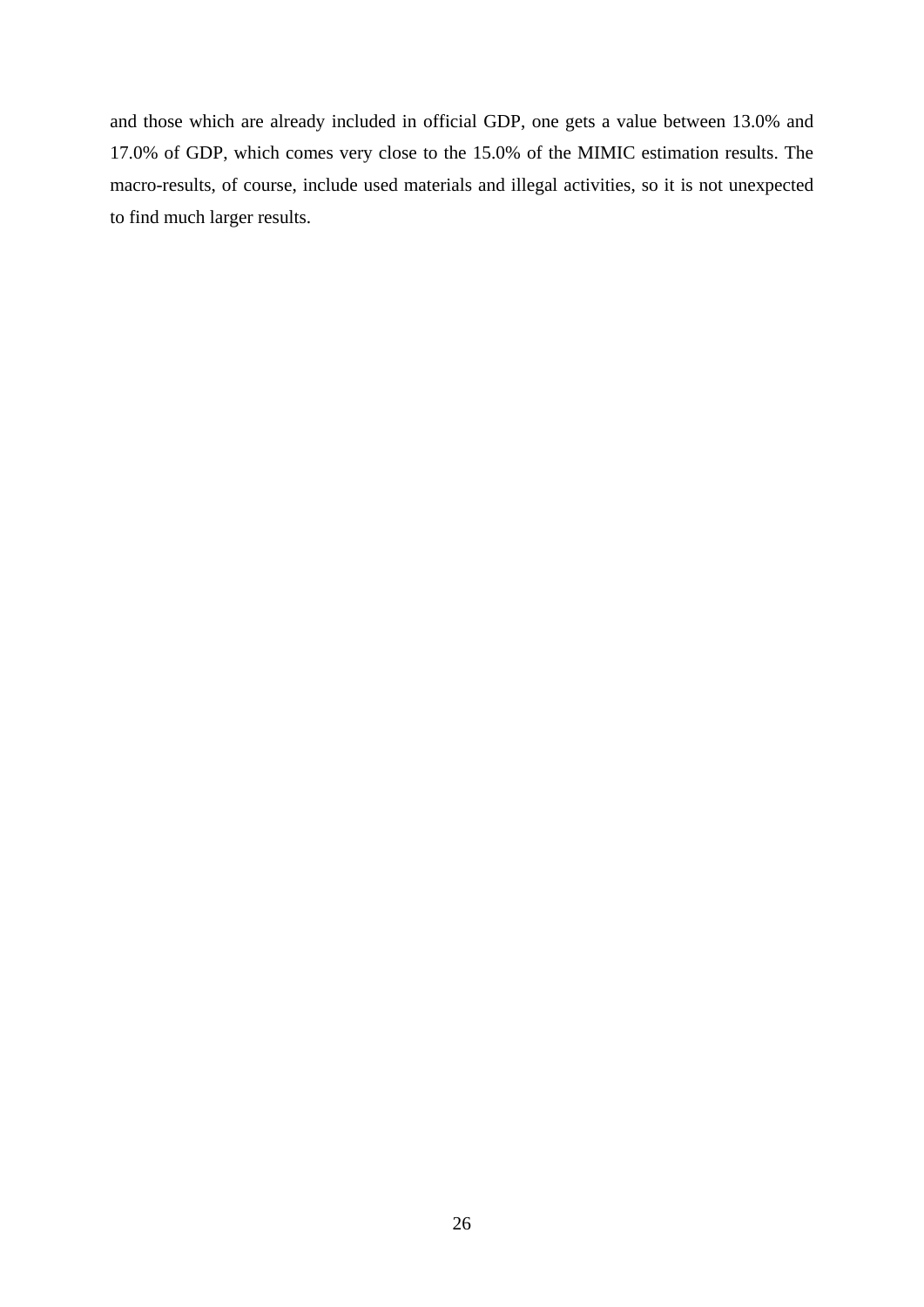and those which are already included in official GDP, one gets a value between 13.0% and 17.0% of GDP, which comes very close to the 15.0% of the MIMIC estimation results. The macro-results, of course, include used materials and illegal activities, so it is not unexpected to find much larger results.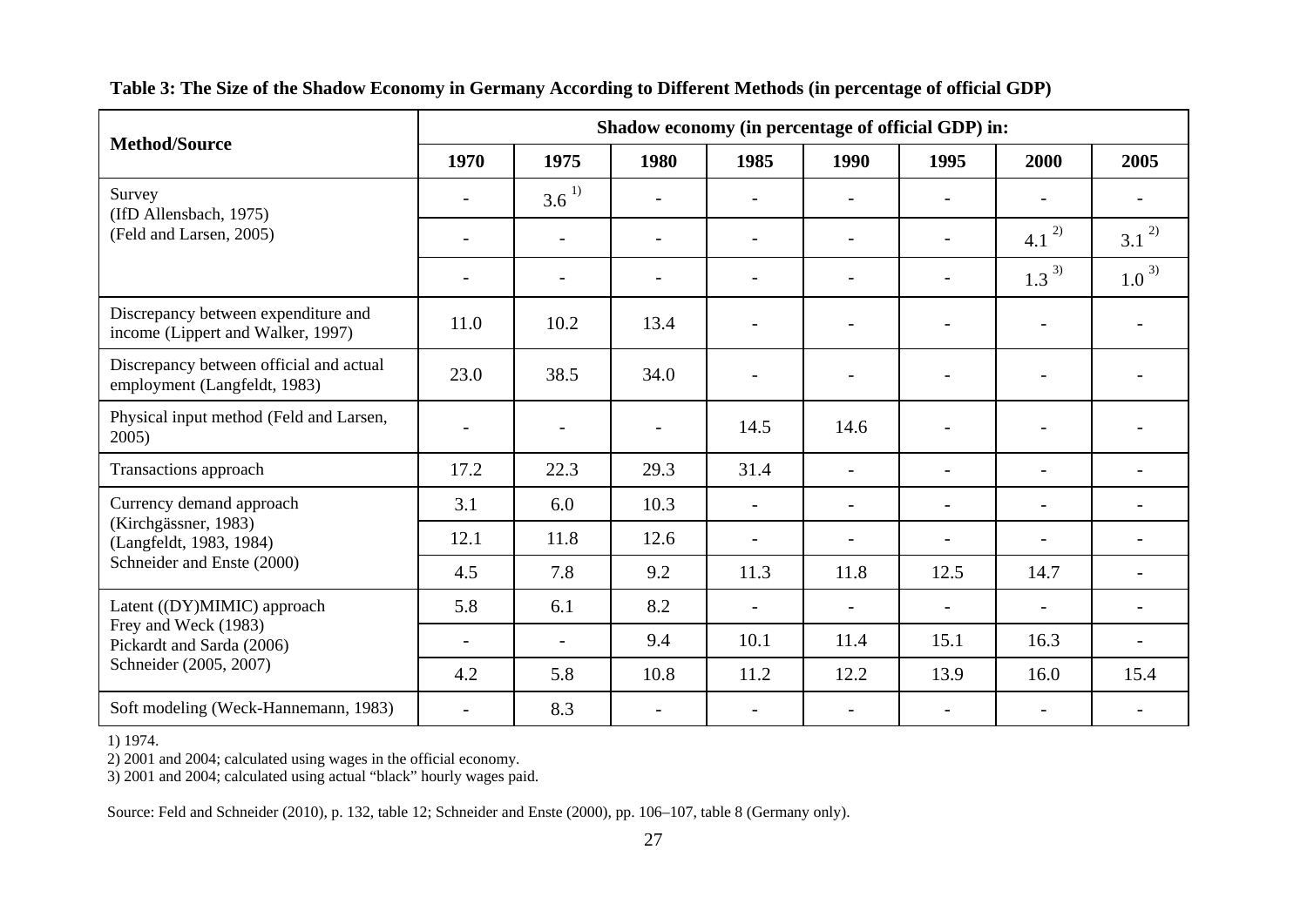|                                                                          | Shadow economy (in percentage of official GDP) in: |                          |                          |                          |                          |                          |                          |           |
|--------------------------------------------------------------------------|----------------------------------------------------|--------------------------|--------------------------|--------------------------|--------------------------|--------------------------|--------------------------|-----------|
| <b>Method/Source</b>                                                     | 1970                                               | 1975                     | 1980                     | 1985                     | 1990                     | 1995                     | 2000                     | 2005      |
| Survey<br>(IfD Allensbach, 1975)                                         |                                                    | $3.6^{11}$               |                          |                          |                          |                          |                          |           |
| (Feld and Larsen, 2005)                                                  | $\overline{a}$                                     | $\overline{\phantom{0}}$ | $\overline{\phantom{0}}$ | $\overline{\phantom{a}}$ | $\overline{\phantom{a}}$ | $\overline{\phantom{a}}$ | $4.1^{2}$                | $3.1^{2}$ |
|                                                                          | $\overline{\phantom{0}}$                           |                          | $\overline{\phantom{a}}$ | $\overline{\phantom{0}}$ | $\overline{\phantom{0}}$ |                          | $1.3^{3}$                | $1.0^{3}$ |
| Discrepancy between expenditure and<br>income (Lippert and Walker, 1997) | 11.0                                               | 10.2                     | 13.4                     |                          |                          |                          |                          |           |
| Discrepancy between official and actual<br>employment (Langfeldt, 1983)  | 23.0                                               | 38.5                     | 34.0                     | $\blacksquare$           | $\overline{\phantom{a}}$ | $\overline{\phantom{a}}$ | $\overline{\phantom{0}}$ |           |
| Physical input method (Feld and Larsen,<br>2005)                         |                                                    |                          | $\blacksquare$           | 14.5                     | 14.6                     | $\overline{a}$           | $\overline{\phantom{0}}$ |           |
| Transactions approach                                                    | 17.2                                               | 22.3                     | 29.3                     | 31.4                     | $\overline{\phantom{a}}$ | $\overline{\phantom{a}}$ | -                        |           |
| Currency demand approach                                                 | 3.1                                                | 6.0                      | 10.3                     | $\overline{\phantom{a}}$ | $\overline{\phantom{a}}$ | $\overline{\phantom{0}}$ | $\qquad \qquad -$        |           |
| (Kirchgässner, 1983)<br>(Langfeldt, 1983, 1984)                          | 12.1                                               | 11.8                     | 12.6                     | $\overline{\phantom{a}}$ | $\overline{\phantom{a}}$ | $\overline{\phantom{a}}$ | -                        |           |
| Schneider and Enste (2000)                                               | 4.5                                                | 7.8                      | 9.2                      | 11.3                     | 11.8                     | 12.5                     | 14.7                     |           |
| Latent ((DY)MIMIC) approach                                              | 5.8                                                | 6.1                      | 8.2                      | $\overline{\phantom{a}}$ | $\overline{\phantom{a}}$ | $\overline{\phantom{a}}$ | $\overline{\phantom{0}}$ |           |
| Frey and Weck (1983)<br>Pickardt and Sarda (2006)                        | $\overline{\phantom{a}}$                           |                          | 9.4                      | 10.1                     | 11.4                     | 15.1                     | 16.3                     |           |
| Schneider (2005, 2007)                                                   | 4.2                                                | 5.8                      | 10.8                     | 11.2                     | 12.2                     | 13.9                     | 16.0                     | 15.4      |
| Soft modeling (Weck-Hannemann, 1983)                                     | $\overline{\phantom{a}}$                           | 8.3                      | $\overline{\phantom{a}}$ |                          | $\overline{\phantom{a}}$ |                          | $\overline{\phantom{0}}$ |           |

**Table 3: The Size of the Shadow Economy in Germany According to Different Methods (in percentage of official GDP)** 

1) 1974.

2) 2001 and 2004; calculated using wages in the official economy.

3) 2001 and 2004; calculated using actual "black" hourly wages paid.

Source: Feld and Schneider (2010), p. 132, table 12; Schneider and Enste (2000), pp. 106–107, table 8 (Germany only).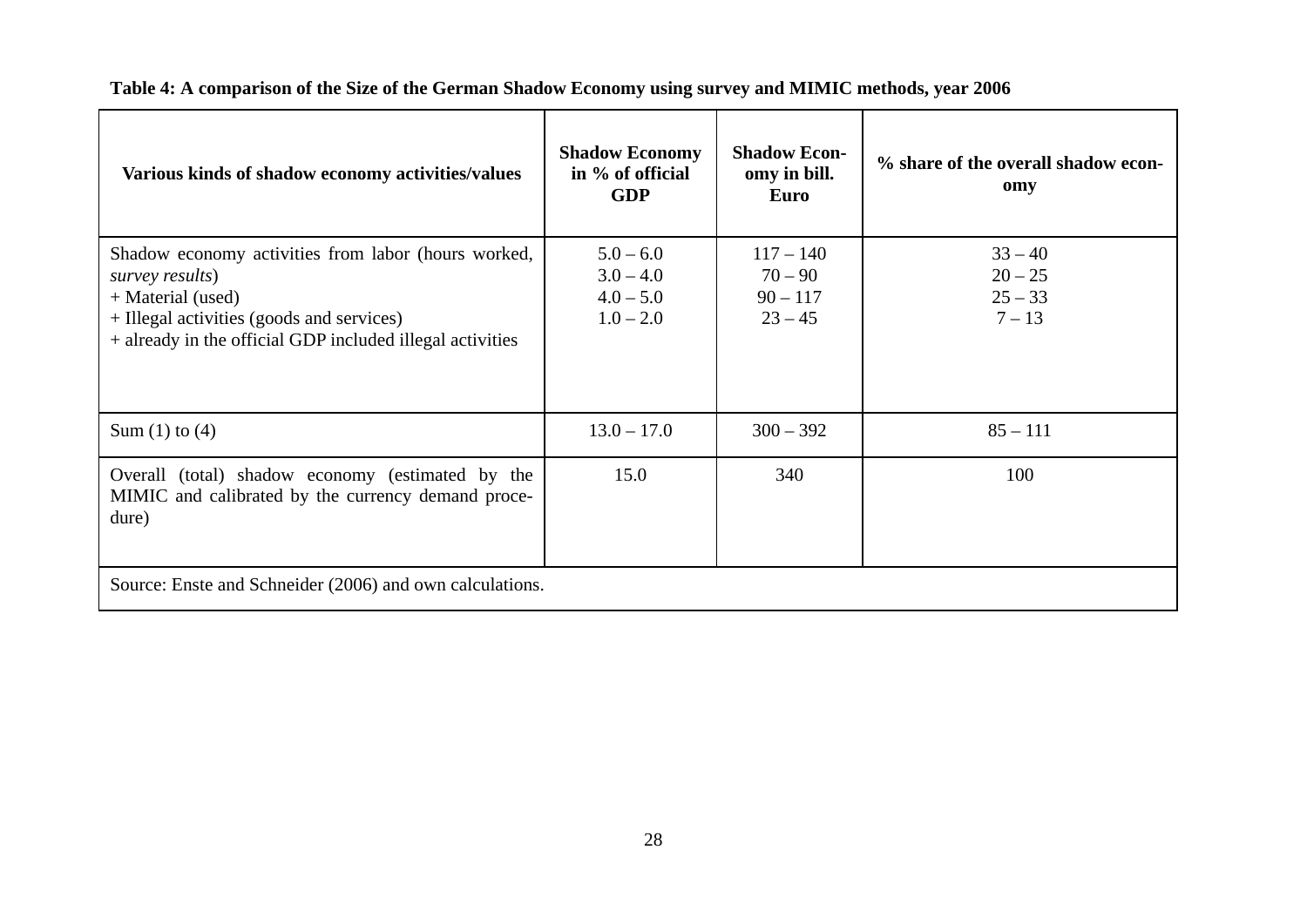| Various kinds of shadow economy activities/values                                                                                                                                                     | <b>Shadow Economy</b><br>in % of official<br><b>GDP</b>  | <b>Shadow Econ-</b><br>omy in bill.<br>Euro         | % share of the overall shadow econ-<br>omy      |  |  |
|-------------------------------------------------------------------------------------------------------------------------------------------------------------------------------------------------------|----------------------------------------------------------|-----------------------------------------------------|-------------------------------------------------|--|--|
| Shadow economy activities from labor (hours worked,<br>survey results)<br>+ Material (used)<br>+ Illegal activities (goods and services)<br>+ already in the official GDP included illegal activities | $5.0 - 6.0$<br>$3.0 - 4.0$<br>$4.0 - 5.0$<br>$1.0 - 2.0$ | $117 - 140$<br>$70 - 90$<br>$90 - 117$<br>$23 - 45$ | $33 - 40$<br>$20 - 25$<br>$25 - 33$<br>$7 - 13$ |  |  |
| Sum(1) to (4)                                                                                                                                                                                         | $13.0 - 17.0$                                            | $300 - 392$                                         | $85 - 111$                                      |  |  |
| Overall (total) shadow economy (estimated by the<br>MIMIC and calibrated by the currency demand proce-<br>dure)                                                                                       | 15.0                                                     | 340                                                 | 100                                             |  |  |
| Source: Enste and Schneider (2006) and own calculations.                                                                                                                                              |                                                          |                                                     |                                                 |  |  |

# **Table 4: A comparison of the Size of the German Shadow Economy using survey and MIMIC methods, year 2006**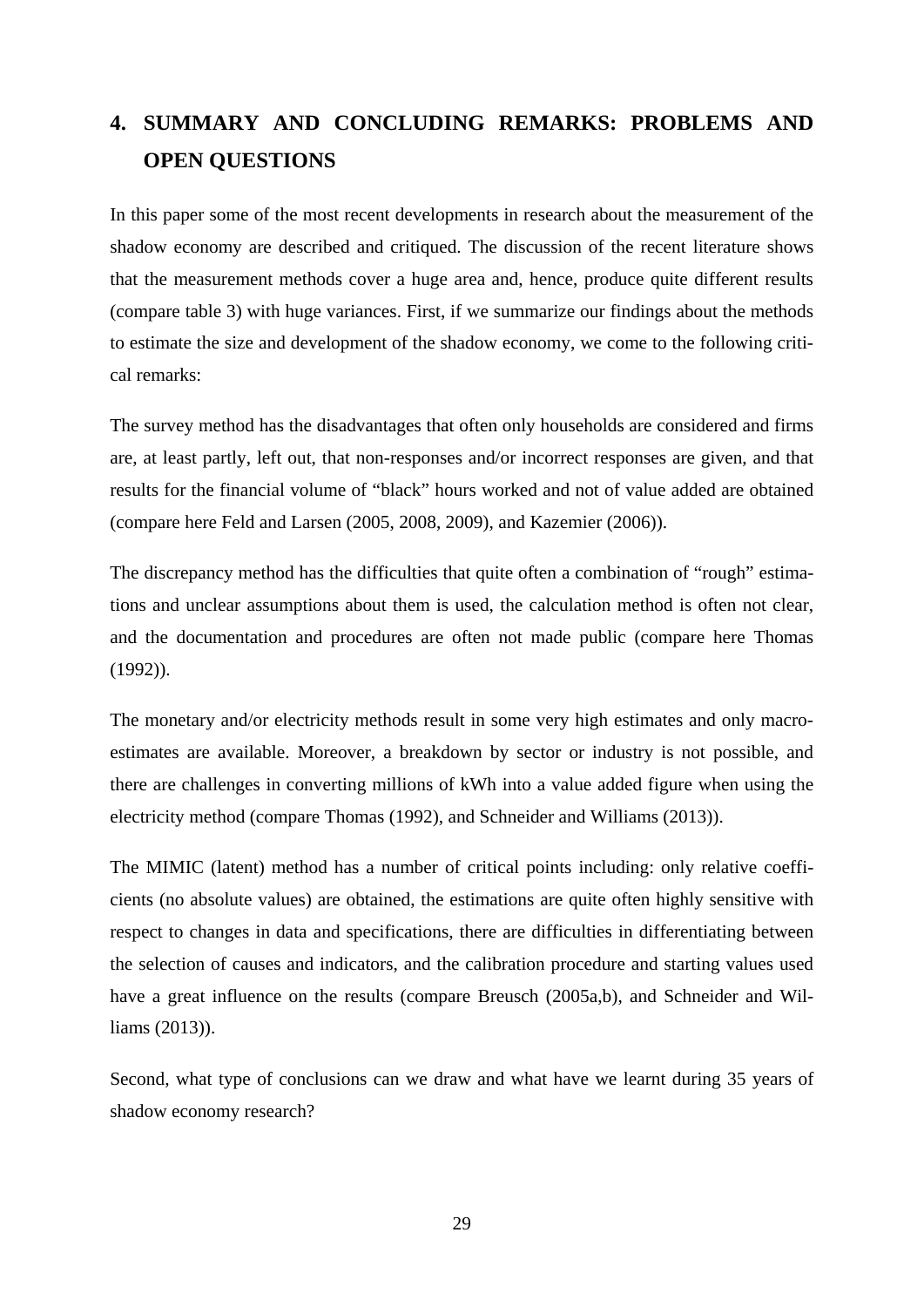# **4. SUMMARY AND CONCLUDING REMARKS: PROBLEMS AND OPEN QUESTIONS**

In this paper some of the most recent developments in research about the measurement of the shadow economy are described and critiqued. The discussion of the recent literature shows that the measurement methods cover a huge area and, hence, produce quite different results (compare table 3) with huge variances. First, if we summarize our findings about the methods to estimate the size and development of the shadow economy, we come to the following critical remarks:

The survey method has the disadvantages that often only households are considered and firms are, at least partly, left out, that non-responses and/or incorrect responses are given, and that results for the financial volume of "black" hours worked and not of value added are obtained (compare here Feld and Larsen (2005, 2008, 2009), and Kazemier (2006)).

The discrepancy method has the difficulties that quite often a combination of "rough" estimations and unclear assumptions about them is used, the calculation method is often not clear, and the documentation and procedures are often not made public (compare here Thomas (1992)).

The monetary and/or electricity methods result in some very high estimates and only macroestimates are available. Moreover, a breakdown by sector or industry is not possible, and there are challenges in converting millions of kWh into a value added figure when using the electricity method (compare Thomas (1992), and Schneider and Williams (2013)).

The MIMIC (latent) method has a number of critical points including: only relative coefficients (no absolute values) are obtained, the estimations are quite often highly sensitive with respect to changes in data and specifications, there are difficulties in differentiating between the selection of causes and indicators, and the calibration procedure and starting values used have a great influence on the results (compare Breusch (2005a,b), and Schneider and Williams (2013)).

Second, what type of conclusions can we draw and what have we learnt during 35 years of shadow economy research?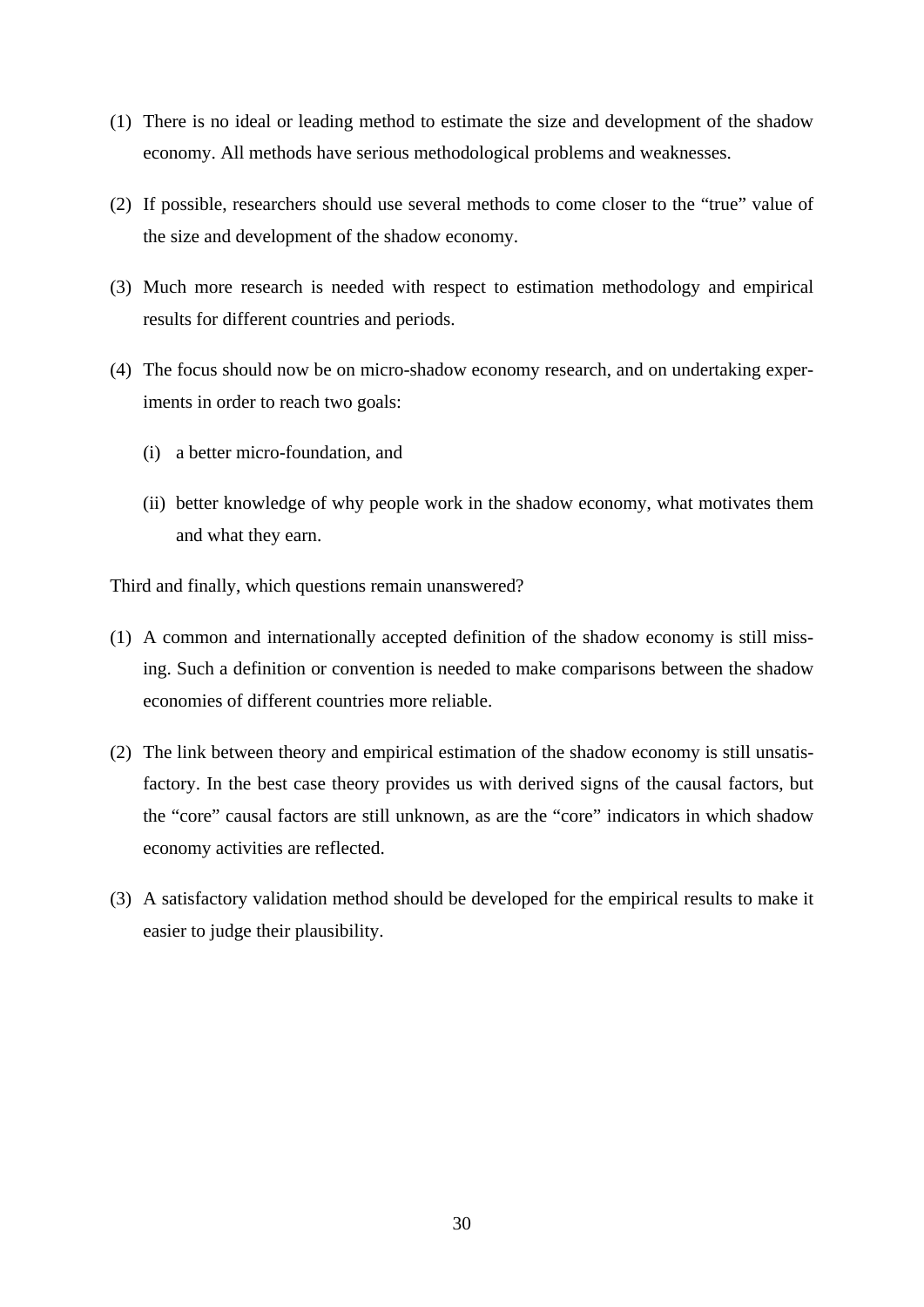- (1) There is no ideal or leading method to estimate the size and development of the shadow economy. All methods have serious methodological problems and weaknesses.
- (2) If possible, researchers should use several methods to come closer to the "true" value of the size and development of the shadow economy.
- (3) Much more research is needed with respect to estimation methodology and empirical results for different countries and periods.
- (4) The focus should now be on micro-shadow economy research, and on undertaking experiments in order to reach two goals:
	- (i) a better micro-foundation, and
	- (ii) better knowledge of why people work in the shadow economy, what motivates them and what they earn.

Third and finally, which questions remain unanswered?

- (1) A common and internationally accepted definition of the shadow economy is still missing. Such a definition or convention is needed to make comparisons between the shadow economies of different countries more reliable.
- (2) The link between theory and empirical estimation of the shadow economy is still unsatisfactory. In the best case theory provides us with derived signs of the causal factors, but the "core" causal factors are still unknown, as are the "core" indicators in which shadow economy activities are reflected.
- (3) A satisfactory validation method should be developed for the empirical results to make it easier to judge their plausibility.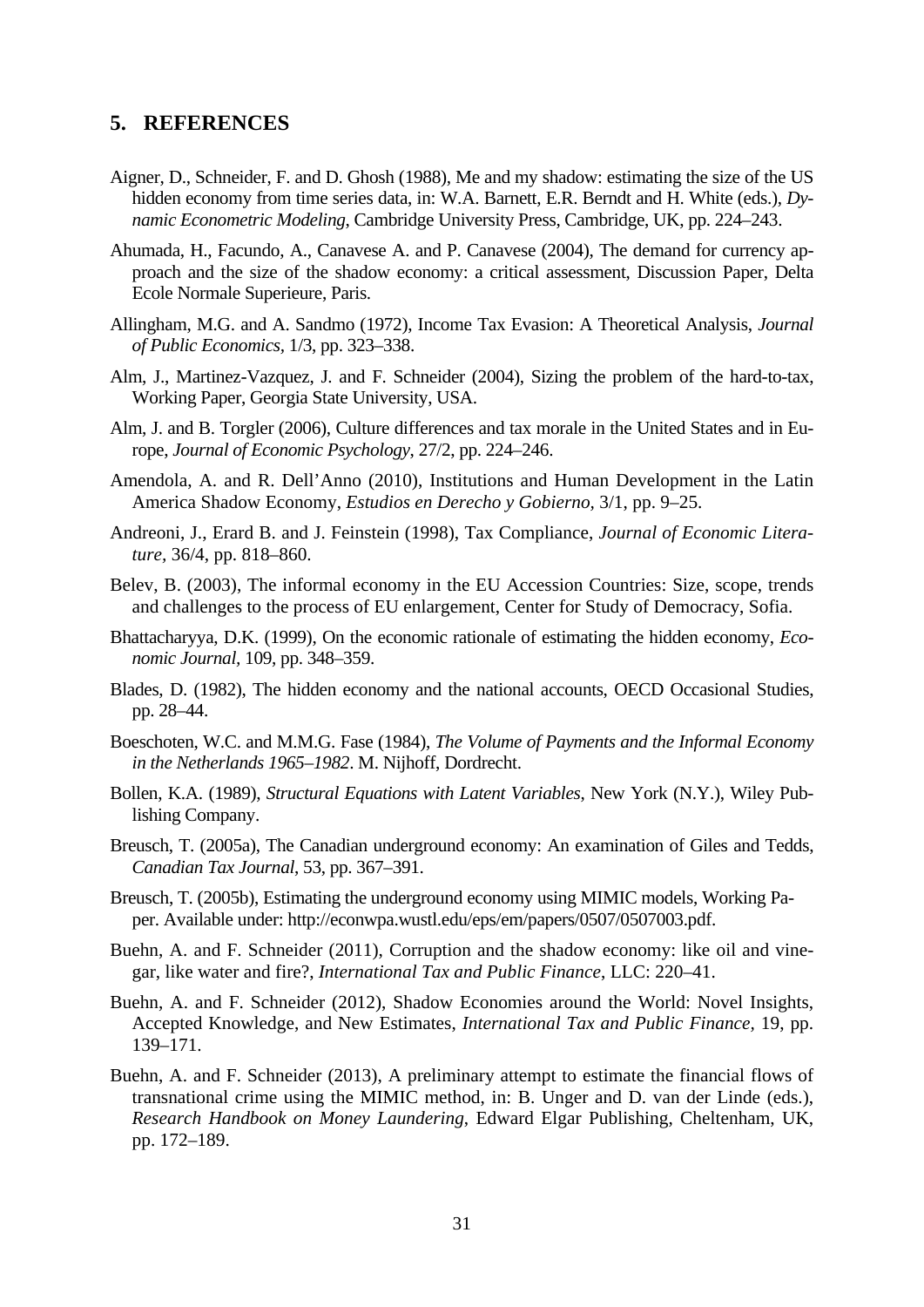### **5. REFERENCES**

- Aigner, D., Schneider, F. and D. Ghosh (1988), Me and my shadow: estimating the size of the US hidden economy from time series data, in: W.A. Barnett, E.R. Berndt and H. White (eds.), *Dynamic Econometric Modeling*, Cambridge University Press, Cambridge, UK, pp. 224–243.
- Ahumada, H., Facundo, A., Canavese A. and P. Canavese (2004), The demand for currency approach and the size of the shadow economy: a critical assessment, Discussion Paper, Delta Ecole Normale Superieure, Paris.
- Allingham, M.G. and A. Sandmo (1972), Income Tax Evasion: A Theoretical Analysis, *Journal of Public Economics,* 1/3, pp. 323–338.
- Alm, J., Martinez-Vazquez, J. and F. Schneider (2004), Sizing the problem of the hard-to-tax, Working Paper, Georgia State University, USA.
- Alm, J. and B. Torgler (2006), Culture differences and tax morale in the United States and in Europe, *Journal of Economic Psychology*, 27/2, pp. 224–246.
- Amendola, A. and R. Dell'Anno (2010), Institutions and Human Development in the Latin America Shadow Economy, *Estudios en Derecho y Gobierno,* 3/1, pp. 9–25.
- Andreoni, J., Erard B. and J. Feinstein (1998), Tax Compliance, *Journal of Economic Literature,* 36/4, pp. 818–860.
- Belev, B. (2003), The informal economy in the EU Accession Countries: Size, scope, trends and challenges to the process of EU enlargement, Center for Study of Democracy, Sofia.
- Bhattacharyya, D.K. (1999), On the economic rationale of estimating the hidden economy, *Economic Journal,* 109, pp. 348–359.
- Blades, D. (1982), The hidden economy and the national accounts, OECD Occasional Studies, pp. 28–44.
- Boeschoten, W.C. and M.M.G. Fase (1984), *The Volume of Payments and the Informal Economy in the Netherlands 1965–1982*. M. Nijhoff, Dordrecht.
- Bollen, K.A. (1989), *Structural Equations with Latent Variables*, New York (N.Y.), Wiley Publishing Company.
- Breusch, T. (2005a), The Canadian underground economy: An examination of Giles and Tedds, *Canadian Tax Journal*, 53, pp. 367–391.
- Breusch, T. (2005b), Estimating the underground economy using MIMIC models, Working Paper. Available under: http://econwpa.wustl.edu/eps/em/papers/0507/0507003.pdf.
- Buehn, A. and F. Schneider (2011), Corruption and the shadow economy: like oil and vinegar, like water and fire?, *International Tax and Public Finance*, LLC: 220–41.
- Buehn, A. and F. Schneider (2012), Shadow Economies around the World: Novel Insights, Accepted Knowledge, and New Estimates, *International Tax and Public Finance,* 19, pp. 139–171.
- Buehn, A. and F. Schneider (2013), A preliminary attempt to estimate the financial flows of transnational crime using the MIMIC method, in: B. Unger and D. van der Linde (eds.), *Research Handbook on Money Laundering*, Edward Elgar Publishing, Cheltenham, UK, pp. 172–189.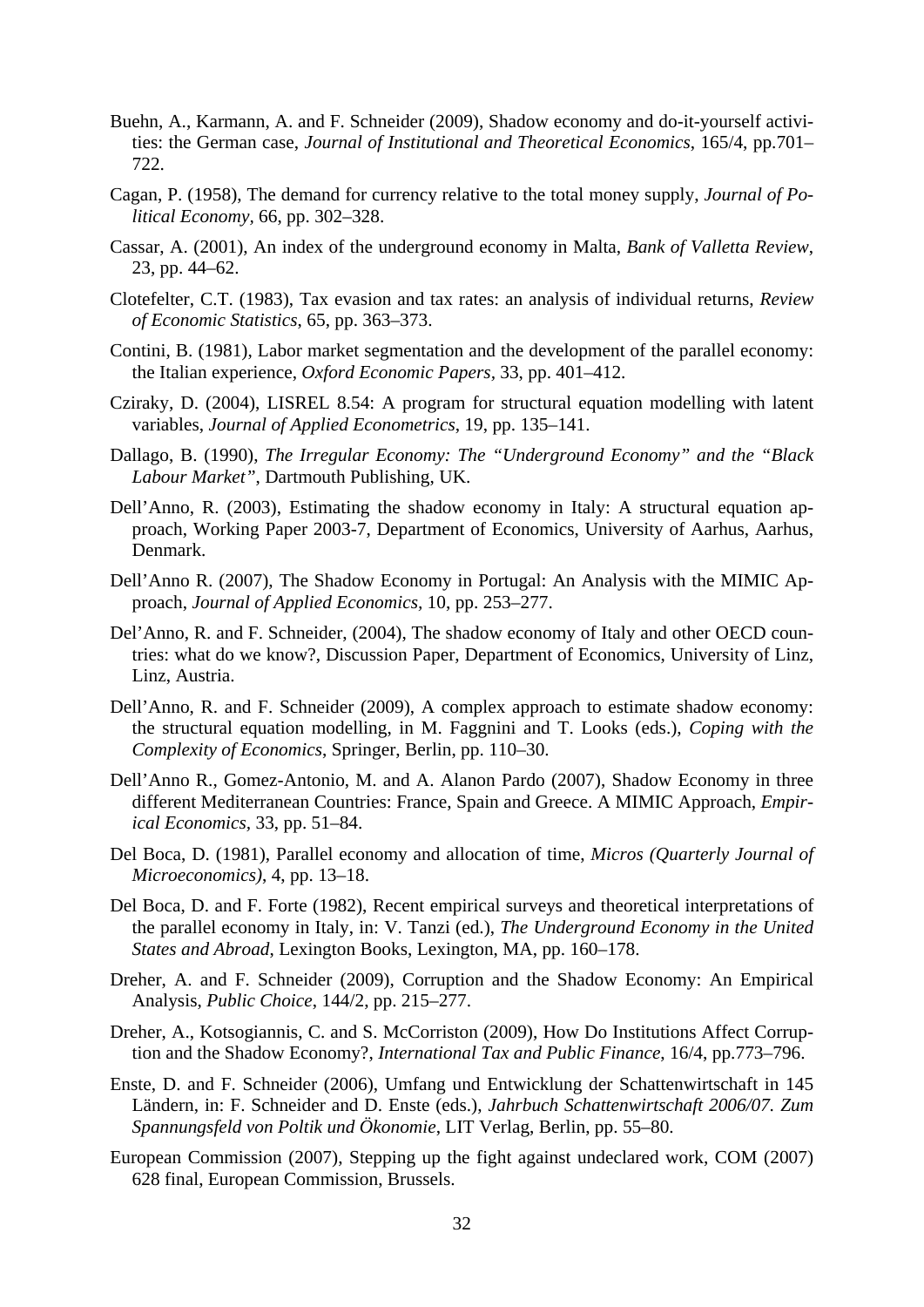- Buehn, A., Karmann, A. and F. Schneider (2009), Shadow economy and do-it-yourself activities: the German case, *Journal of Institutional and Theoretical Economics*, 165/4, pp.701– 722.
- Cagan, P. (1958), The demand for currency relative to the total money supply, *Journal of Political Economy,* 66, pp. 302–328.
- Cassar, A. (2001), An index of the underground economy in Malta, *Bank of Valletta Review*, 23, pp. 44–62.
- Clotefelter, C.T. (1983), Tax evasion and tax rates: an analysis of individual returns, *Review of Economic Statistics*, 65, pp. 363–373.
- Contini, B. (1981), Labor market segmentation and the development of the parallel economy: the Italian experience, *Oxford Economic Papers,* 33, pp. 401–412.
- Cziraky, D. (2004), LISREL 8.54: A program for structural equation modelling with latent variables, *Journal of Applied Econometrics*, 19, pp. 135–141.
- Dallago, B. (1990), *The Irregular Economy: The "Underground Economy" and the "Black Labour Market"*, Dartmouth Publishing, UK.
- Dell'Anno, R. (2003), Estimating the shadow economy in Italy: A structural equation approach, Working Paper 2003-7, Department of Economics, University of Aarhus, Aarhus, Denmark.
- Dell'Anno R. (2007), The Shadow Economy in Portugal: An Analysis with the MIMIC Approach, *Journal of Applied Economics,* 10, pp. 253–277.
- Del'Anno, R. and F. Schneider, (2004), The shadow economy of Italy and other OECD countries: what do we know?, Discussion Paper, Department of Economics, University of Linz, Linz, Austria.
- Dell'Anno, R. and F. Schneider (2009), A complex approach to estimate shadow economy: the structural equation modelling, in M. Faggnini and T. Looks (eds.), *Coping with the Complexity of Economics*, Springer, Berlin, pp. 110–30.
- Dell'Anno R., Gomez-Antonio, M. and A. Alanon Pardo (2007), Shadow Economy in three different Mediterranean Countries: France, Spain and Greece. A MIMIC Approach, *Empirical Economics,* 33, pp. 51–84.
- Del Boca, D. (1981), Parallel economy and allocation of time, *Micros (Quarterly Journal of Microeconomics)*, 4, pp. 13–18.
- Del Boca, D. and F. Forte (1982), Recent empirical surveys and theoretical interpretations of the parallel economy in Italy, in: V. Tanzi (ed.), *The Underground Economy in the United States and Abroad*, Lexington Books, Lexington, MA, pp. 160–178.
- Dreher, A. and F. Schneider (2009), Corruption and the Shadow Economy: An Empirical Analysis, *Public Choice*, 144/2, pp. 215–277.
- Dreher, A., Kotsogiannis, C. and S. McCorriston (2009), How Do Institutions Affect Corruption and the Shadow Economy?, *International Tax and Public Finance*, 16/4, pp.773–796.
- Enste, D. and F. Schneider (2006), Umfang und Entwicklung der Schattenwirtschaft in 145 Ländern, in: F. Schneider and D. Enste (eds.), *Jahrbuch Schattenwirtschaft 2006/07. Zum Spannungsfeld von Poltik und Ökonomie*, LIT Verlag, Berlin, pp. 55–80.
- European Commission (2007), Stepping up the fight against undeclared work, COM (2007) 628 final, European Commission, Brussels.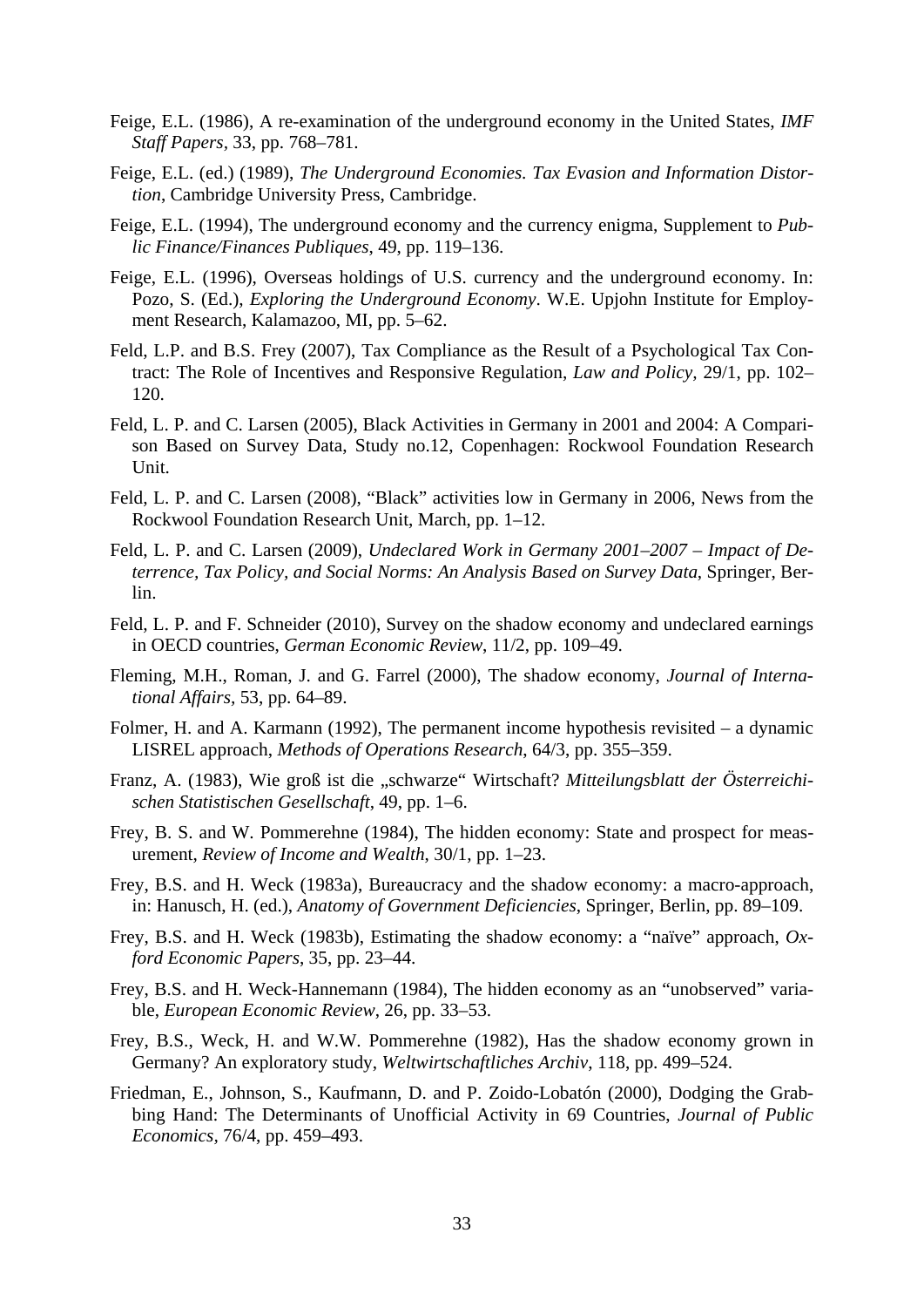- Feige, E.L. (1986), A re-examination of the underground economy in the United States, *IMF Staff Papers,* 33, pp. 768–781.
- Feige, E.L. (ed.) (1989), *The Underground Economies. Tax Evasion and Information Distortion*, Cambridge University Press, Cambridge.
- Feige, E.L. (1994), The underground economy and the currency enigma, Supplement to *Public Finance/Finances Publiques*, 49, pp. 119–136.
- Feige, E.L. (1996), Overseas holdings of U.S. currency and the underground economy. In: Pozo, S. (Ed.), *Exploring the Underground Economy*. W.E. Upjohn Institute for Employment Research, Kalamazoo, MI, pp. 5–62.
- Feld, L.P. and B.S. Frey (2007), Tax Compliance as the Result of a Psychological Tax Contract: The Role of Incentives and Responsive Regulation, *Law and Policy,* 29/1, pp. 102– 120.
- Feld, L. P. and C. Larsen (2005), Black Activities in Germany in 2001 and 2004: A Comparison Based on Survey Data, Study no.12, Copenhagen: Rockwool Foundation Research Unit.
- Feld, L. P. and C. Larsen (2008), "Black" activities low in Germany in 2006, News from the Rockwool Foundation Research Unit, March, pp. 1–12.
- Feld, L. P. and C. Larsen (2009), *Undeclared Work in Germany 2001–2007 Impact of Deterrence, Tax Policy, and Social Norms: An Analysis Based on Survey Data*, Springer, Berlin.
- Feld, L. P. and F. Schneider (2010), Survey on the shadow economy and undeclared earnings in OECD countries, *German Economic Review*, 11/2, pp. 109–49.
- Fleming, M.H., Roman, J. and G. Farrel (2000), The shadow economy, *Journal of International Affairs,* 53, pp. 64–89.
- Folmer, H. and A. Karmann (1992), The permanent income hypothesis revisited a dynamic LISREL approach, *Methods of Operations Research*, 64/3, pp. 355–359.
- Franz, A. (1983), Wie groß ist die "schwarze" Wirtschaft? *Mitteilungsblatt der Österreichischen Statistischen Gesellschaft*, 49, pp. 1–6.
- Frey, B. S. and W. Pommerehne (1984), The hidden economy: State and prospect for measurement, *Review of Income and Wealth*, 30/1, pp. 1–23.
- Frey, B.S. and H. Weck (1983a), Bureaucracy and the shadow economy: a macro-approach, in: Hanusch, H. (ed.), *Anatomy of Government Deficiencies*, Springer, Berlin, pp. 89–109.
- Frey, B.S. and H. Weck (1983b), Estimating the shadow economy: a "naïve" approach, *Oxford Economic Papers*, 35, pp. 23–44.
- Frey, B.S. and H. Weck-Hannemann (1984), The hidden economy as an "unobserved" variable, *European Economic Review*, 26, pp. 33–53.
- Frey, B.S., Weck, H. and W.W. Pommerehne (1982), Has the shadow economy grown in Germany? An exploratory study, *Weltwirtschaftliches Archiv*, 118, pp. 499–524.
- Friedman, E., Johnson, S., Kaufmann, D. and P. Zoido-Lobatón (2000), Dodging the Grabbing Hand: The Determinants of Unofficial Activity in 69 Countries, *Journal of Public Economics,* 76/4, pp. 459–493.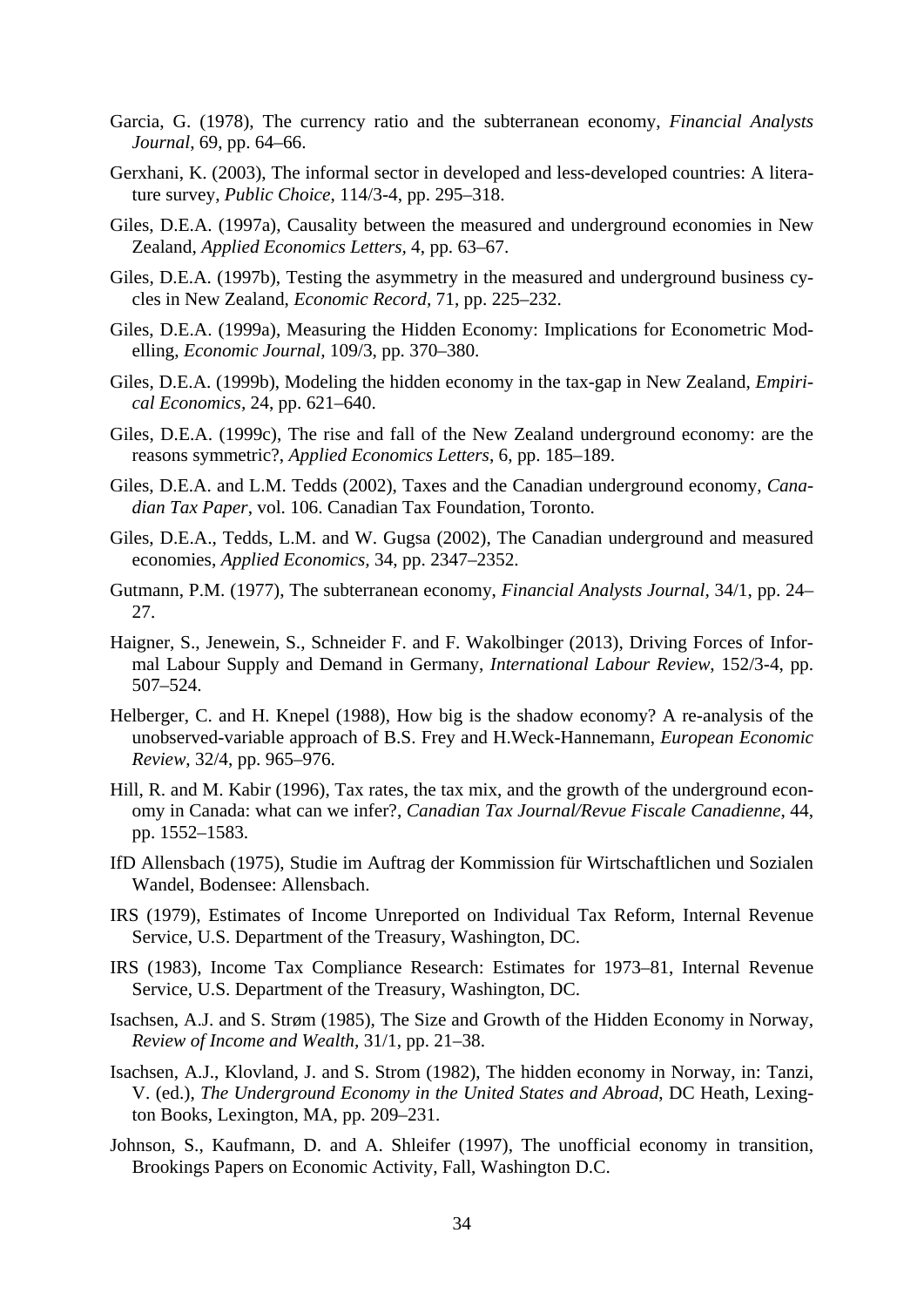- Garcia, G. (1978), The currency ratio and the subterranean economy, *Financial Analysts Journal*, 69, pp. 64–66.
- Gerxhani, K. (2003), The informal sector in developed and less-developed countries: A literature survey, *Public Choice*, 114/3-4, pp. 295–318.
- Giles, D.E.A. (1997a), Causality between the measured and underground economies in New Zealand, *Applied Economics Letters,* 4, pp. 63–67.
- Giles, D.E.A. (1997b), Testing the asymmetry in the measured and underground business cycles in New Zealand, *Economic Record,* 71, pp. 225–232.
- Giles, D.E.A. (1999a), Measuring the Hidden Economy: Implications for Econometric Modelling, *Economic Journal,* 109/3, pp. 370–380.
- Giles, D.E.A. (1999b), Modeling the hidden economy in the tax-gap in New Zealand, *Empirical Economics,* 24, pp. 621–640.
- Giles, D.E.A. (1999c), The rise and fall of the New Zealand underground economy: are the reasons symmetric?, *Applied Economics Letters*, 6, pp. 185–189.
- Giles, D.E.A. and L.M. Tedds (2002), Taxes and the Canadian underground economy, *Canadian Tax Paper*, vol. 106. Canadian Tax Foundation, Toronto.
- Giles, D.E.A., Tedds, L.M. and W. Gugsa (2002), The Canadian underground and measured economies, *Applied Economics,* 34, pp. 2347–2352.
- Gutmann, P.M. (1977), The subterranean economy, *Financial Analysts Journal,* 34/1, pp. 24– 27.
- Haigner, S., Jenewein, S., Schneider F. and F. Wakolbinger (2013), Driving Forces of Informal Labour Supply and Demand in Germany, *International Labour Review*, 152/3-4, pp. 507–524.
- Helberger, C. and H. Knepel (1988), How big is the shadow economy? A re-analysis of the unobserved-variable approach of B.S. Frey and H.Weck-Hannemann, *European Economic Review*, 32/4, pp. 965–976.
- Hill, R. and M. Kabir (1996), Tax rates, the tax mix, and the growth of the underground economy in Canada: what can we infer?, *Canadian Tax Journal/Revue Fiscale Canadienne*, 44, pp. 1552–1583.
- IfD Allensbach (1975), Studie im Auftrag der Kommission für Wirtschaftlichen und Sozialen Wandel, Bodensee: Allensbach.
- IRS (1979), Estimates of Income Unreported on Individual Tax Reform, Internal Revenue Service, U.S. Department of the Treasury, Washington, DC.
- IRS (1983), Income Tax Compliance Research: Estimates for 1973–81, Internal Revenue Service, U.S. Department of the Treasury, Washington, DC.
- Isachsen, A.J. and S. Strøm (1985), The Size and Growth of the Hidden Economy in Norway, *Review of Income and Wealth,* 31/1, pp. 21–38.
- Isachsen, A.J., Klovland, J. and S. Strom (1982), The hidden economy in Norway, in: Tanzi, V. (ed.), *The Underground Economy in the United States and Abroad*, DC Heath, Lexington Books, Lexington, MA, pp. 209–231.
- Johnson, S., Kaufmann, D. and A. Shleifer (1997), The unofficial economy in transition, Brookings Papers on Economic Activity, Fall, Washington D.C.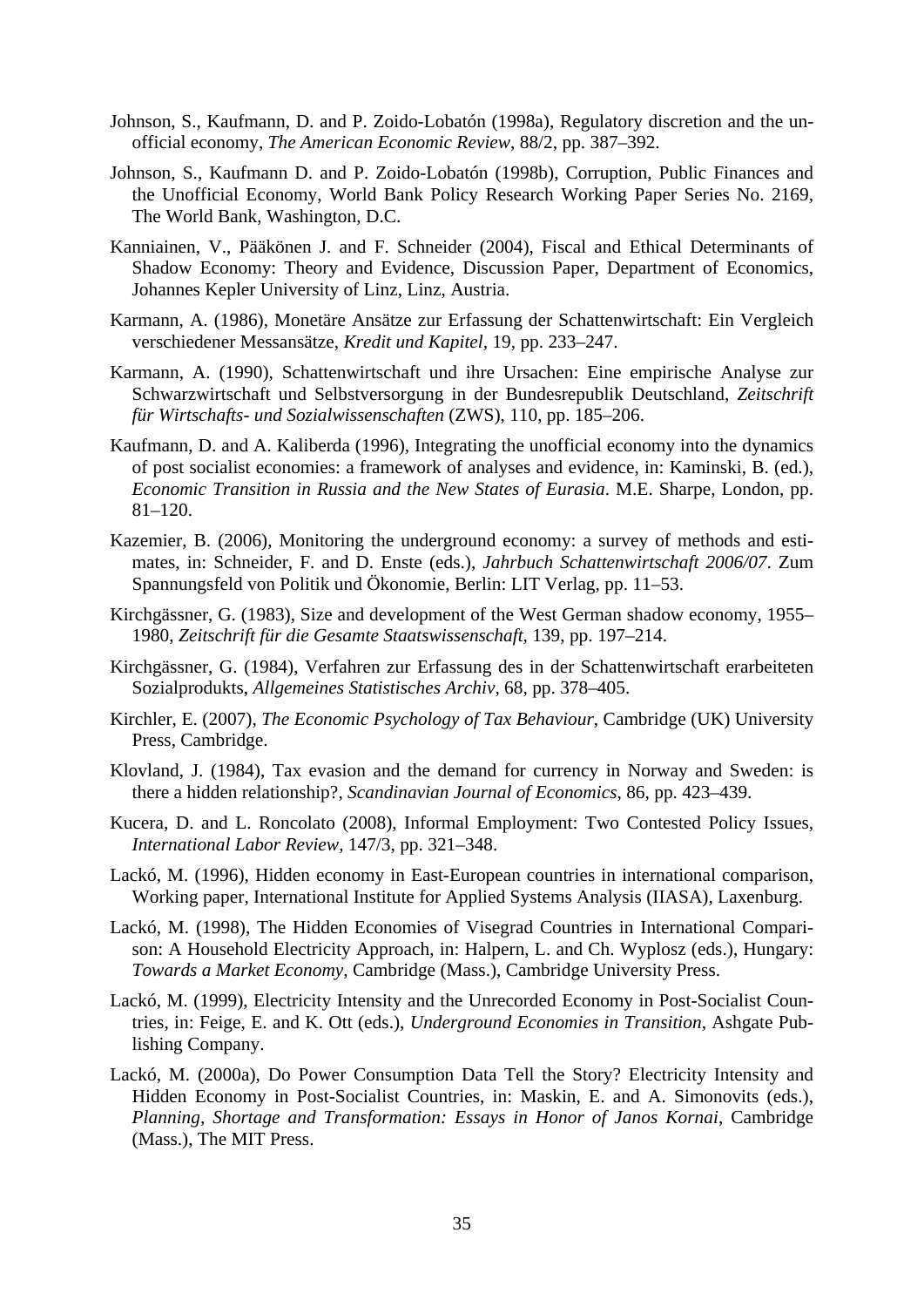- Johnson, S., Kaufmann, D. and P. Zoido-Lobatón (1998a), Regulatory discretion and the unofficial economy, *The American Economic Review*, 88/2, pp. 387–392.
- Johnson, S., Kaufmann D. and P. Zoido-Lobatón (1998b), Corruption, Public Finances and the Unofficial Economy, World Bank Policy Research Working Paper Series No. 2169, The World Bank, Washington, D.C.
- Kanniainen, V., Pääkönen J. and F. Schneider (2004), Fiscal and Ethical Determinants of Shadow Economy: Theory and Evidence, Discussion Paper, Department of Economics, Johannes Kepler University of Linz, Linz, Austria.
- Karmann, A. (1986), Monetäre Ansätze zur Erfassung der Schattenwirtschaft: Ein Vergleich verschiedener Messansätze, *Kredit und Kapitel,* 19, pp. 233–247.
- Karmann, A. (1990), Schattenwirtschaft und ihre Ursachen: Eine empirische Analyse zur Schwarzwirtschaft und Selbstversorgung in der Bundesrepublik Deutschland, *Zeitschrift für Wirtschafts- und Sozialwissenschaften* (ZWS), 110, pp. 185–206.
- Kaufmann, D. and A. Kaliberda (1996), Integrating the unofficial economy into the dynamics of post socialist economies: a framework of analyses and evidence, in: Kaminski, B. (ed.), *Economic Transition in Russia and the New States of Eurasia*. M.E. Sharpe, London, pp. 81–120.
- Kazemier, B. (2006), Monitoring the underground economy: a survey of methods and estimates, in: Schneider, F. and D. Enste (eds.), *Jahrbuch Schattenwirtschaft 2006/07*. Zum Spannungsfeld von Politik und Ökonomie, Berlin: LIT Verlag, pp. 11–53.
- Kirchgässner, G. (1983), Size and development of the West German shadow economy, 1955– 1980, *Zeitschrift für die Gesamte Staatswissenschaft,* 139, pp. 197–214.
- Kirchgässner, G. (1984), Verfahren zur Erfassung des in der Schattenwirtschaft erarbeiteten Sozialprodukts, *Allgemeines Statistisches Archiv*, 68, pp. 378–405.
- Kirchler, E. (2007), *The Economic Psychology of Tax Behaviour*, Cambridge (UK) University Press, Cambridge.
- Klovland, J. (1984), Tax evasion and the demand for currency in Norway and Sweden: is there a hidden relationship?, *Scandinavian Journal of Economics*, 86, pp. 423–439.
- Kucera, D. and L. Roncolato (2008), Informal Employment: Two Contested Policy Issues, *International Labor Review,* 147/3, pp. 321–348.
- Lackó, M. (1996), Hidden economy in East-European countries in international comparison, Working paper, International Institute for Applied Systems Analysis (IIASA), Laxenburg.
- Lackó, M. (1998), The Hidden Economies of Visegrad Countries in International Comparison: A Household Electricity Approach, in: Halpern, L. and Ch. Wyplosz (eds.), Hungary: *Towards a Market Economy*, Cambridge (Mass.), Cambridge University Press.
- Lackó, M. (1999), Electricity Intensity and the Unrecorded Economy in Post-Socialist Countries, in: Feige, E. and K. Ott (eds.), *Underground Economies in Transition*, Ashgate Publishing Company.
- Lackó, M. (2000a), Do Power Consumption Data Tell the Story? Electricity Intensity and Hidden Economy in Post-Socialist Countries, in: Maskin, E. and A. Simonovits (eds.), *Planning, Shortage and Transformation: Essays in Honor of Janos Kornai*, Cambridge (Mass.), The MIT Press.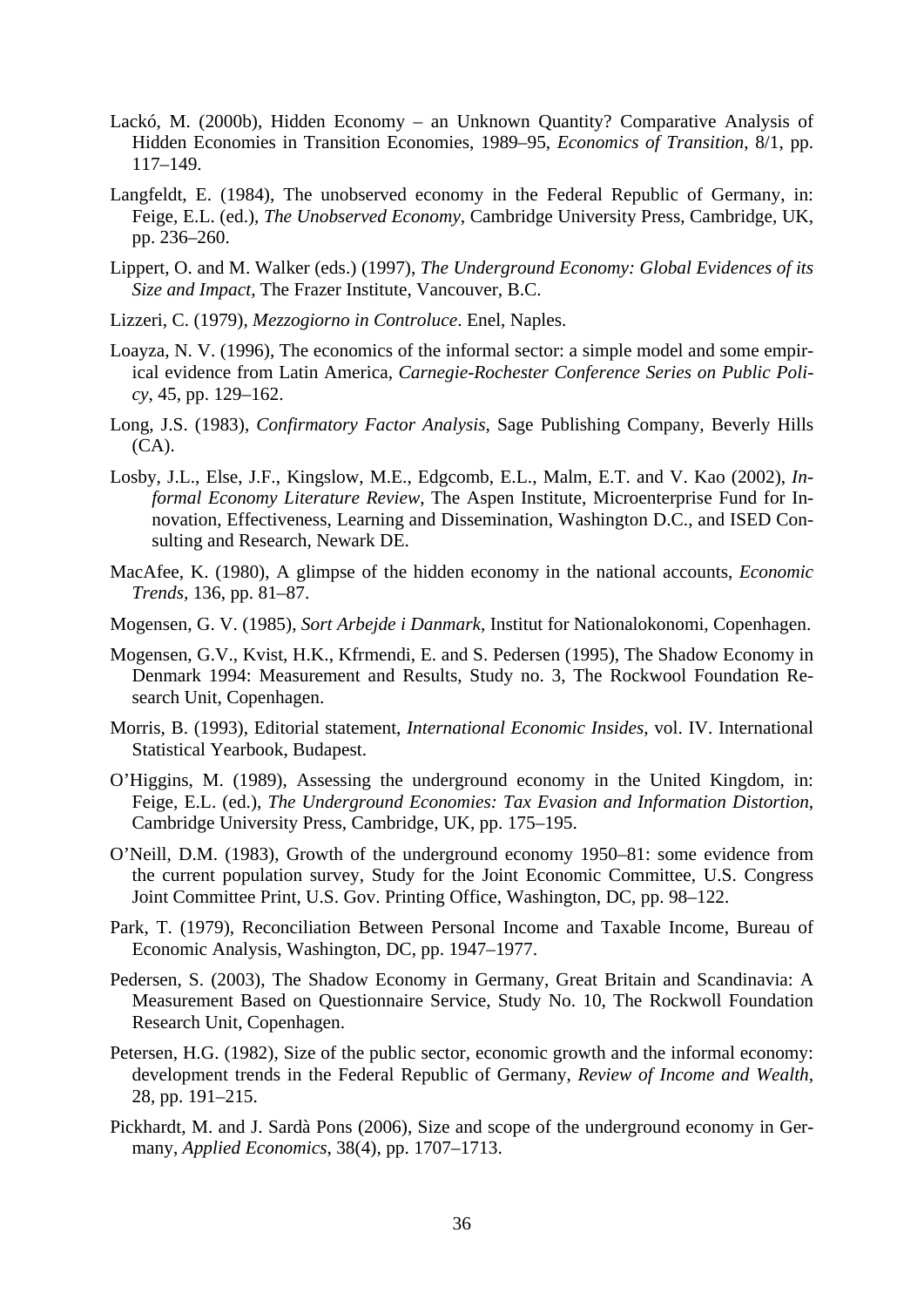- Lackó, M. (2000b), Hidden Economy an Unknown Quantity? Comparative Analysis of Hidden Economies in Transition Economies, 1989–95, *Economics of Transition*, 8/1, pp. 117–149.
- Langfeldt, E. (1984), The unobserved economy in the Federal Republic of Germany, in: Feige, E.L. (ed.), *The Unobserved Economy*, Cambridge University Press, Cambridge, UK, pp. 236–260.
- Lippert, O. and M. Walker (eds.) (1997), *The Underground Economy: Global Evidences of its Size and Impact*, The Frazer Institute, Vancouver, B.C.
- Lizzeri, C. (1979), *Mezzogiorno in Controluce*. Enel, Naples.
- Loayza, N. V. (1996), The economics of the informal sector: a simple model and some empirical evidence from Latin America, *Carnegie-Rochester Conference Series on Public Policy*, 45, pp. 129–162.
- Long, J.S. (1983), *Confirmatory Factor Analysis*, Sage Publishing Company, Beverly Hills (CA).
- Losby, J.L., Else, J.F., Kingslow, M.E., Edgcomb, E.L., Malm, E.T. and V. Kao (2002), *Informal Economy Literature Review*, The Aspen Institute, Microenterprise Fund for Innovation, Effectiveness, Learning and Dissemination, Washington D.C., and ISED Consulting and Research, Newark DE.
- MacAfee, K. (1980), A glimpse of the hidden economy in the national accounts, *Economic Trends,* 136, pp. 81–87.
- Mogensen, G. V. (1985), *Sort Arbejde i Danmark*, Institut for Nationalokonomi, Copenhagen.
- Mogensen, G.V., Kvist, H.K., Kfrmendi, E. and S. Pedersen (1995), The Shadow Economy in Denmark 1994: Measurement and Results, Study no. 3, The Rockwool Foundation Research Unit, Copenhagen.
- Morris, B. (1993), Editorial statement, *International Economic Insides*, vol. IV. International Statistical Yearbook, Budapest.
- O'Higgins, M. (1989), Assessing the underground economy in the United Kingdom, in: Feige, E.L. (ed.), *The Underground Economies: Tax Evasion and Information Distortion*, Cambridge University Press, Cambridge, UK, pp. 175–195.
- O'Neill, D.M. (1983), Growth of the underground economy 1950–81: some evidence from the current population survey, Study for the Joint Economic Committee, U.S. Congress Joint Committee Print, U.S. Gov. Printing Office, Washington, DC, pp. 98–122.
- Park, T. (1979), Reconciliation Between Personal Income and Taxable Income, Bureau of Economic Analysis, Washington, DC, pp. 1947–1977.
- Pedersen, S. (2003), The Shadow Economy in Germany, Great Britain and Scandinavia: A Measurement Based on Questionnaire Service, Study No. 10, The Rockwoll Foundation Research Unit, Copenhagen.
- Petersen, H.G. (1982), Size of the public sector, economic growth and the informal economy: development trends in the Federal Republic of Germany, *Review of Income and Wealth,* 28, pp. 191–215.
- Pickhardt, M. and J. Sardà Pons (2006), Size and scope of the underground economy in Germany, *Applied Economics*, 38(4), pp. 1707–1713.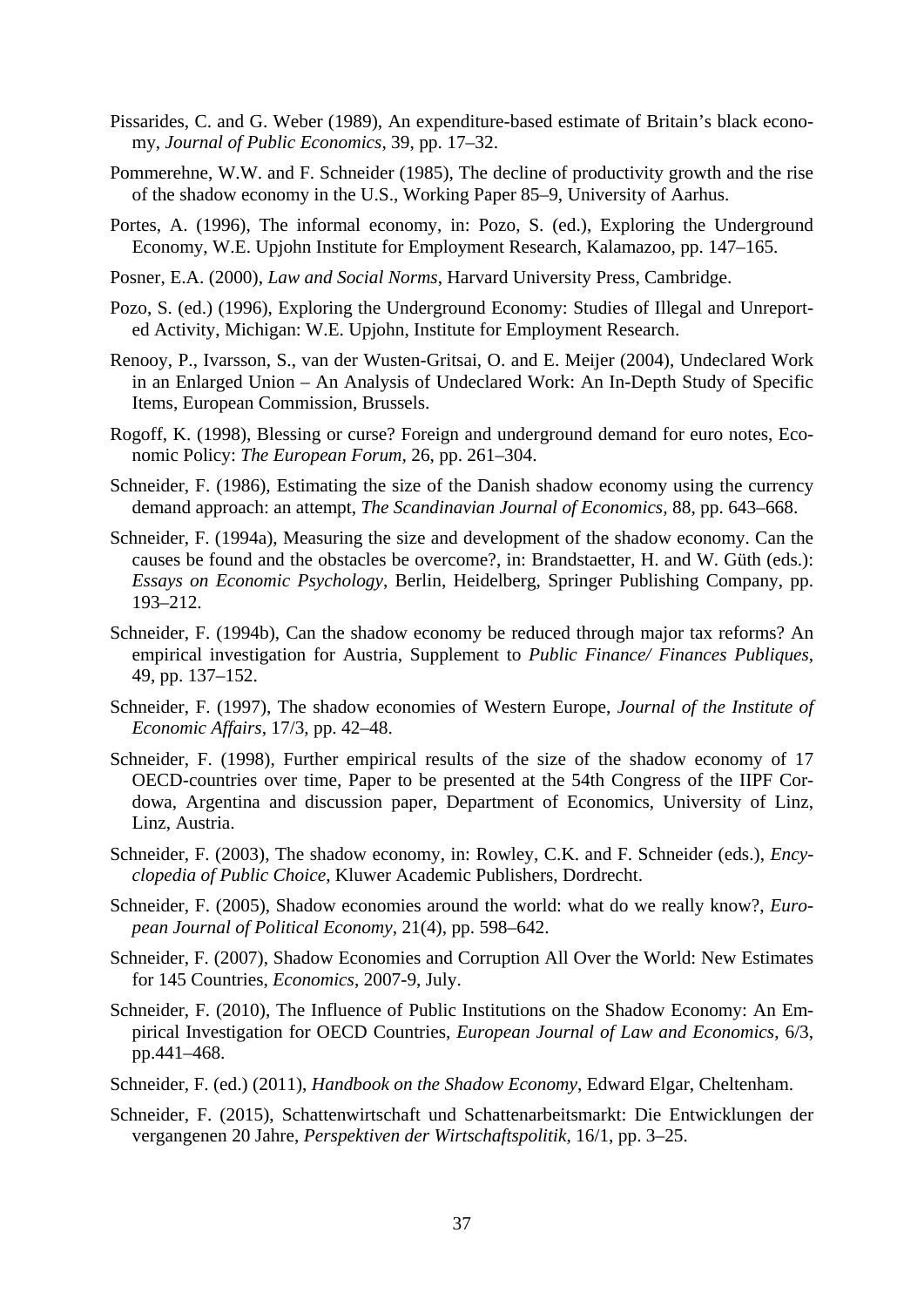- Pissarides, C. and G. Weber (1989), An expenditure-based estimate of Britain's black economy, *Journal of Public Economics*, 39, pp. 17–32.
- Pommerehne, W.W. and F. Schneider (1985), The decline of productivity growth and the rise of the shadow economy in the U.S., Working Paper 85–9, University of Aarhus.
- Portes, A. (1996), The informal economy, in: Pozo, S. (ed.), Exploring the Underground Economy, W.E. Upjohn Institute for Employment Research, Kalamazoo, pp. 147–165.
- Posner, E.A. (2000), *Law and Social Norms*, Harvard University Press, Cambridge.
- Pozo, S. (ed.) (1996), Exploring the Underground Economy: Studies of Illegal and Unreported Activity, Michigan: W.E. Upjohn, Institute for Employment Research.
- Renooy, P., Ivarsson, S., van der Wusten-Gritsai, O. and E. Meijer (2004), Undeclared Work in an Enlarged Union – An Analysis of Undeclared Work: An In-Depth Study of Specific Items, European Commission, Brussels.
- Rogoff, K. (1998), Blessing or curse? Foreign and underground demand for euro notes, Economic Policy: *The European Forum,* 26, pp. 261–304.
- Schneider, F. (1986), Estimating the size of the Danish shadow economy using the currency demand approach: an attempt, *The Scandinavian Journal of Economics,* 88, pp. 643–668.
- Schneider, F. (1994a), Measuring the size and development of the shadow economy. Can the causes be found and the obstacles be overcome?, in: Brandstaetter, H. and W. Güth (eds.): *Essays on Economic Psychology*, Berlin, Heidelberg, Springer Publishing Company, pp. 193–212.
- Schneider, F. (1994b), Can the shadow economy be reduced through major tax reforms? An empirical investigation for Austria, Supplement to *Public Finance/ Finances Publiques*, 49, pp. 137–152.
- Schneider, F. (1997), The shadow economies of Western Europe, *Journal of the Institute of Economic Affairs*, 17/3, pp. 42–48.
- Schneider, F. (1998), Further empirical results of the size of the shadow economy of 17 OECD-countries over time, Paper to be presented at the 54th Congress of the IIPF Cordowa, Argentina and discussion paper, Department of Economics, University of Linz, Linz, Austria.
- Schneider, F. (2003), The shadow economy, in: Rowley, C.K. and F. Schneider (eds.), *Encyclopedia of Public Choice*, Kluwer Academic Publishers, Dordrecht.
- Schneider, F. (2005), Shadow economies around the world: what do we really know?, *European Journal of Political Economy*, 21(4), pp. 598–642.
- Schneider, F. (2007), Shadow Economies and Corruption All Over the World: New Estimates for 145 Countries, *Economics*, 2007-9, July.
- Schneider, F. (2010), The Influence of Public Institutions on the Shadow Economy: An Empirical Investigation for OECD Countries, *European Journal of Law and Economics*, 6/3, pp.441–468.
- Schneider, F. (ed.) (2011), *Handbook on the Shadow Economy*, Edward Elgar, Cheltenham.
- Schneider, F. (2015), Schattenwirtschaft und Schattenarbeitsmarkt: Die Entwicklungen der vergangenen 20 Jahre, *Perspektiven der Wirtschaftspolitik*, 16/1, pp. 3–25.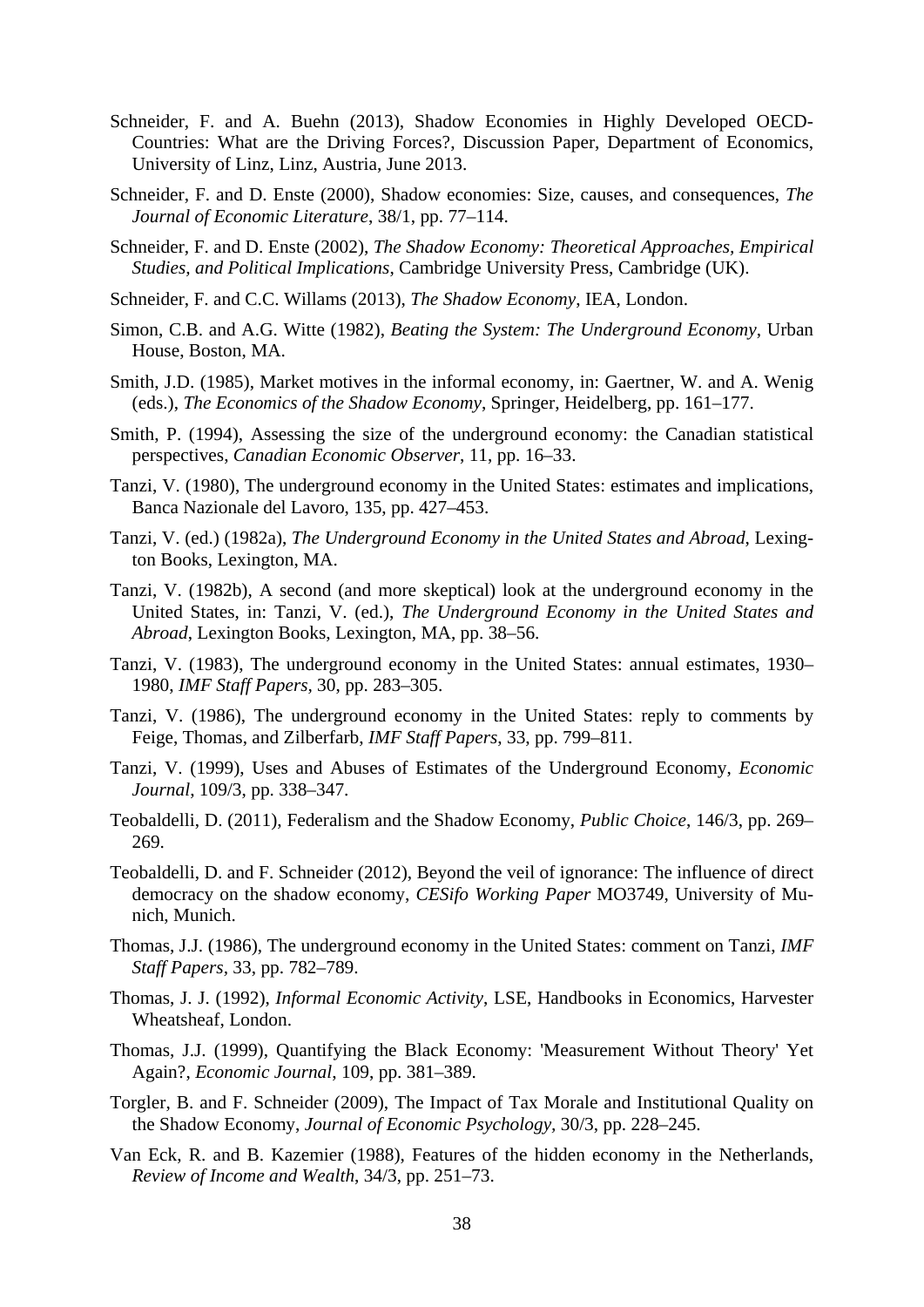- Schneider, F. and A. Buehn (2013), Shadow Economies in Highly Developed OECD-Countries: What are the Driving Forces?, Discussion Paper, Department of Economics, University of Linz, Linz, Austria, June 2013.
- Schneider, F. and D. Enste (2000), Shadow economies: Size, causes, and consequences, *The Journal of Economic Literature*, 38/1, pp. 77–114.
- Schneider, F. and D. Enste (2002), *The Shadow Economy: Theoretical Approaches, Empirical Studies, and Political Implications*, Cambridge University Press, Cambridge (UK).
- Schneider, F. and C.C. Willams (2013), *The Shadow Economy*, IEA, London.
- Simon, C.B. and A.G. Witte (1982), *Beating the System: The Underground Economy*, Urban House, Boston, MA.
- Smith, J.D. (1985), Market motives in the informal economy, in: Gaertner, W. and A. Wenig (eds.), *The Economics of the Shadow Economy*, Springer, Heidelberg, pp. 161–177.
- Smith, P. (1994), Assessing the size of the underground economy: the Canadian statistical perspectives, *Canadian Economic Observer*, 11, pp. 16–33.
- Tanzi, V. (1980), The underground economy in the United States: estimates and implications, Banca Nazionale del Lavoro, 135, pp. 427–453.
- Tanzi, V. (ed.) (1982a), *The Underground Economy in the United States and Abroad*, Lexington Books, Lexington, MA.
- Tanzi, V. (1982b), A second (and more skeptical) look at the underground economy in the United States, in: Tanzi, V. (ed.), *The Underground Economy in the United States and Abroad*, Lexington Books, Lexington, MA, pp. 38–56.
- Tanzi, V. (1983), The underground economy in the United States: annual estimates, 1930– 1980, *IMF Staff Papers,* 30, pp. 283–305.
- Tanzi, V. (1986), The underground economy in the United States: reply to comments by Feige, Thomas, and Zilberfarb, *IMF Staff Papers*, 33, pp. 799–811.
- Tanzi, V. (1999), Uses and Abuses of Estimates of the Underground Economy, *Economic Journal*, 109/3, pp. 338–347.
- Teobaldelli, D. (2011), Federalism and the Shadow Economy, *Public Choice*, 146/3, pp. 269– 269.
- Teobaldelli, D. and F. Schneider (2012), Beyond the veil of ignorance: The influence of direct democracy on the shadow economy, *CESifo Working Paper* MO3749, University of Munich, Munich.
- Thomas, J.J. (1986), The underground economy in the United States: comment on Tanzi, *IMF Staff Papers,* 33, pp. 782–789.
- Thomas, J. J. (1992), *Informal Economic Activity*, LSE, Handbooks in Economics, Harvester Wheatsheaf, London.
- Thomas, J.J. (1999), Quantifying the Black Economy: 'Measurement Without Theory' Yet Again?, *Economic Journal*, 109, pp. 381–389.
- Torgler, B. and F. Schneider (2009), The Impact of Tax Morale and Institutional Quality on the Shadow Economy, *Journal of Economic Psychology,* 30/3, pp. 228–245.
- Van Eck, R. and B. Kazemier (1988), Features of the hidden economy in the Netherlands, *Review of Income and Wealth*, 34/3, pp. 251–73.